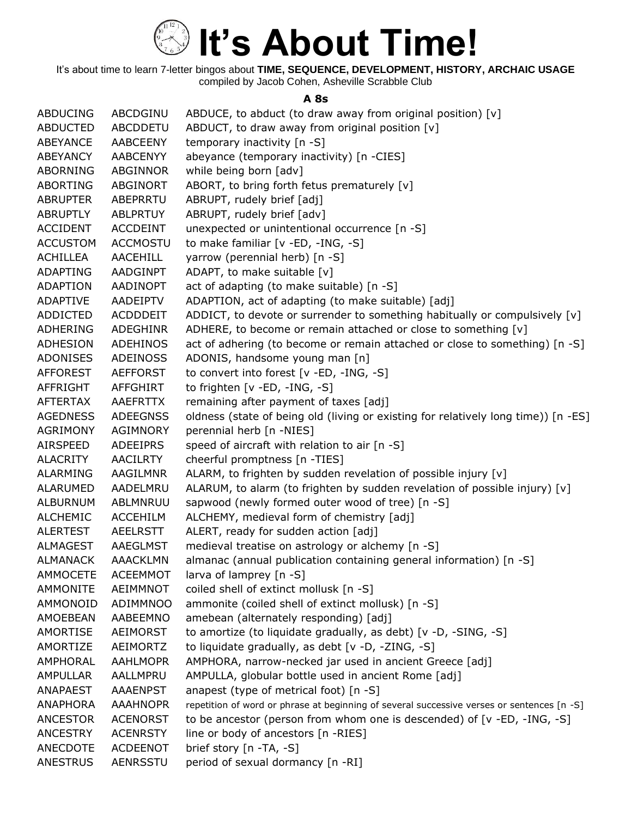

It's about time to learn 7-letter bingos about **TIME, SEQUENCE, DEVELOPMENT, HISTORY, ARCHAIC USAGE** compiled by Jacob Cohen, Asheville Scrabble Club

#### **A 8s**

| <b>ABDUCING</b> | ABCDGINU        | ABDUCE, to abduct (to draw away from original position) [v]                                |
|-----------------|-----------------|--------------------------------------------------------------------------------------------|
| <b>ABDUCTED</b> | ABCDDETU        | ABDUCT, to draw away from original position [v]                                            |
| ABEYANCE        | <b>AABCEENY</b> | temporary inactivity [n -S]                                                                |
| ABEYANCY        | <b>AABCENYY</b> | abeyance (temporary inactivity) [n -CIES]                                                  |
| ABORNING        | ABGINNOR        | while being born [adv]                                                                     |
| <b>ABORTING</b> | ABGINORT        | ABORT, to bring forth fetus prematurely [v]                                                |
| <b>ABRUPTER</b> | ABEPRRTU        | ABRUPT, rudely brief [adj]                                                                 |
| ABRUPTLY        | <b>ABLPRTUY</b> | ABRUPT, rudely brief [adv]                                                                 |
| <b>ACCIDENT</b> | <b>ACCDEINT</b> | unexpected or unintentional occurrence [n -S]                                              |
| <b>ACCUSTOM</b> | <b>ACCMOSTU</b> | to make familiar [v -ED, -ING, -S]                                                         |
| <b>ACHILLEA</b> | <b>AACEHILL</b> | yarrow (perennial herb) [n -S]                                                             |
| ADAPTING        | AADGINPT        | ADAPT, to make suitable [v]                                                                |
| ADAPTION        | AADINOPT        | act of adapting (to make suitable) [n -S]                                                  |
| ADAPTIVE        | AADEIPTV        | ADAPTION, act of adapting (to make suitable) [adj]                                         |
| <b>ADDICTED</b> | ACDDDEIT        | ADDICT, to devote or surrender to something habitually or compulsively [v]                 |
| ADHERING        | <b>ADEGHINR</b> | ADHERE, to become or remain attached or close to something [v]                             |
| <b>ADHESION</b> | <b>ADEHINOS</b> | act of adhering (to become or remain attached or close to something) [n -S]                |
| ADONISES        | <b>ADEINOSS</b> | ADONIS, handsome young man [n]                                                             |
| <b>AFFOREST</b> | <b>AEFFORST</b> | to convert into forest [v -ED, -ING, -S]                                                   |
| <b>AFFRIGHT</b> | AFFGHIRT        | to frighten $[v - ED, -ING, -S]$                                                           |
| <b>AFTERTAX</b> | AAEFRTTX        | remaining after payment of taxes [adj]                                                     |
| <b>AGEDNESS</b> | <b>ADEEGNSS</b> | oldness (state of being old (living or existing for relatively long time)) [n -ES]         |
| <b>AGRIMONY</b> | <b>AGIMNORY</b> | perennial herb [n -NIES]                                                                   |
| AIRSPEED        | <b>ADEEIPRS</b> | speed of aircraft with relation to air [n -S]                                              |
| <b>ALACRITY</b> | <b>AACILRTY</b> | cheerful promptness [n -TIES]                                                              |
| ALARMING        | AAGILMNR        | ALARM, to frighten by sudden revelation of possible injury [v]                             |
| <b>ALARUMED</b> | AADELMRU        | ALARUM, to alarm (to frighten by sudden revelation of possible injury) [v]                 |
| <b>ALBURNUM</b> | ABLMNRUU        | sapwood (newly formed outer wood of tree) [n -S]                                           |
| <b>ALCHEMIC</b> | <b>ACCEHILM</b> | ALCHEMY, medieval form of chemistry [adj]                                                  |
| <b>ALERTEST</b> | <b>AEELRSTT</b> | ALERT, ready for sudden action [adj]                                                       |
| <b>ALMAGEST</b> | AAEGLMST        | medieval treatise on astrology or alchemy [n -S]                                           |
| <b>ALMANACK</b> | <b>AAACKLMN</b> | almanac (annual publication containing general information) [n -S]                         |
| AMMOCETE        | <b>ACEEMMOT</b> | larva of lamprey [n -S]                                                                    |
| <b>AMMONITE</b> | AEIMMNOT        | coiled shell of extinct mollusk [n -S]                                                     |
| AMMONOID        | ADIMMNOO        | ammonite (coiled shell of extinct mollusk) [n -S]                                          |
| AMOEBEAN        | AABEEMNO        | amebean (alternately responding) [adj]                                                     |
| <b>AMORTISE</b> | AEIMORST        | to amortize (to liquidate gradually, as debt) [v -D, -SING, -S]                            |
| AMORTIZE        | <b>AEIMORTZ</b> | to liquidate gradually, as debt [v -D, -ZING, -S]                                          |
| AMPHORAL        | <b>AAHLMOPR</b> | AMPHORA, narrow-necked jar used in ancient Greece [adj]                                    |
| <b>AMPULLAR</b> | AALLMPRU        | AMPULLA, globular bottle used in ancient Rome [adj]                                        |
| ANAPAEST        | <b>AAAENPST</b> | anapest (type of metrical foot) [n -S]                                                     |
| <b>ANAPHORA</b> | <b>AAAHNOPR</b> | repetition of word or phrase at beginning of several successive verses or sentences [n -S] |
| <b>ANCESTOR</b> | <b>ACENORST</b> | to be ancestor (person from whom one is descended) of $[v - ED, -ING, -S]$                 |
| <b>ANCESTRY</b> | <b>ACENRSTY</b> | line or body of ancestors [n -RIES]                                                        |
| ANECDOTE        | <b>ACDEENOT</b> | brief story [n -TA, -S]                                                                    |
| <b>ANESTRUS</b> | <b>AENRSSTU</b> | period of sexual dormancy [n -RI]                                                          |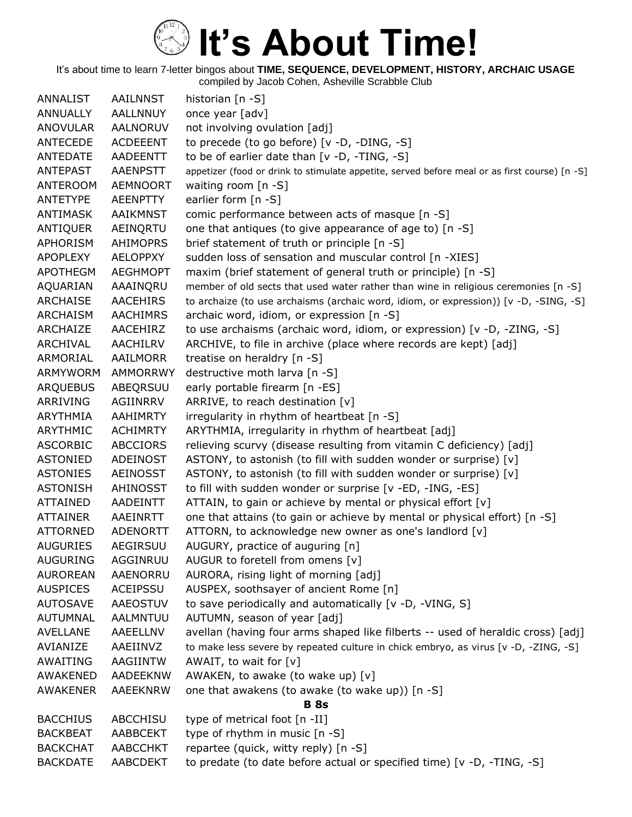It's about time to learn 7-letter bingos about **TIME, SEQUENCE, DEVELOPMENT, HISTORY, ARCHAIC USAGE**

compiled by Jacob Cohen, Asheville Scrabble Club

| ANNALIST        | <b>AAILNNST</b> | historian [n -S]                                                                              |
|-----------------|-----------------|-----------------------------------------------------------------------------------------------|
| <b>ANNUALLY</b> | <b>AALLNNUY</b> | once year [adv]                                                                               |
| <b>ANOVULAR</b> | AALNORUV        | not involving ovulation [adj]                                                                 |
| ANTECEDE        | <b>ACDEEENT</b> | to precede (to go before) [v -D, -DING, -S]                                                   |
| ANTEDATE        | <b>AADEENTT</b> | to be of earlier date than $[v -D, -TING, -S]$                                                |
| <b>ANTEPAST</b> | <b>AAENPSTT</b> | appetizer (food or drink to stimulate appetite, served before meal or as first course) [n -S] |
| <b>ANTEROOM</b> | <b>AEMNOORT</b> | waiting room [n -S]                                                                           |
| ANTETYPE        | <b>AEENPTTY</b> | earlier form [n -S]                                                                           |
| <b>ANTIMASK</b> | AAIKMNST        | comic performance between acts of masque [n -S]                                               |
| ANTIQUER        | AEINQRTU        | one that antiques (to give appearance of age to) [n -S]                                       |
| <b>APHORISM</b> | <b>AHIMOPRS</b> | brief statement of truth or principle [n -S]                                                  |
| <b>APOPLEXY</b> | <b>AELOPPXY</b> | sudden loss of sensation and muscular control [n -XIES]                                       |
| <b>APOTHEGM</b> | <b>AEGHMOPT</b> | maxim (brief statement of general truth or principle) [n -S]                                  |
| AQUARIAN        | AAAINQRU        | member of old sects that used water rather than wine in religious ceremonies [n -S]           |
| <b>ARCHAISE</b> | <b>AACEHIRS</b> | to archaize (to use archaisms (archaic word, idiom, or expression)) [v -D, -SING, -S]         |
| ARCHAISM        | <b>AACHIMRS</b> | archaic word, idiom, or expression [n -S]                                                     |
| <b>ARCHAIZE</b> | AACEHIRZ        | to use archaisms (archaic word, idiom, or expression) [v -D, -ZING, -S]                       |
| ARCHIVAL        | AACHILRV        | ARCHIVE, to file in archive (place where records are kept) [adj]                              |
| ARMORIAL        | AAILMORR        | treatise on heraldry [n -S]                                                                   |
| ARMYWORM        | <b>AMMORRWY</b> | destructive moth larva [n -S]                                                                 |
| <b>ARQUEBUS</b> | ABEQRSUU        | early portable firearm [n -ES]                                                                |
| ARRIVING        | AGIINRRV        | ARRIVE, to reach destination [v]                                                              |
| ARYTHMIA        | <b>AAHIMRTY</b> | irregularity in rhythm of heartbeat [n -S]                                                    |
| ARYTHMIC        | <b>ACHIMRTY</b> | ARYTHMIA, irregularity in rhythm of heartbeat [adj]                                           |
| <b>ASCORBIC</b> | <b>ABCCIORS</b> | relieving scurvy (disease resulting from vitamin C deficiency) [adj]                          |
| <b>ASTONIED</b> | <b>ADEINOST</b> | ASTONY, to astonish (to fill with sudden wonder or surprise) [v]                              |
| <b>ASTONIES</b> | AEINOSST        | ASTONY, to astonish (to fill with sudden wonder or surprise) [v]                              |
| <b>ASTONISH</b> | AHINOSST        | to fill with sudden wonder or surprise [v -ED, -ING, -ES]                                     |
| <b>ATTAINED</b> | <b>AADEINTT</b> | ATTAIN, to gain or achieve by mental or physical effort [v]                                   |
| <b>ATTAINER</b> | AAEINRTT        | one that attains (to gain or achieve by mental or physical effort) [n -S]                     |
| <b>ATTORNED</b> | <b>ADENORTT</b> | ATTORN, to acknowledge new owner as one's landlord [v]                                        |
| <b>AUGURIES</b> | AEGIRSUU        | AUGURY, practice of auguring [n]                                                              |
| <b>AUGURING</b> | AGGINRUU        | AUGUR to foretell from omens [v]                                                              |
| <b>AUROREAN</b> | <b>AAENORRU</b> | AURORA, rising light of morning [adj]                                                         |
| <b>AUSPICES</b> | ACEIPSSU        | AUSPEX, soothsayer of ancient Rome [n]                                                        |
| <b>AUTOSAVE</b> | AAEOSTUV        | to save periodically and automatically [v -D, -VING, S]                                       |
| AUTUMNAL        | AALMNTUU        | AUTUMN, season of year [adj]                                                                  |
| <b>AVELLANE</b> | AAEELLNV        | avellan (having four arms shaped like filberts -- used of heraldic cross) [adj]               |
| AVIANIZE        | AAEIINVZ        | to make less severe by repeated culture in chick embryo, as virus [v -D, -ZING, -S]           |
| AWAITING        | AAGIINTW        | AWAIT, to wait for $[v]$                                                                      |
| <b>AWAKENED</b> | <b>AADEEKNW</b> | AWAKEN, to awake (to wake up) [v]                                                             |
| <b>AWAKENER</b> | AAEEKNRW        | one that awakens (to awake (to wake up)) [n -S]                                               |
|                 |                 | <b>B</b> 8s                                                                                   |
| <b>BACCHIUS</b> | ABCCHISU        | type of metrical foot [n -II]                                                                 |
| <b>BACKBEAT</b> | AABBCEKT        | type of rhythm in music [n -S]                                                                |
| <b>BACKCHAT</b> | AABCCHKT        | repartee (quick, witty reply) [n -S]                                                          |
| <b>BACKDATE</b> | AABCDEKT        | to predate (to date before actual or specified time) [v -D, -TING, -S]                        |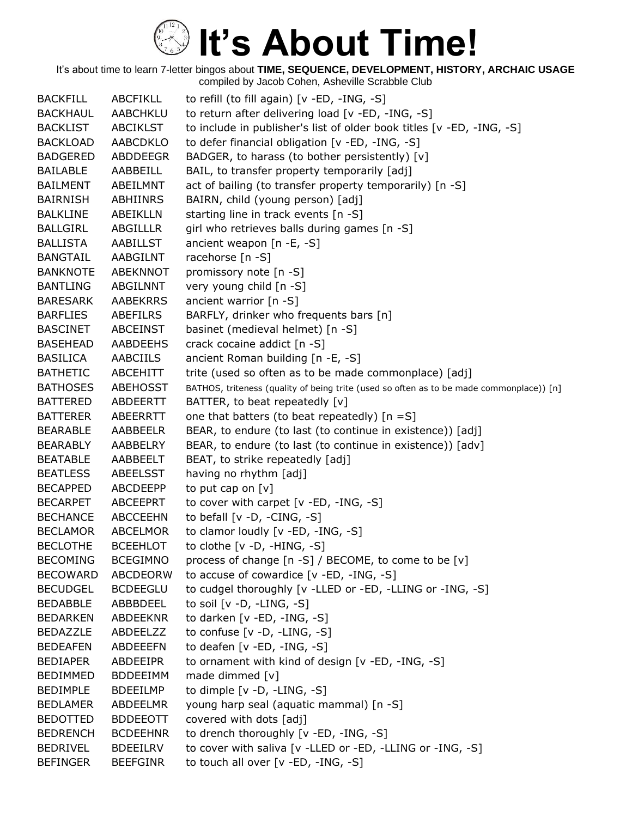| <b>BACKFILL</b> | <b>ABCFIKLL</b> | to refill (to fill again) [v -ED, -ING, -S]                                              |
|-----------------|-----------------|------------------------------------------------------------------------------------------|
| <b>BACKHAUL</b> | AABCHKLU        | to return after delivering load [v -ED, -ING, -S]                                        |
| <b>BACKLIST</b> | ABCIKLST        | to include in publisher's list of older book titles [v -ED, -ING, -S]                    |
| <b>BACKLOAD</b> | <b>AABCDKLO</b> | to defer financial obligation [v -ED, -ING, -S]                                          |
| <b>BADGERED</b> | <b>ABDDEEGR</b> | BADGER, to harass (to bother persistently) [v]                                           |
| <b>BAILABLE</b> | AABBEILL        | BAIL, to transfer property temporarily [adj]                                             |
| <b>BAILMENT</b> | ABEILMNT        | act of bailing (to transfer property temporarily) [n -S]                                 |
| <b>BAIRNISH</b> | ABHIINRS        | BAIRN, child (young person) [adj]                                                        |
| <b>BALKLINE</b> | ABEIKLLN        | starting line in track events [n -S]                                                     |
| <b>BALLGIRL</b> | ABGILLLR        | girl who retrieves balls during games [n -S]                                             |
| <b>BALLISTA</b> | AABILLST        | ancient weapon $[n -E, -S]$                                                              |
| <b>BANGTAIL</b> | AABGILNT        | racehorse [n -S]                                                                         |
| <b>BANKNOTE</b> | <b>ABEKNNOT</b> | promissory note [n -S]                                                                   |
| <b>BANTLING</b> | ABGILNNT        | very young child [n -S]                                                                  |
| <b>BARESARK</b> | <b>AABEKRRS</b> | ancient warrior $[n - S]$                                                                |
| <b>BARFLIES</b> | ABEFILRS        | BARFLY, drinker who frequents bars [n]                                                   |
| <b>BASCINET</b> | <b>ABCEINST</b> | basinet (medieval helmet) [n -S]                                                         |
| <b>BASEHEAD</b> | <b>AABDEEHS</b> | crack cocaine addict [n -S]                                                              |
| <b>BASILICA</b> | AABCIILS        | ancient Roman building [n -E, -S]                                                        |
| <b>BATHETIC</b> | <b>ABCEHITT</b> | trite (used so often as to be made commonplace) [adj]                                    |
| <b>BATHOSES</b> | <b>ABEHOSST</b> | BATHOS, triteness (quality of being trite (used so often as to be made commonplace)) [n] |
| <b>BATTERED</b> | ABDEERTT        | BATTER, to beat repeatedly [v]                                                           |
| <b>BATTERER</b> | ABEERRTT        | one that batters (to beat repeatedly) $[n = S]$                                          |
| <b>BEARABLE</b> | AABBEELR        | BEAR, to endure (to last (to continue in existence)) [adj]                               |
| <b>BEARABLY</b> | AABBELRY        | BEAR, to endure (to last (to continue in existence)) [adv]                               |
| <b>BEATABLE</b> | AABBEELT        | BEAT, to strike repeatedly [adj]                                                         |
| <b>BEATLESS</b> | ABEELSST        | having no rhythm [adj]                                                                   |
| <b>BECAPPED</b> | ABCDEEPP        | to put cap on $[v]$                                                                      |
| <b>BECARPET</b> | ABCEEPRT        | to cover with carpet $[v - ED, -ING, -S]$                                                |
| <b>BECHANCE</b> | <b>ABCCEEHN</b> | to befall $[v -D, -CING, -S]$                                                            |
| <b>BECLAMOR</b> | <b>ABCELMOR</b> | to clamor loudly [v -ED, -ING, -S]                                                       |
| <b>BECLOTHE</b> | <b>BCEEHLOT</b> | to clothe $[v -D, -HING, -S]$                                                            |
| <b>BECOMING</b> | <b>BCEGIMNO</b> | process of change [n -S] / BECOME, to come to be [v]                                     |
| <b>BECOWARD</b> | ABCDEORW        | to accuse of cowardice [v -ED, -ING, -S]                                                 |
| <b>BECUDGEL</b> | <b>BCDEEGLU</b> | to cudgel thoroughly [v -LLED or -ED, -LLING or -ING, -S]                                |
| <b>BEDABBLE</b> | ABBBDEEL        | to soil $[v -D, -LING, -S]$                                                              |
| <b>BEDARKEN</b> | ABDEEKNR        | to darken [v -ED, -ING, -S]                                                              |
| <b>BEDAZZLE</b> | ABDEELZZ        | to confuse [v -D, -LING, -S]                                                             |
| <b>BEDEAFEN</b> | ABDEEEFN        | to deafen [v -ED, -ING, -S]                                                              |
| <b>BEDIAPER</b> | ABDEEIPR        | to ornament with kind of design [v -ED, -ING, -S]                                        |
| <b>BEDIMMED</b> | <b>BDDEEIMM</b> | made dimmed [v]                                                                          |
| <b>BEDIMPLE</b> | <b>BDEEILMP</b> | to dimple [v -D, -LING, -S]                                                              |
| <b>BEDLAMER</b> | ABDEELMR        | young harp seal (aquatic mammal) [n -S]                                                  |
| <b>BEDOTTED</b> | <b>BDDEEOTT</b> | covered with dots [adj]                                                                  |
| <b>BEDRENCH</b> | <b>BCDEEHNR</b> | to drench thoroughly [v -ED, -ING, -S]                                                   |
| <b>BEDRIVEL</b> | <b>BDEEILRV</b> | to cover with saliva [v -LLED or -ED, -LLING or -ING, -S]                                |
| <b>BEFINGER</b> | <b>BEEFGINR</b> | to touch all over [v -ED, -ING, -S]                                                      |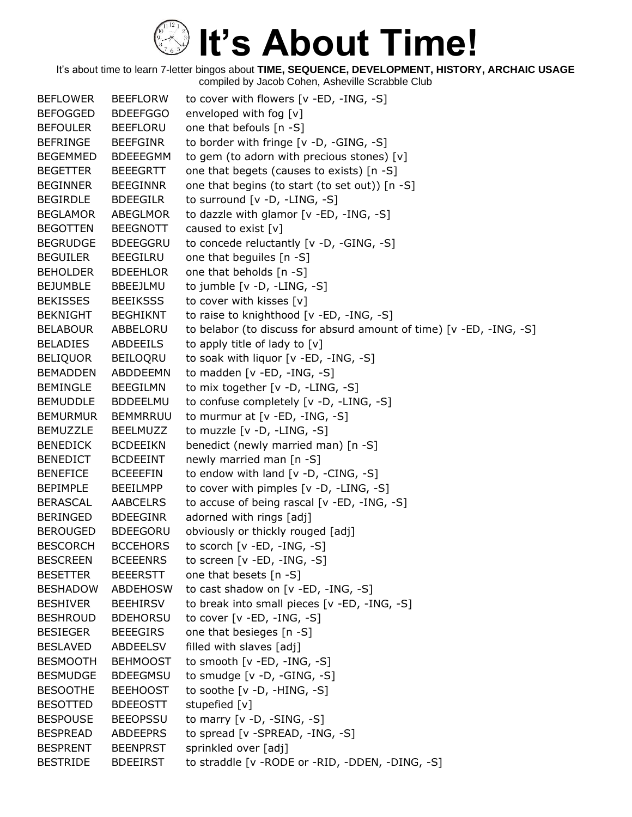It's about time to learn 7-letter bingos about **TIME, SEQUENCE, DEVELOPMENT, HISTORY, ARCHAIC USAGE** compiled by Jacob Cohen, Asheville Scrabble Club

BEFLOWER BEEFLORW to cover with flowers [v -ED, -ING, -S] BEFOGGED BDEEFGGO enveloped with fog [v] BEFOULER BEEFLORU one that befouls [n -S] BEFRINGE BEEFGINR to border with fringe [v -D, -GING, -S] BEGEMMED BDEEEGMM to gem (to adorn with precious stones) [v] BEGETTER BEEEGRTT one that begets (causes to exists) [n -S] BEGINNER BEEGINNR one that begins (to start (to set out)) [n -S] BEGIRDLE BDEEGILR to surround [v -D, -LING, -S] BEGLAMOR ABEGLMOR to dazzle with glamor [v -ED, -ING, -S] BEGOTTEN BEEGNOTT caused to exist [v] BEGRUDGE BDEEGGRU to concede reluctantly [v -D, -GING, -S] BEGUILER BEEGILRU one that beguiles [n -S] BEHOLDER BDEEHLOR one that beholds [n -S] BEJUMBLE BBEEJLMU to jumble [v -D, -LING, -S] BEKISSES BEEIKSSS to cover with kisses [v] BEKNIGHT BEGHIKNT to raise to knighthood [v -ED, -ING, -S] BELABOUR ABBELORU to belabor (to discuss for absurd amount of time) [v -ED, -ING, -S] BELADIES ABDEEILS to apply title of lady to [v] BELIQUOR BEILOQRU to soak with liquor [v -ED, -ING, -S] BEMADDEN ABDDEEMN to madden [v -ED, -ING, -S] BEMINGLE BEEGILMN to mix together [v -D, -LING, -S] BEMUDDLE BDDEELMU to confuse completely [v -D, -LING, -S] BEMURMUR BEMMRRUU to murmur at [v -ED, -ING, -S] BEMUZZLE BEELMUZZ to muzzle [v -D, -LING, -S] BENEDICK BCDEEIKN benedict (newly married man) [n -S] BENEDICT BCDEEINT newly married man [n -S] BENEFICE BCEEEFIN to endow with land [v -D, -CING, -S] BEPIMPLE BEEILMPP to cover with pimples [v -D, -LING, -S] BERASCAL AABCELRS to accuse of being rascal [v -ED, -ING, -S] BERINGED BDEEGINR adorned with rings [adj] BEROUGED BDEEGORU obviously or thickly rouged [adj] BESCORCH BCCEHORS to scorch [v -ED, -ING, -S] BESCREEN BCEEENRS to screen [v -ED, -ING, -S] BESETTER BEEERSTT one that besets [n -S] BESHADOW ABDEHOSW to cast shadow on [v -ED, -ING, -S] BESHIVER BEEHIRSV to break into small pieces [v -ED, -ING, -S] BESHROUD BDEHORSU to cover [v -ED, -ING, -S] BESIEGER BEEEGIRS one that besieges [n -S] BESLAVED ABDEELSV filled with slaves [adj] BESMOOTH BEHMOOST to smooth [v -ED, -ING, -S] BESMUDGE BDEEGMSU to smudge [v -D, -GING, -S] BESOOTHE BEEHOOST to soothe [v -D, -HING, -S] BESOTTED BDEEOSTT stupefied [v] BESPOUSE BEEOPSSU to marry [v -D, -SING, -S] BESPREAD ABDEEPRS to spread [v -SPREAD, -ING, -S] BESPRENT BEENPRST sprinkled over [adj] BESTRIDE BDEEIRST to straddle [v -RODE or -RID, -DDEN, -DING, -S]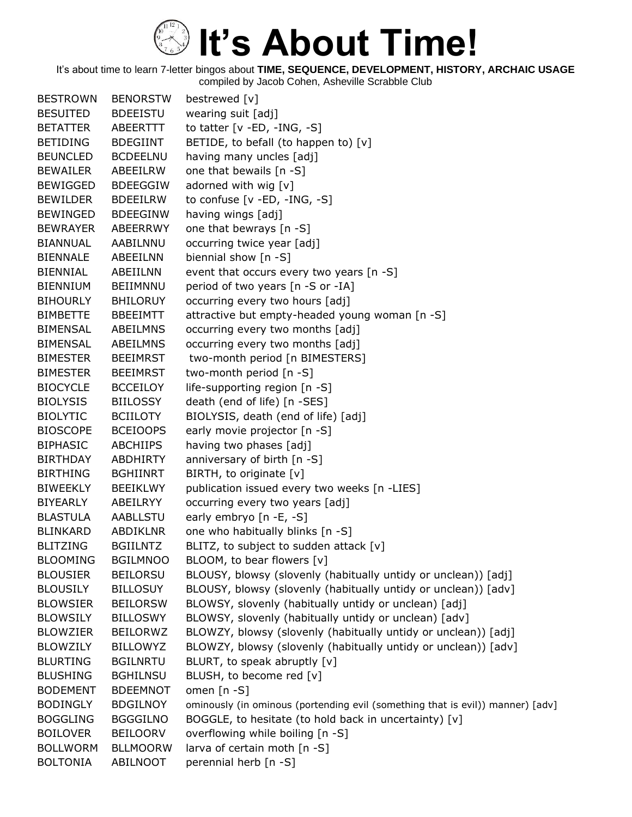| <b>BESTROWN</b> | <b>BENORSTW</b> | bestrewed [v]                                                                  |
|-----------------|-----------------|--------------------------------------------------------------------------------|
| <b>BESUITED</b> | <b>BDEEISTU</b> | wearing suit [adj]                                                             |
| <b>BETATTER</b> | ABEERTTT        | to tatter $[v - ED, -ING, -S]$                                                 |
| <b>BETIDING</b> | <b>BDEGIINT</b> | BETIDE, to befall (to happen to) $[v]$                                         |
| <b>BEUNCLED</b> | <b>BCDEELNU</b> | having many uncles [adj]                                                       |
| <b>BEWAILER</b> | ABEEILRW        | one that bewails [n -S]                                                        |
| <b>BEWIGGED</b> | <b>BDEEGGIW</b> | adorned with wig [v]                                                           |
| <b>BEWILDER</b> | <b>BDEEILRW</b> | to confuse $[v - ED, -ING, -S]$                                                |
| <b>BEWINGED</b> | <b>BDEEGINW</b> | having wings [adj]                                                             |
| <b>BEWRAYER</b> | ABEERRWY        | one that bewrays [n -S]                                                        |
| BIANNUAL        | AABILNNU        | occurring twice year [adj]                                                     |
| <b>BIENNALE</b> | ABEEILNN        | biennial show [n -S]                                                           |
| <b>BIENNIAL</b> | ABEIILNN        | event that occurs every two years [n -S]                                       |
| <b>BIENNIUM</b> | BEIIMNNU        | period of two years [n -S or -IA]                                              |
| <b>BIHOURLY</b> | <b>BHILORUY</b> | occurring every two hours [adj]                                                |
| <b>BIMBETTE</b> | <b>BBEEIMTT</b> | attractive but empty-headed young woman [n -S]                                 |
| <b>BIMENSAL</b> | ABEILMNS        | occurring every two months [adj]                                               |
| <b>BIMENSAL</b> | ABEILMNS        | occurring every two months [adj]                                               |
| <b>BIMESTER</b> | <b>BEEIMRST</b> | two-month period [n BIMESTERS]                                                 |
| <b>BIMESTER</b> | <b>BEEIMRST</b> | two-month period [n -S]                                                        |
| <b>BIOCYCLE</b> | <b>BCCEILOY</b> | life-supporting region [n -S]                                                  |
| <b>BIOLYSIS</b> | <b>BIILOSSY</b> | death (end of life) [n -SES]                                                   |
| <b>BIOLYTIC</b> | <b>BCIILOTY</b> | BIOLYSIS, death (end of life) [adj]                                            |
| <b>BIOSCOPE</b> | <b>BCEIOOPS</b> | early movie projector [n -S]                                                   |
| <b>BIPHASIC</b> | <b>ABCHIIPS</b> | having two phases [adj]                                                        |
| <b>BIRTHDAY</b> | <b>ABDHIRTY</b> | anniversary of birth [n -S]                                                    |
| <b>BIRTHING</b> | <b>BGHIINRT</b> | BIRTH, to originate [v]                                                        |
| <b>BIWEEKLY</b> | <b>BEEIKLWY</b> | publication issued every two weeks [n -LIES]                                   |
| <b>BIYEARLY</b> | ABEILRYY        | occurring every two years [adj]                                                |
| <b>BLASTULA</b> | <b>AABLLSTU</b> | early embryo [n -E, -S]                                                        |
| <b>BLINKARD</b> | <b>ABDIKLNR</b> | one who habitually blinks [n -S]                                               |
| <b>BLITZING</b> | <b>BGIILNTZ</b> | BLITZ, to subject to sudden attack $[v]$                                       |
| <b>BLOOMING</b> | <b>BGILMNOO</b> | BLOOM, to bear flowers [v]                                                     |
| <b>BLOUSIER</b> | <b>BEILORSU</b> | BLOUSY, blowsy (slovenly (habitually untidy or unclean)) [adj]                 |
| <b>BLOUSILY</b> | <b>BILLOSUY</b> | BLOUSY, blowsy (slovenly (habitually untidy or unclean)) [adv]                 |
| <b>BLOWSIER</b> | <b>BEILORSW</b> | BLOWSY, slovenly (habitually untidy or unclean) [adj]                          |
| <b>BLOWSILY</b> | <b>BILLOSWY</b> | BLOWSY, slovenly (habitually untidy or unclean) [adv]                          |
| <b>BLOWZIER</b> | <b>BEILORWZ</b> | BLOWZY, blowsy (slovenly (habitually untidy or unclean)) [adj]                 |
| <b>BLOWZILY</b> | <b>BILLOWYZ</b> | BLOWZY, blowsy (slovenly (habitually untidy or unclean)) [adv]                 |
| <b>BLURTING</b> | <b>BGILNRTU</b> | BLURT, to speak abruptly [v]                                                   |
| <b>BLUSHING</b> | <b>BGHILNSU</b> | BLUSH, to become red [v]                                                       |
| <b>BODEMENT</b> | <b>BDEEMNOT</b> | omen $[n - S]$                                                                 |
| <b>BODINGLY</b> | <b>BDGILNOY</b> | ominously (in ominous (portending evil (something that is evil)) manner) [adv] |
| <b>BOGGLING</b> | <b>BGGGILNO</b> | BOGGLE, to hesitate (to hold back in uncertainty) [v]                          |
| <b>BOILOVER</b> | <b>BEILOORV</b> | overflowing while boiling [n -S]                                               |
| <b>BOLLWORM</b> | <b>BLLMOORW</b> | larva of certain moth [n -S]                                                   |
| <b>BOLTONIA</b> | ABILNOOT        | perennial herb [n -S]                                                          |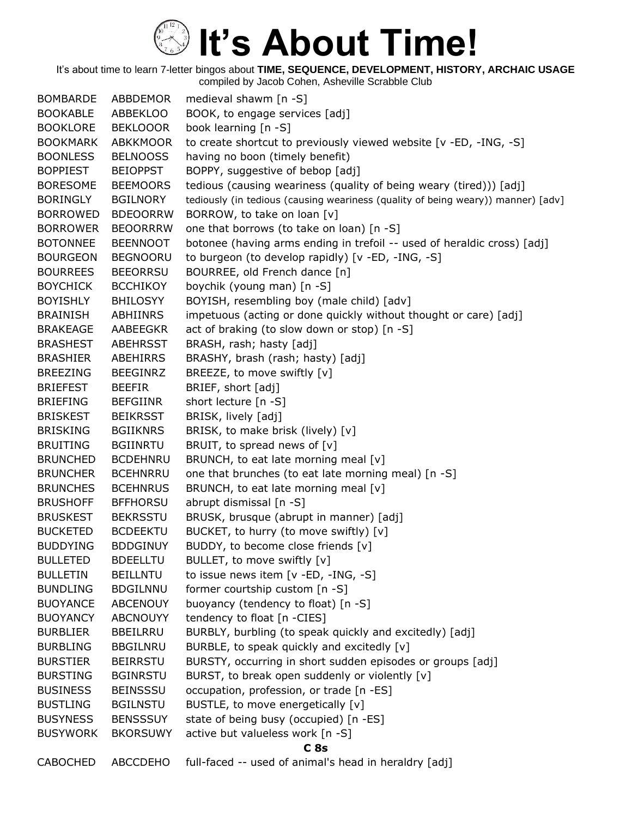It's about time to learn 7-letter bingos about **TIME, SEQUENCE, DEVELOPMENT, HISTORY, ARCHAIC USAGE** compiled by Jacob Cohen, Asheville Scrabble Club

BOMBARDE ABBDEMOR medieval shawm [n -S] BOOKABLE ABBEKLOO BOOK, to engage services [adj] BOOKLORE BEKLOOOR book learning [n -S] BOOKMARK ABKKMOOR to create shortcut to previously viewed website [v -ED, -ING, -S] BOONLESS BELNOOSS having no boon (timely benefit) BOPPIEST BEIOPPST BOPPY, suggestive of bebop [adj] BORESOME BEEMOORS tedious (causing weariness (quality of being weary (tired))) [adj] BORINGLY BGILNORY tediously (in tedious (causing weariness (quality of being weary)) manner) [adv] BORROWED BDEOORRW BORROW, to take on loan [v] BORROWER BEOORRRW one that borrows (to take on loan) [n -S] BOTONNEE BEENNOOT botonee (having arms ending in trefoil -- used of heraldic cross) [adj] BOURGEON BEGNOORU to burgeon (to develop rapidly) [v -ED, -ING, -S] BOURREES BEEORRSU BOURREE, old French dance [n] BOYCHICK BCCHIKOY boychik (young man) [n -S] BOYISHLY BHILOSYY BOYISH, resembling boy (male child) [adv] BRAINISH ABHIINRS impetuous (acting or done quickly without thought or care) [adj] BRAKEAGE AABEEGKR act of braking (to slow down or stop) [n -S] BRASHEST ABEHRSST BRASH, rash; hasty [adj] BRASHIER ABEHIRRS BRASHY, brash (rash; hasty) [adj] BREEZING BEEGINRZ BREEZE, to move swiftly [v] BRIEFEST BEEFIR BRIEF, short [adj] BRIEFING BEFGIINR short lecture [n -S] BRISKEST BEIKRSST BRISK, lively [adj] BRISKING BGIIKNRS BRISK, to make brisk (lively) [v] BRUITING BGIINRTU BRUIT, to spread news of [v] BRUNCHED BCDEHNRU BRUNCH, to eat late morning meal [v] BRUNCHER BCEHNRRU one that brunches (to eat late morning meal) [n -S] BRUNCHES BCEHNRUS BRUNCH, to eat late morning meal [v] BRUSHOFF BFFHORSU abrupt dismissal [n -S] BRUSKEST BEKRSSTU BRUSK, brusque (abrupt in manner) [adj] BUCKETED BCDEEKTU BUCKET, to hurry (to move swiftly) [v] BUDDYING BDDGINUY BUDDY, to become close friends [v] BULLETED BDEELLTU BULLET, to move swiftly [v] BULLETIN BEILLNTU to issue news item [v -ED, -ING, -S] BUNDLING BDGILNNU former courtship custom [n -S] BUOYANCE ABCENOUY buoyancy (tendency to float) [n -S] BUOYANCY ABCNOUYY tendency to float [n -CIES] BURBLIER BBEILRRU BURBLY, burbling (to speak quickly and excitedly) [adj] BURBLING BBGILNRU BURBLE, to speak quickly and excitedly [v] BURSTIER BEIRRSTU BURSTY, occurring in short sudden episodes or groups [adj] BURSTING BGINRSTU BURST, to break open suddenly or violently [v] BUSINESS BEINSSSU occupation, profession, or trade [n -ES] BUSTLING BGILNSTU BUSTLE, to move energetically [v] BUSYNESS BENSSSUY state of being busy (occupied) [n -ES] BUSYWORK BKORSUWY active but valueless work [n -S] **C 8s** CABOCHED ABCCDEHO full-faced -- used of animal's head in heraldry [adj]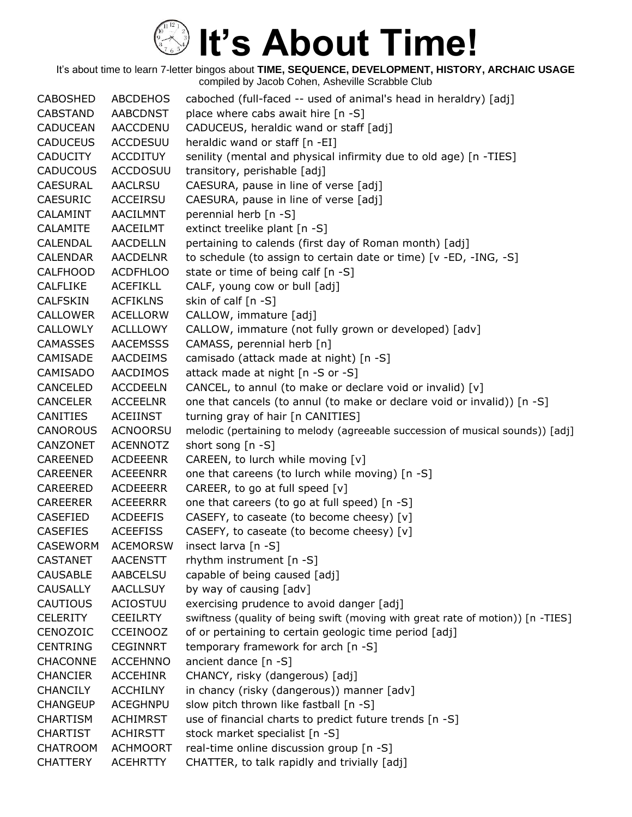It's about time to learn 7-letter bingos about **TIME, SEQUENCE, DEVELOPMENT, HISTORY, ARCHAIC USAGE** compiled by Jacob Cohen, Asheville Scrabble Club

CABOSHED ABCDEHOS caboched (full-faced -- used of animal's head in heraldry) [adj] CABSTAND AABCDNST place where cabs await hire [n -S] CADUCEAN AACCDENU CADUCEUS, heraldic wand or staff [adj] CADUCEUS ACCDESUU heraldic wand or staff [n -EI] CADUCITY ACCDITUY senility (mental and physical infirmity due to old age) [n -TIES] CADUCOUS ACCDOSUU transitory, perishable [adj] CAESURAL AACLRSU CAESURA, pause in line of verse [adj] CAESURIC ACCEIRSU CAESURA, pause in line of verse [adj] CALAMINT AACILMNT perennial herb [n -S] CALAMITE AACEILMT extinct treelike plant [n -S] CALENDAL AACDELLN pertaining to calends (first day of Roman month) [adj] CALENDAR AACDELNR to schedule (to assign to certain date or time) [v -ED, -ING, -S] CALFHOOD ACDFHLOO state or time of being calf [n -S] CALFLIKE ACEFIKLL CALF, young cow or bull [adj] CALFSKIN ACFIKLNS skin of calf [n -S] CALLOWER ACELLORW CALLOW, immature [adj] CALLOWLY ACLLLOWY CALLOW, immature (not fully grown or developed) [adv] CAMASSES AACEMSSS CAMASS, perennial herb [n] CAMISADE AACDEIMS camisado (attack made at night) [n -S] CAMISADO AACDIMOS attack made at night [n -S or -S] CANCELED ACCDEELN CANCEL, to annul (to make or declare void or invalid) [v] CANCELER ACCEELNR one that cancels (to annul (to make or declare void or invalid)) [n -S] CANITIES ACEIINST turning gray of hair [n CANITIES] CANOROUS ACNOORSU melodic (pertaining to melody (agreeable succession of musical sounds)) [adj] CANZONET ACENNOTZ short song [n -S] CAREENED ACDEEENR CAREEN, to lurch while moving [v] CAREENER ACEEENRR one that careens (to lurch while moving) [n -S] CAREERED ACDEEERR CAREER, to go at full speed [v] CAREERER ACEEERRR one that careers (to go at full speed) [n -S] CASEFIED ACDEEFIS CASEFY, to caseate (to become cheesy) [v] CASEFIES ACEEFISS CASEFY, to caseate (to become cheesy) [v] CASEWORM ACEMORSW insect larva [n -S] CASTANET AACENSTT rhythm instrument [n -S] CAUSABLE AABCELSU capable of being caused [adj] CAUSALLY AACLLSUY by way of causing [adv] CAUTIOUS ACIOSTUU exercising prudence to avoid danger [adj] CELERITY CEEILRTY swiftness (quality of being swift (moving with great rate of motion)) [n -TIES] CENOZOIC CCEINOOZ of or pertaining to certain geologic time period [adj] CENTRING CEGINNRT temporary framework for arch [n -S] CHACONNE ACCEHNNO ancient dance [n -S] CHANCIER ACCEHINR CHANCY, risky (dangerous) [adj] CHANCILY ACCHILNY in chancy (risky (dangerous)) manner [adv] CHANGEUP ACEGHNPU slow pitch thrown like fastball [n -S] CHARTISM ACHIMRST use of financial charts to predict future trends [n -S] CHARTIST ACHIRSTT stock market specialist [n -S] CHATROOM ACHMOORT real-time online discussion group [n -S] CHATTERY ACEHRTTY CHATTER, to talk rapidly and trivially [adj]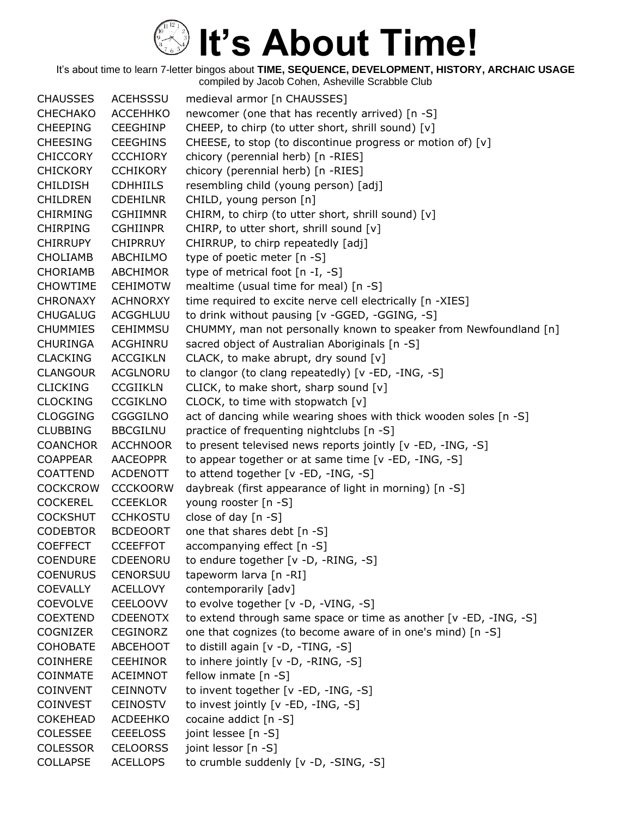| <b>CHAUSSES</b> | <b>ACEHSSSU</b> | medieval armor [n CHAUSSES]                                       |
|-----------------|-----------------|-------------------------------------------------------------------|
| CHECHAKO        | <b>ACCEHHKO</b> | newcomer (one that has recently arrived) [n -S]                   |
| <b>CHEEPING</b> | <b>CEEGHINP</b> | CHEEP, to chirp (to utter short, shrill sound) [v]                |
| <b>CHEESING</b> | <b>CEEGHINS</b> | CHEESE, to stop (to discontinue progress or motion of) [v]        |
| <b>CHICCORY</b> | <b>CCCHIORY</b> | chicory (perennial herb) [n -RIES]                                |
| <b>CHICKORY</b> | <b>CCHIKORY</b> | chicory (perennial herb) [n -RIES]                                |
| <b>CHILDISH</b> | <b>CDHHIILS</b> | resembling child (young person) [adj]                             |
| <b>CHILDREN</b> | <b>CDEHILNR</b> | CHILD, young person [n]                                           |
| <b>CHIRMING</b> | <b>CGHIIMNR</b> | CHIRM, to chirp (to utter short, shrill sound) [v]                |
| <b>CHIRPING</b> | <b>CGHIINPR</b> | CHIRP, to utter short, shrill sound [v]                           |
| <b>CHIRRUPY</b> | <b>CHIPRRUY</b> | CHIRRUP, to chirp repeatedly [adj]                                |
| <b>CHOLIAMB</b> | ABCHILMO        | type of poetic meter [n -S]                                       |
| <b>CHORIAMB</b> | ABCHIMOR        | type of metrical foot [n -I, -S]                                  |
| <b>CHOWTIME</b> | <b>CEHIMOTW</b> | mealtime (usual time for meal) [n -S]                             |
| <b>CHRONAXY</b> | <b>ACHNORXY</b> | time required to excite nerve cell electrically [n -XIES]         |
| <b>CHUGALUG</b> | ACGGHLUU        | to drink without pausing [v -GGED, -GGING, -S]                    |
| <b>CHUMMIES</b> | <b>CEHIMMSU</b> | CHUMMY, man not personally known to speaker from Newfoundland [n] |
| <b>CHURINGA</b> | ACGHINRU        | sacred object of Australian Aboriginals [n -S]                    |
| <b>CLACKING</b> | <b>ACCGIKLN</b> | CLACK, to make abrupt, dry sound [v]                              |
| <b>CLANGOUR</b> | <b>ACGLNORU</b> | to clangor (to clang repeatedly) [v -ED, -ING, -S]                |
| <b>CLICKING</b> | <b>CCGIIKLN</b> | CLICK, to make short, sharp sound [v]                             |
| <b>CLOCKING</b> | <b>CCGIKLNO</b> | CLOCK, to time with stopwatch [v]                                 |
| <b>CLOGGING</b> | <b>CGGGILNO</b> | act of dancing while wearing shoes with thick wooden soles [n -S] |
| <b>CLUBBING</b> | <b>BBCGILNU</b> | practice of frequenting nightclubs [n -S]                         |
| <b>COANCHOR</b> | <b>ACCHNOOR</b> | to present televised news reports jointly [v -ED, -ING, -S]       |
| <b>COAPPEAR</b> | <b>AACEOPPR</b> | to appear together or at same time [v -ED, -ING, -S]              |
| <b>COATTEND</b> | <b>ACDENOTT</b> | to attend together [v -ED, -ING, -S]                              |
| <b>COCKCROW</b> | <b>CCCKOORW</b> | daybreak (first appearance of light in morning) [n -S]            |
| <b>COCKEREL</b> | <b>CCEEKLOR</b> | young rooster [n -S]                                              |
| <b>COCKSHUT</b> | <b>CCHKOSTU</b> | close of day $[n - S]$                                            |
| <b>CODEBTOR</b> | <b>BCDEOORT</b> | one that shares debt [n -S]                                       |
| <b>COEFFECT</b> | <b>CCEEFFOT</b> | accompanying effect [n -S]                                        |
| <b>COENDURE</b> | <b>CDEENORU</b> | to endure together [v -D, -RING, -S]                              |
| <b>COENURUS</b> | CENORSUU        | tapeworm larva [n -RI]                                            |
| <b>COEVALLY</b> | <b>ACELLOVY</b> | contemporarily [adv]                                              |
| <b>COEVOLVE</b> | <b>CEELOOVV</b> | to evolve together [v -D, -VING, -S]                              |
| <b>COEXTEND</b> | <b>CDEENOTX</b> | to extend through same space or time as another [v -ED, -ING, -S] |
| <b>COGNIZER</b> | <b>CEGINORZ</b> | one that cognizes (to become aware of in one's mind) [n -S]       |
| <b>COHOBATE</b> | <b>ABCEHOOT</b> | to distill again [v -D, -TING, -S]                                |
| <b>COINHERE</b> | <b>CEEHINOR</b> | to inhere jointly [v -D, -RING, -S]                               |
| COINMATE        | <b>ACEIMNOT</b> | fellow inmate [n -S]                                              |
| <b>COINVENT</b> | <b>CEINNOTV</b> | to invent together [v -ED, -ING, -S]                              |
| <b>COINVEST</b> | <b>CEINOSTV</b> | to invest jointly [v -ED, -ING, -S]                               |
| <b>COKEHEAD</b> | <b>ACDEEHKO</b> | cocaine addict [n -S]                                             |
| <b>COLESSEE</b> | <b>CEEELOSS</b> | joint lessee [n -S]                                               |
| <b>COLESSOR</b> | <b>CELOORSS</b> | joint lessor [n -S]                                               |
| <b>COLLAPSE</b> | <b>ACELLOPS</b> | to crumble suddenly [v -D, -SING, -S]                             |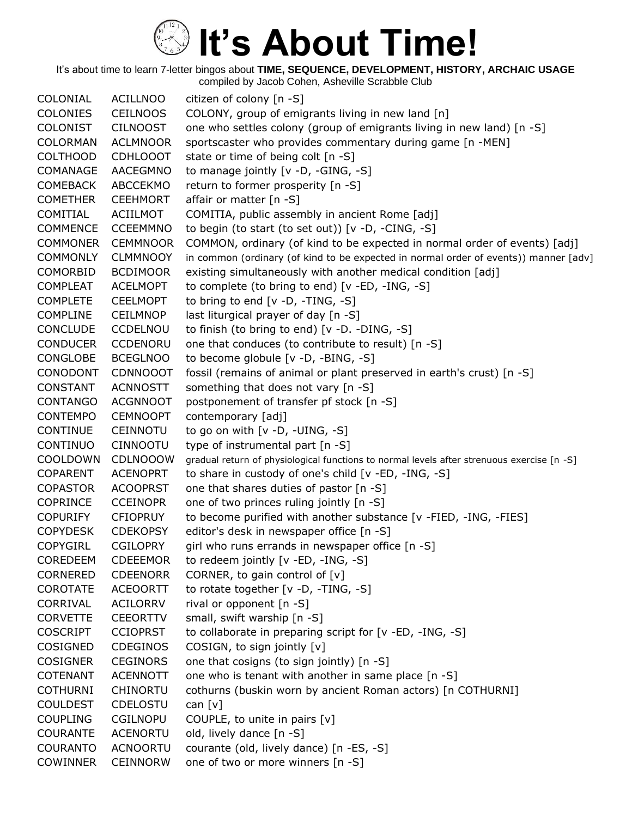It's about time to learn 7-letter bingos about **TIME, SEQUENCE, DEVELOPMENT, HISTORY, ARCHAIC USAGE** compiled by Jacob Cohen, Asheville Scrabble Club

COLONIAL ACILLNOO citizen of colony [n -S] COLONIES CEILNOOS COLONY, group of emigrants living in new land [n] COLONIST CILNOOST one who settles colony (group of emigrants living in new land) [n -S] COLORMAN ACLMNOOR sportscaster who provides commentary during game [n -MEN] COLTHOOD CDHLOOOT state or time of being colt [n -S] COMANAGE AACEGMNO to manage jointly [v -D, -GING, -S] COMEBACK ABCCEKMO return to former prosperity [n -S] COMETHER CEEHMORT affair or matter [n -S] COMITIAL ACIILMOT COMITIA, public assembly in ancient Rome [adj] COMMENCE CCEEMMNO to begin (to start (to set out)) [v -D, -CING, -S] COMMONER CEMMNOOR COMMON, ordinary (of kind to be expected in normal order of events) [adj] COMMONLY CLMMNOOY in common (ordinary (of kind to be expected in normal order of events)) manner [adv] COMORBID BCDIMOOR existing simultaneously with another medical condition [adj] COMPLEAT ACELMOPT to complete (to bring to end) [v -ED, -ING, -S] COMPLETE CEELMOPT to bring to end [v -D, -TING, -S] COMPLINE CEILMNOP last liturgical prayer of day [n -S] CONCLUDE CCDELNOU to finish (to bring to end) [v -D. -DING, -S] CONDUCER CCDENORU one that conduces (to contribute to result) [n -S] CONGLOBE BCEGLNOO to become globule [v -D, -BING, -S] CONODONT CDNNOOOT fossil (remains of animal or plant preserved in earth's crust) [n -S] CONSTANT ACNNOSTT something that does not vary [n -S] CONTANGO ACGNNOOT postponement of transfer pf stock [n -S] CONTEMPO CEMNOOPT contemporary [adj] CONTINUE CEINNOTU to go on with [v -D, -UING, -S] CONTINUO CINNOOTU type of instrumental part [n -S] COOLDOWN CDLNOOOW gradual return of physiological functions to normal levels after strenuous exercise [n -S] COPARENT ACENOPRT to share in custody of one's child [v -ED, -ING, -S] COPASTOR ACOOPRST one that shares duties of pastor [n -S] COPRINCE CCEINOPR one of two princes ruling jointly [n -S] COPURIFY CFIOPRUY to become purified with another substance [v -FIED, -ING, -FIES] COPYDESK CDEKOPSY editor's desk in newspaper office [n -S] COPYGIRL CGILOPRY girl who runs errands in newspaper office [n -S] COREDEEM CDEEEMOR to redeem jointly [v -ED, -ING, -S] CORNERED CDEENORR CORNER, to gain control of [v] COROTATE ACEOORTT to rotate together [v -D, -TING, -S] CORRIVAL ACILORRV rival or opponent [n -S] CORVETTE CEEORTTV small, swift warship [n -S] COSCRIPT CCIOPRST to collaborate in preparing script for [v -ED, -ING, -S] COSIGNED CDEGINOS COSIGN, to sign jointly [v] COSIGNER CEGINORS one that cosigns (to sign jointly) [n -S] COTENANT ACENNOTT one who is tenant with another in same place [n -S] COTHURNI CHINORTU cothurns (buskin worn by ancient Roman actors) [n COTHURNI] COULDEST CDELOSTU can [v] COUPLING CGILNOPU COUPLE, to unite in pairs [v] COURANTE ACENORTU old, lively dance [n -S] COURANTO ACNOORTU courante (old, lively dance) [n -ES, -S] COWINNER CEINNORW one of two or more winners [n -S]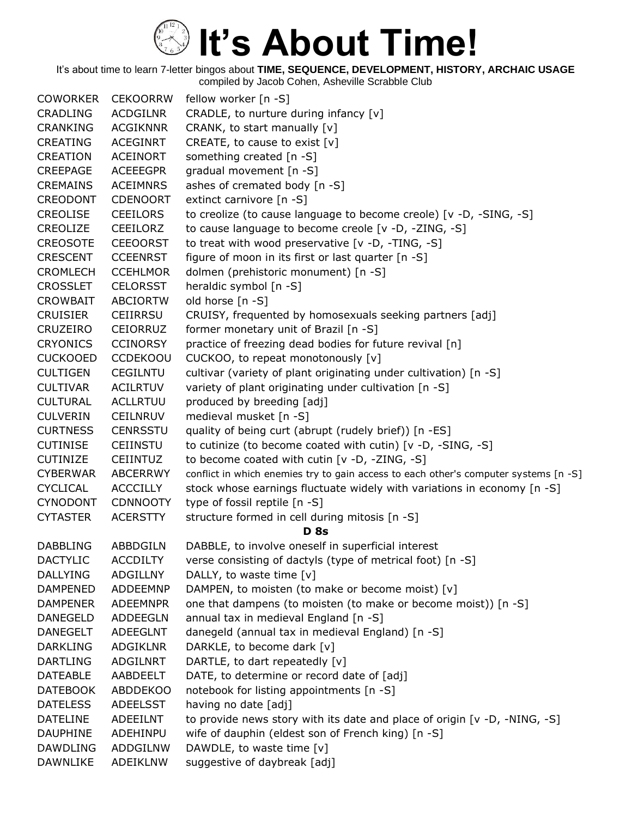| <b>COWORKER</b> | <b>CEKOORRW</b> | fellow worker [n -S]                                                                 |
|-----------------|-----------------|--------------------------------------------------------------------------------------|
| <b>CRADLING</b> | <b>ACDGILNR</b> | CRADLE, to nurture during infancy [v]                                                |
| <b>CRANKING</b> | <b>ACGIKNNR</b> | CRANK, to start manually [v]                                                         |
| CREATING        | ACEGINRT        | CREATE, to cause to exist [v]                                                        |
| <b>CREATION</b> | <b>ACEINORT</b> | something created [n -S]                                                             |
| <b>CREEPAGE</b> | <b>ACEEEGPR</b> | gradual movement [n -S]                                                              |
| <b>CREMAINS</b> | <b>ACEIMNRS</b> | ashes of cremated body [n -S]                                                        |
| <b>CREODONT</b> | <b>CDENOORT</b> | extinct carnivore [n -S]                                                             |
| <b>CREOLISE</b> | <b>CEEILORS</b> | to creolize (to cause language to become creole) [v -D, -SING, -S]                   |
| CREOLIZE        | CEEILORZ        | to cause language to become creole [v -D, -ZING, -S]                                 |
| <b>CREOSOTE</b> | <b>CEEOORST</b> | to treat with wood preservative [v -D, -TING, -S]                                    |
| <b>CRESCENT</b> | <b>CCEENRST</b> | figure of moon in its first or last quarter [n -S]                                   |
| <b>CROMLECH</b> | <b>CCEHLMOR</b> | dolmen (prehistoric monument) [n -S]                                                 |
| <b>CROSSLET</b> | <b>CELORSST</b> | heraldic symbol [n -S]                                                               |
| CROWBAIT        | <b>ABCIORTW</b> | old horse [n -S]                                                                     |
| <b>CRUISIER</b> | CEIIRRSU        | CRUISY, frequented by homosexuals seeking partners [adj]                             |
| <b>CRUZEIRO</b> | <b>CEIORRUZ</b> | former monetary unit of Brazil [n -S]                                                |
| <b>CRYONICS</b> | <b>CCINORSY</b> | practice of freezing dead bodies for future revival [n]                              |
| <b>CUCKOOED</b> | <b>CCDEKOOU</b> | CUCKOO, to repeat monotonously [v]                                                   |
| <b>CULTIGEN</b> | <b>CEGILNTU</b> | cultivar (variety of plant originating under cultivation) [n -S]                     |
| <b>CULTIVAR</b> | <b>ACILRTUV</b> | variety of plant originating under cultivation [n -S]                                |
| <b>CULTURAL</b> | <b>ACLLRTUU</b> | produced by breeding [adj]                                                           |
| <b>CULVERIN</b> | <b>CEILNRUV</b> | medieval musket [n -S]                                                               |
| <b>CURTNESS</b> | CENRSSTU        | quality of being curt (abrupt (rudely brief)) [n -ES]                                |
| <b>CUTINISE</b> | <b>CEIINSTU</b> | to cutinize (to become coated with cutin) [v -D, -SING, -S]                          |
| <b>CUTINIZE</b> | <b>CEIINTUZ</b> | to become coated with cutin [v -D, -ZING, -S]                                        |
| <b>CYBERWAR</b> | ABCERRWY        | conflict in which enemies try to gain access to each other's computer systems [n -S] |
| <b>CYCLICAL</b> | <b>ACCCILLY</b> | stock whose earnings fluctuate widely with variations in economy $[n -S]$            |
| <b>CYNODONT</b> | <b>CDNNOOTY</b> | type of fossil reptile [n -S]                                                        |
| <b>CYTASTER</b> | <b>ACERSTTY</b> | structure formed in cell during mitosis [n -S]                                       |
|                 |                 | <b>D</b> 8s                                                                          |
| <b>DABBLING</b> | ABBDGILN        | DABBLE, to involve oneself in superficial interest                                   |
| <b>DACTYLIC</b> | <b>ACCDILTY</b> | verse consisting of dactyls (type of metrical foot) [n -S]                           |
| <b>DALLYING</b> | <b>ADGILLNY</b> | DALLY, to waste time [v]                                                             |
| <b>DAMPENED</b> | ADDEEMNP        | DAMPEN, to moisten (to make or become moist) [v]                                     |
| <b>DAMPENER</b> | <b>ADEEMNPR</b> | one that dampens (to moisten (to make or become moist)) [n -S]                       |
| <b>DANEGELD</b> | ADDEEGLN        | annual tax in medieval England [n -S]                                                |
| <b>DANEGELT</b> | <b>ADEEGLNT</b> | danegeld (annual tax in medieval England) [n -S]                                     |
| <b>DARKLING</b> | <b>ADGIKLNR</b> | DARKLE, to become dark [v]                                                           |
| <b>DARTLING</b> | ADGILNRT        | DARTLE, to dart repeatedly [v]                                                       |
| <b>DATEABLE</b> | AABDEELT        | DATE, to determine or record date of [adj]                                           |
| <b>DATEBOOK</b> | <b>ABDDEKOO</b> | notebook for listing appointments [n -S]                                             |
| <b>DATELESS</b> | ADEELSST        | having no date [adj]                                                                 |
| <b>DATELINE</b> | <b>ADEEILNT</b> | to provide news story with its date and place of origin [v -D, -NING, -S]            |
| <b>DAUPHINE</b> | ADEHINPU        | wife of dauphin (eldest son of French king) [n -S]                                   |
| <b>DAWDLING</b> | ADDGILNW        | DAWDLE, to waste time [v]                                                            |
| <b>DAWNLIKE</b> | ADEIKLNW        | suggestive of daybreak [adj]                                                         |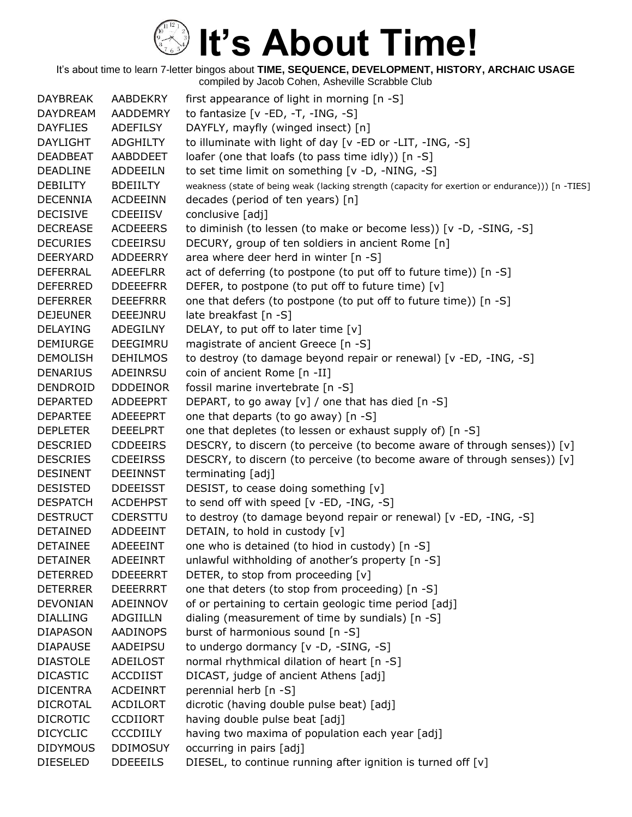| <b>DAYBREAK</b> | AABDEKRY        | first appearance of light in morning $[n - S]$                                                   |
|-----------------|-----------------|--------------------------------------------------------------------------------------------------|
| <b>DAYDREAM</b> | AADDEMRY        | to fantasize $[v - ED, -T, -ING, -S]$                                                            |
| <b>DAYFLIES</b> | <b>ADEFILSY</b> | DAYFLY, mayfly (winged insect) [n]                                                               |
| <b>DAYLIGHT</b> | <b>ADGHILTY</b> | to illuminate with light of day [v -ED or -LIT, -ING, -S]                                        |
| <b>DEADBEAT</b> | AABDDEET        | loafer (one that loafs (to pass time idly)) [n -S]                                               |
| <b>DEADLINE</b> | ADDEEILN        | to set time limit on something [v -D, -NING, -S]                                                 |
| <b>DEBILITY</b> | <b>BDEIILTY</b> | weakness (state of being weak (lacking strength (capacity for exertion or endurance))) [n -TIES] |
| <b>DECENNIA</b> | <b>ACDEEINN</b> | decades (period of ten years) [n]                                                                |
| <b>DECISIVE</b> | <b>CDEEIISV</b> | conclusive [adj]                                                                                 |
| <b>DECREASE</b> | <b>ACDEEERS</b> | to diminish (to lessen (to make or become less)) [v -D, -SING, -S]                               |
| <b>DECURIES</b> | CDEEIRSU        | DECURY, group of ten soldiers in ancient Rome [n]                                                |
| <b>DEERYARD</b> | <b>ADDEERRY</b> | area where deer herd in winter [n -S]                                                            |
| <b>DEFERRAL</b> | <b>ADEEFLRR</b> | act of deferring (to postpone (to put off to future time)) [n -S]                                |
| <b>DEFERRED</b> | <b>DDEEEFRR</b> | DEFER, to postpone (to put off to future time) [v]                                               |
| <b>DEFERRER</b> | <b>DEEEFRRR</b> | one that defers (to postpone (to put off to future time)) [n -S]                                 |
| <b>DEJEUNER</b> | DEEEJNRU        | late breakfast [n -S]                                                                            |
| <b>DELAYING</b> | ADEGILNY        | DELAY, to put off to later time [v]                                                              |
| <b>DEMIURGE</b> | DEEGIMRU        | magistrate of ancient Greece [n -S]                                                              |
| <b>DEMOLISH</b> | <b>DEHILMOS</b> | to destroy (to damage beyond repair or renewal) [v -ED, -ING, -S]                                |
| <b>DENARIUS</b> | ADEINRSU        | coin of ancient Rome [n -II]                                                                     |
| DENDROID        | <b>DDDEINOR</b> | fossil marine invertebrate [n -S]                                                                |
| <b>DEPARTED</b> | <b>ADDEEPRT</b> | DEPART, to go away [v] / one that has died [n -S]                                                |
| <b>DEPARTEE</b> | ADEEEPRT        | one that departs (to go away) [n -S]                                                             |
| <b>DEPLETER</b> | <b>DEEELPRT</b> | one that depletes (to lessen or exhaust supply of) [n -S]                                        |
| <b>DESCRIED</b> | <b>CDDEEIRS</b> | DESCRY, to discern (to perceive (to become aware of through senses)) [v]                         |
| <b>DESCRIES</b> | <b>CDEEIRSS</b> | DESCRY, to discern (to perceive (to become aware of through senses)) [v]                         |
| <b>DESINENT</b> | <b>DEEINNST</b> | terminating [adj]                                                                                |
| <b>DESISTED</b> | <b>DDEEISST</b> | DESIST, to cease doing something [v]                                                             |
| <b>DESPATCH</b> | <b>ACDEHPST</b> | to send off with speed [v -ED, -ING, -S]                                                         |
| <b>DESTRUCT</b> | <b>CDERSTTU</b> | to destroy (to damage beyond repair or renewal) [v -ED, -ING, -S]                                |
| <b>DETAINED</b> | ADDEEINT        | DETAIN, to hold in custody [v]                                                                   |
| <b>DETAINEE</b> | <b>ADEEEINT</b> | one who is detained (to hiod in custody) [n -S]                                                  |
| <b>DETAINER</b> | <b>ADEEINRT</b> | unlawful withholding of another's property [n -S]                                                |
| <b>DETERRED</b> | <b>DDEEERRT</b> | DETER, to stop from proceeding [v]                                                               |
| <b>DETERRER</b> | <b>DEEERRRT</b> | one that deters (to stop from proceeding) [n -S]                                                 |
| <b>DEVONIAN</b> | ADEINNOV        | of or pertaining to certain geologic time period [adj]                                           |
| <b>DIALLING</b> | <b>ADGIILLN</b> | dialing (measurement of time by sundials) [n -S]                                                 |
| <b>DIAPASON</b> | <b>AADINOPS</b> | burst of harmonious sound [n -S]                                                                 |
| <b>DIAPAUSE</b> | AADEIPSU        | to undergo dormancy [v -D, -SING, -S]                                                            |
| <b>DIASTOLE</b> | ADEILOST        | normal rhythmical dilation of heart [n -S]                                                       |
| <b>DICASTIC</b> | <b>ACCDIIST</b> | DICAST, judge of ancient Athens [adj]                                                            |
| <b>DICENTRA</b> | <b>ACDEINRT</b> | perennial herb [n -S]                                                                            |
| <b>DICROTAL</b> | <b>ACDILORT</b> | dicrotic (having double pulse beat) [adj]                                                        |
| <b>DICROTIC</b> | <b>CCDIIORT</b> | having double pulse beat [adj]                                                                   |
| <b>DICYCLIC</b> | <b>CCCDIILY</b> | having two maxima of population each year [adj]                                                  |
| <b>DIDYMOUS</b> | <b>DDIMOSUY</b> | occurring in pairs [adj]                                                                         |
| <b>DIESELED</b> | <b>DDEEEILS</b> | DIESEL, to continue running after ignition is turned off [v]                                     |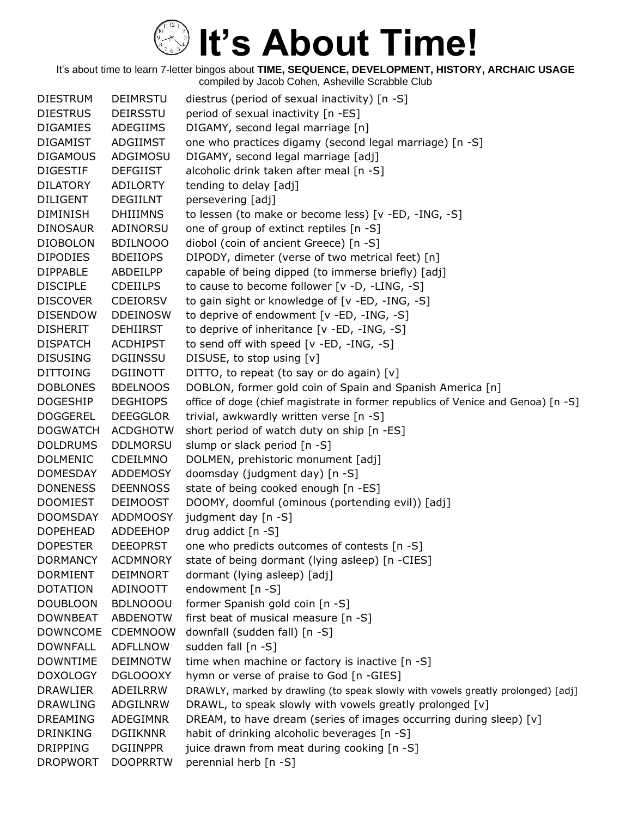It's about time to learn 7-letter bingos about **TIME, SEQUENCE, DEVELOPMENT, HISTORY, ARCHAIC USAGE** compiled by Jacob Cohen, Asheville Scrabble Club

DIESTRUM DEIMRSTU diestrus (period of sexual inactivity) [n -S] DIESTRUS DEIRSSTU period of sexual inactivity [n -ES] DIGAMIES ADEGIIMS DIGAMY, second legal marriage [n] DIGAMIST ADGIIMST one who practices digamy (second legal marriage) [n -S] DIGAMOUS ADGIMOSU DIGAMY, second legal marriage [adj] DIGESTIF DEFGIIST alcoholic drink taken after meal [n -S] DILATORY ADILORTY tending to delay [adj] DILIGENT DEGIILNT persevering [adj] DIMINISH DHIIIMNS to lessen (to make or become less) [v -ED, -ING, -S] DINOSAUR ADINORSU one of group of extinct reptiles [n -S] DIOBOLON BDILNOOO diobol (coin of ancient Greece) [n -S] DIPODIES BDEIIOPS DIPODY, dimeter (verse of two metrical feet) [n] DIPPABLE ABDEILPP capable of being dipped (to immerse briefly) [adj] DISCIPLE CDEIILPS to cause to become follower [v -D, -LING, -S] DISCOVER CDEIORSV to gain sight or knowledge of [v -ED, -ING, -S] DISENDOW DDEINOSW to deprive of endowment [v -ED, -ING, -S] DISHERIT DEHIIRST to deprive of inheritance [v -ED, -ING, -S] DISPATCH ACDHIPST to send off with speed [v -ED, -ING, -S] DISUSING DGIINSSU DISUSE, to stop using [v] DITTOING DGIINOTT DITTO, to repeat (to say or do again)  $[v]$ DOBLONES BDELNOOS DOBLON, former gold coin of Spain and Spanish America [n] DOGESHIP DEGHIOPS office of doge (chief magistrate in former republics of Venice and Genoa) [n -S] DOGGEREL DEEGGLOR trivial, awkwardly written verse [n -S] DOGWATCH ACDGHOTW short period of watch duty on ship [n -ES] DOLDRUMS DDLMORSU slump or slack period [n -S] DOLMENIC CDEILMNO DOLMEN, prehistoric monument [adj] DOMESDAY ADDEMOSY doomsday (judgment day) [n -S] DONENESS DEENNOSS state of being cooked enough [n -ES] DOOMIEST DEIMOOST DOOMY, doomful (ominous (portending evil)) [adj] DOOMSDAY ADDMOOSY judgment day [n -S] DOPEHEAD ADDEEHOP drug addict [n -S] DOPESTER DEEOPRST one who predicts outcomes of contests [n -S] DORMANCY ACDMNORY state of being dormant (lying asleep) [n -CIES] DORMIENT DEIMNORT dormant (lying asleep) [adj] DOTATION ADINOOTT endowment [n -S] DOUBLOON BDLNOOOU former Spanish gold coin [n -S] DOWNBEAT ABDENOTW first beat of musical measure [n -S] DOWNCOME CDEMNOOW downfall (sudden fall) [n -S] DOWNFALL ADFLLNOW sudden fall [n -S] DOWNTIME DEIMNOTW time when machine or factory is inactive [n -S] DOXOLOGY DGLOOOXY hymn or verse of praise to God [n -GIES] DRAWLIER ADEILRRW DRAWLY, marked by drawling (to speak slowly with vowels greatly prolonged) [adj] DRAWLING ADGILNRW DRAWL, to speak slowly with vowels greatly prolonged [v] DREAMING ADEGIMNR DREAM, to have dream (series of images occurring during sleep)  $[v]$ DRINKING DGIIKNNR habit of drinking alcoholic beverages [n -S] DRIPPING DGIINPPR juice drawn from meat during cooking [n -S] DROPWORT DOOPRRTW perennial herb [n -S]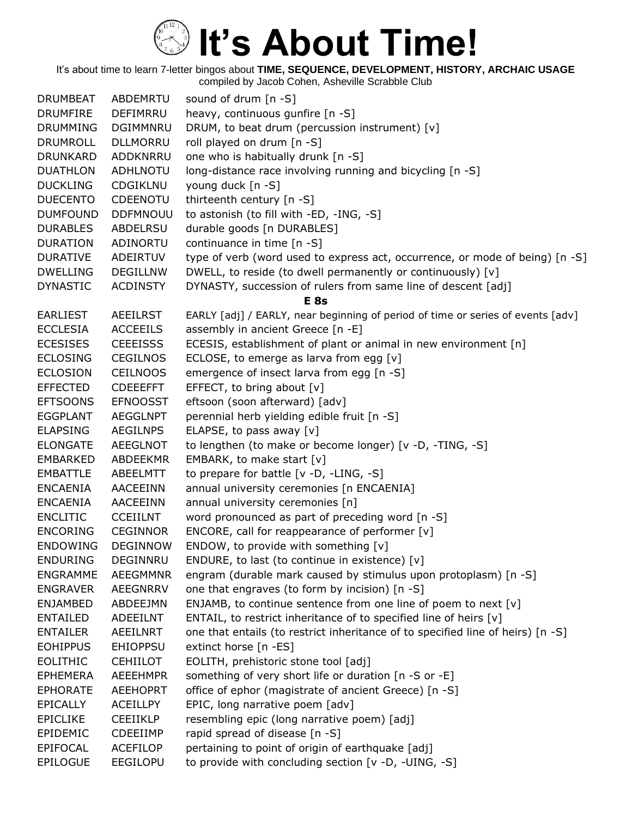| <b>DRUMBEAT</b> | ABDEMRTU        | sound of drum $[n -S]$                                                          |
|-----------------|-----------------|---------------------------------------------------------------------------------|
| <b>DRUMFIRE</b> | <b>DEFIMRRU</b> | heavy, continuous gunfire [n -S]                                                |
| <b>DRUMMING</b> | DGIMMNRU        | DRUM, to beat drum (percussion instrument) [v]                                  |
| DRUMROLL        | <b>DLLMORRU</b> | roll played on drum [n -S]                                                      |
| <b>DRUNKARD</b> | ADDKNRRU        | one who is habitually drunk [n -S]                                              |
| <b>DUATHLON</b> | ADHLNOTU        | long-distance race involving running and bicycling [n -S]                       |
| <b>DUCKLING</b> | CDGIKLNU        | young duck [n -S]                                                               |
| <b>DUECENTO</b> | CDEENOTU        | thirteenth century [n -S]                                                       |
| <b>DUMFOUND</b> | <b>DDFMNOUU</b> | to astonish (to fill with -ED, -ING, -S]                                        |
| <b>DURABLES</b> | ABDELRSU        | durable goods [n DURABLES]                                                      |
| <b>DURATION</b> | ADINORTU        | continuance in time [n -S]                                                      |
| <b>DURATIVE</b> | ADEIRTUV        | type of verb (word used to express act, occurrence, or mode of being) [n -S]    |
| <b>DWELLING</b> | <b>DEGILLNW</b> | DWELL, to reside (to dwell permanently or continuously) [v]                     |
| <b>DYNASTIC</b> | <b>ACDINSTY</b> | DYNASTY, succession of rulers from same line of descent [adj]                   |
|                 |                 | E <sub>8s</sub>                                                                 |
| <b>EARLIEST</b> | <b>AEEILRST</b> | EARLY [adj] / EARLY, near beginning of period of time or series of events [adv] |
| <b>ECCLESIA</b> | <b>ACCEEILS</b> | assembly in ancient Greece [n -E]                                               |
| <b>ECESISES</b> | <b>CEEEISSS</b> | ECESIS, establishment of plant or animal in new environment [n]                 |
| <b>ECLOSING</b> | <b>CEGILNOS</b> | ECLOSE, to emerge as larva from egg [v]                                         |
| <b>ECLOSION</b> | <b>CEILNOOS</b> | emergence of insect larva from egg [n -S]                                       |
| <b>EFFECTED</b> | <b>CDEEEFFT</b> | EFFECT, to bring about [v]                                                      |
| <b>EFTSOONS</b> | <b>EFNOOSST</b> | eftsoon (soon afterward) [adv]                                                  |
| <b>EGGPLANT</b> | <b>AEGGLNPT</b> | perennial herb yielding edible fruit [n -S]                                     |
| <b>ELAPSING</b> | <b>AEGILNPS</b> | ELAPSE, to pass away $[v]$                                                      |
| <b>ELONGATE</b> | <b>AEEGLNOT</b> | to lengthen (to make or become longer) [v -D, -TING, -S]                        |
| <b>EMBARKED</b> | ABDEEKMR        | EMBARK, to make start [v]                                                       |
| <b>EMBATTLE</b> | ABEELMTT        | to prepare for battle [v -D, -LING, -S]                                         |
| <b>ENCAENIA</b> | AACEEINN        | annual university ceremonies [n ENCAENIA]                                       |
| <b>ENCAENIA</b> | AACEEINN        | annual university ceremonies [n]                                                |
| <b>ENCLITIC</b> | <b>CCEIILNT</b> | word pronounced as part of preceding word [n -S]                                |
| <b>ENCORING</b> | <b>CEGINNOR</b> | ENCORE, call for reappearance of performer [v]                                  |
| <b>ENDOWING</b> | <b>DEGINNOW</b> | ENDOW, to provide with something [v]                                            |
| <b>ENDURING</b> | DEGINNRU        | ENDURE, to last (to continue in existence) [v]                                  |
| <b>ENGRAMME</b> | <b>AEEGMMNR</b> | engram (durable mark caused by stimulus upon protoplasm) [n -S]                 |
| <b>ENGRAVER</b> | AEEGNRRV        | one that engraves (to form by incision) [n -S]                                  |
| <b>ENJAMBED</b> | ABDEEJMN        | ENJAMB, to continue sentence from one line of poem to next [v]                  |
| <b>ENTAILED</b> | ADEEILNT        | ENTAIL, to restrict inheritance of to specified line of heirs [v]               |
| <b>ENTAILER</b> | <b>AEEILNRT</b> | one that entails (to restrict inheritance of to specified line of heirs) [n -S] |
| <b>EOHIPPUS</b> | <b>EHIOPPSU</b> | extinct horse [n -ES]                                                           |
| <b>EOLITHIC</b> | <b>CEHIILOT</b> | EOLITH, prehistoric stone tool [adj]                                            |
| <b>EPHEMERA</b> | <b>AEEEHMPR</b> | something of very short life or duration [n -S or -E]                           |
| <b>EPHORATE</b> | <b>AEEHOPRT</b> | office of ephor (magistrate of ancient Greece) [n -S]                           |
| <b>EPICALLY</b> | <b>ACEILLPY</b> | EPIC, long narrative poem [adv]                                                 |
| <b>EPICLIKE</b> | <b>CEEIIKLP</b> | resembling epic (long narrative poem) [adj]                                     |
| EPIDEMIC        | CDEEIIMP        | rapid spread of disease [n -S]                                                  |
| <b>EPIFOCAL</b> | <b>ACEFILOP</b> | pertaining to point of origin of earthquake [adj]                               |
| <b>EPILOGUE</b> | <b>EEGILOPU</b> | to provide with concluding section [v -D, -UING, -S]                            |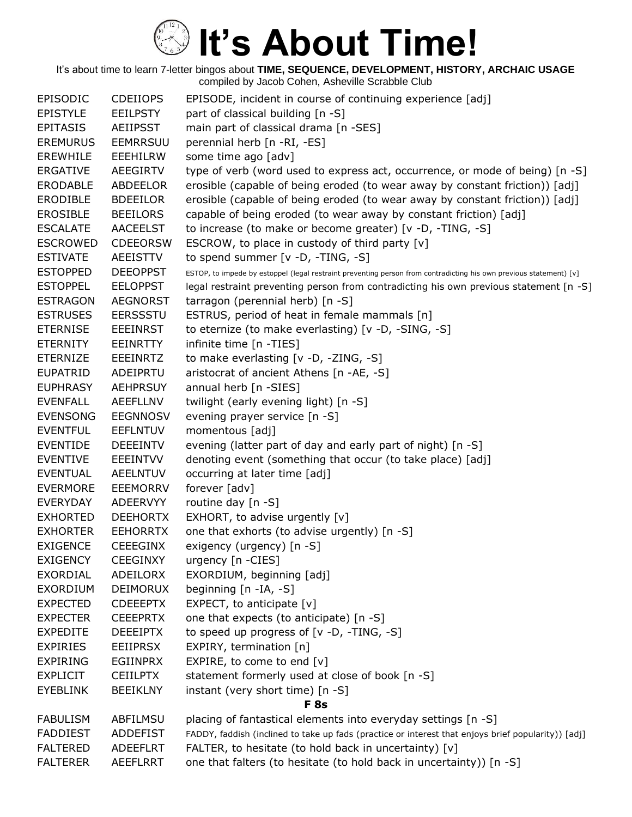| EPISODIC        | <b>CDEIIOPS</b> | EPISODE, incident in course of continuing experience [adj]                                                         |
|-----------------|-----------------|--------------------------------------------------------------------------------------------------------------------|
| <b>EPISTYLE</b> | <b>EEILPSTY</b> | part of classical building [n -S]                                                                                  |
| <b>EPITASIS</b> | <b>AEIIPSST</b> | main part of classical drama [n -SES]                                                                              |
| <b>EREMURUS</b> | <b>EEMRRSUU</b> | perennial herb [n -RI, -ES]                                                                                        |
| <b>EREWHILE</b> | <b>EEEHILRW</b> | some time ago [adv]                                                                                                |
| <b>ERGATIVE</b> | AEEGIRTV        | type of verb (word used to express act, occurrence, or mode of being) [n -S]                                       |
| <b>ERODABLE</b> | <b>ABDEELOR</b> | erosible (capable of being eroded (to wear away by constant friction)) [adj]                                       |
| <b>ERODIBLE</b> | <b>BDEEILOR</b> | erosible (capable of being eroded (to wear away by constant friction)) [adj]                                       |
| <b>EROSIBLE</b> | <b>BEEILORS</b> | capable of being eroded (to wear away by constant friction) [adj]                                                  |
| <b>ESCALATE</b> | <b>AACEELST</b> | to increase (to make or become greater) [v -D, -TING, -S]                                                          |
| <b>ESCROWED</b> | <b>CDEEORSW</b> | ESCROW, to place in custody of third party $[v]$                                                                   |
| <b>ESTIVATE</b> | <b>AEEISTTV</b> | to spend summer [v -D, -TING, -S]                                                                                  |
| <b>ESTOPPED</b> | <b>DEEOPPST</b> | ESTOP, to impede by estoppel (legal restraint preventing person from contradicting his own previous statement) [v] |
| <b>ESTOPPEL</b> | <b>EELOPPST</b> | legal restraint preventing person from contradicting his own previous statement [n -S]                             |
| <b>ESTRAGON</b> | <b>AEGNORST</b> | tarragon (perennial herb) [n -S]                                                                                   |
| <b>ESTRUSES</b> | <b>EERSSSTU</b> | ESTRUS, period of heat in female mammals [n]                                                                       |
| <b>ETERNISE</b> | <b>EEEINRST</b> | to eternize (to make everlasting) [v -D, -SING, -S]                                                                |
| <b>ETERNITY</b> | <b>EEINRTTY</b> | infinite time [n -TIES]                                                                                            |
| <b>ETERNIZE</b> | <b>EEEINRTZ</b> | to make everlasting [v -D, -ZING, -S]                                                                              |
| <b>EUPATRID</b> | ADEIPRTU        | aristocrat of ancient Athens [n -AE, -S]                                                                           |
| <b>EUPHRASY</b> | <b>AEHPRSUY</b> | annual herb [n -SIES]                                                                                              |
| <b>EVENFALL</b> | AEEFLLNV        | twilight (early evening light) [n -S]                                                                              |
| <b>EVENSONG</b> | <b>EEGNNOSV</b> | evening prayer service [n -S]                                                                                      |
| <b>EVENTFUL</b> | <b>EEFLNTUV</b> | momentous [adj]                                                                                                    |
| <b>EVENTIDE</b> | <b>DEEEINTV</b> | evening (latter part of day and early part of night) [n -S]                                                        |
| <b>EVENTIVE</b> | <b>EEEINTVV</b> | denoting event (something that occur (to take place) [adj]                                                         |
| <b>EVENTUAL</b> | AEELNTUV        | occurring at later time [adj]                                                                                      |
| <b>EVERMORE</b> | <b>EEEMORRV</b> | forever [adv]                                                                                                      |
| <b>EVERYDAY</b> | ADEERVYY        | routine day [n -S]                                                                                                 |
| <b>EXHORTED</b> | <b>DEEHORTX</b> | EXHORT, to advise urgently [v]                                                                                     |
| <b>EXHORTER</b> | <b>EEHORRTX</b> | one that exhorts (to advise urgently) [n -S]                                                                       |
| <b>EXIGENCE</b> | <b>CEEEGINX</b> | exigency (urgency) [n -S]                                                                                          |
| <b>EXIGENCY</b> | <b>CEEGINXY</b> | urgency [n -CIES]                                                                                                  |
| <b>EXORDIAL</b> | ADEILORX        | EXORDIUM, beginning [adj]                                                                                          |
| <b>EXORDIUM</b> | <b>DEIMORUX</b> | beginning [n -IA, -S]                                                                                              |
| <b>EXPECTED</b> | <b>CDEEEPTX</b> | EXPECT, to anticipate [v]                                                                                          |
| <b>EXPECTER</b> | <b>CEEEPRTX</b> | one that expects (to anticipate) [n -S]                                                                            |
| <b>EXPEDITE</b> | <b>DEEEIPTX</b> | to speed up progress of [v -D, -TING, -S]                                                                          |
| <b>EXPIRIES</b> | <b>EEIIPRSX</b> | EXPIRY, termination [n]                                                                                            |
| <b>EXPIRING</b> | <b>EGIINPRX</b> | EXPIRE, to come to end [v]                                                                                         |
| <b>EXPLICIT</b> | <b>CEIILPTX</b> | statement formerly used at close of book [n -S]                                                                    |
| <b>EYEBLINK</b> | <b>BEEIKLNY</b> | instant (very short time) [n -S]                                                                                   |
|                 |                 | <b>F</b> 8s                                                                                                        |
| <b>FABULISM</b> | ABFILMSU        | placing of fantastical elements into everyday settings [n -S]                                                      |
| <b>FADDIEST</b> | <b>ADDEFIST</b> | FADDY, faddish (inclined to take up fads (practice or interest that enjoys brief popularity)) [adj]                |
| <b>FALTERED</b> | <b>ADEEFLRT</b> | FALTER, to hesitate (to hold back in uncertainty) [v]                                                              |
| <b>FALTERER</b> | AEEFLRRT        | one that falters (to hesitate (to hold back in uncertainty)) [n -S]                                                |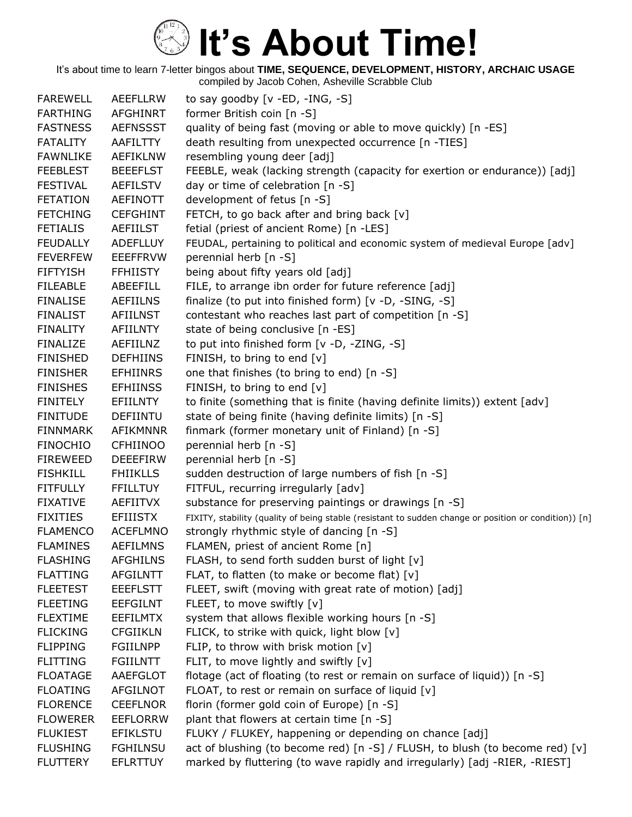| <b>FAREWELL</b> | AEEFLLRW        | to say goodby $[v - ED, -ING, -S]$                                                                    |
|-----------------|-----------------|-------------------------------------------------------------------------------------------------------|
| <b>FARTHING</b> | <b>AFGHINRT</b> | former British coin [n -S]                                                                            |
| <b>FASTNESS</b> | <b>AEFNSSST</b> | quality of being fast (moving or able to move quickly) [n -ES]                                        |
| <b>FATALITY</b> | AAFILTTY        | death resulting from unexpected occurrence [n -TIES]                                                  |
| <b>FAWNLIKE</b> | <b>AEFIKLNW</b> | resembling young deer [adj]                                                                           |
| <b>FEEBLEST</b> | <b>BEEEFLST</b> | FEEBLE, weak (lacking strength (capacity for exertion or endurance)) [adj]                            |
| <b>FESTIVAL</b> | <b>AEFILSTV</b> | day or time of celebration [n -S]                                                                     |
| <b>FETATION</b> | <b>AEFINOTT</b> | development of fetus [n -S]                                                                           |
| <b>FETCHING</b> | <b>CEFGHINT</b> | FETCH, to go back after and bring back [v]                                                            |
| <b>FETIALIS</b> | <b>AEFIILST</b> | fetial (priest of ancient Rome) [n -LES]                                                              |
| <b>FEUDALLY</b> | <b>ADEFLLUY</b> | FEUDAL, pertaining to political and economic system of medieval Europe [adv]                          |
| <b>FEVERFEW</b> | <b>EEEFFRVW</b> | perennial herb [n -S]                                                                                 |
| <b>FIFTYISH</b> | <b>FFHIISTY</b> | being about fifty years old [adj]                                                                     |
| <b>FILEABLE</b> | ABEEFILL        | FILE, to arrange ibn order for future reference [adj]                                                 |
| <b>FINALISE</b> | <b>AEFIILNS</b> | finalize (to put into finished form) [v -D, -SING, -S]                                                |
| <b>FINALIST</b> | <b>AFIILNST</b> | contestant who reaches last part of competition [n -S]                                                |
| <b>FINALITY</b> | <b>AFIILNTY</b> | state of being conclusive [n -ES]                                                                     |
| <b>FINALIZE</b> | AEFIILNZ        | to put into finished form [v -D, -ZING, -S]                                                           |
| <b>FINISHED</b> | <b>DEFHIINS</b> | FINISH, to bring to end [v]                                                                           |
| <b>FINISHER</b> | <b>EFHIINRS</b> | one that finishes (to bring to end) [n -S]                                                            |
| <b>FINISHES</b> | <b>EFHIINSS</b> | FINISH, to bring to end [v]                                                                           |
| <b>FINITELY</b> | <b>EFIILNTY</b> | to finite (something that is finite (having definite limits)) extent [adv]                            |
| <b>FINITUDE</b> | <b>DEFIINTU</b> | state of being finite (having definite limits) [n -S]                                                 |
| <b>FINNMARK</b> | AFIKMNNR        | finmark (former monetary unit of Finland) [n -S]                                                      |
| <b>FINOCHIO</b> | <b>CFHIINOO</b> | perennial herb [n -S]                                                                                 |
| <b>FIREWEED</b> | <b>DEEEFIRW</b> | perennial herb [n -S]                                                                                 |
| <b>FISHKILL</b> | <b>FHIIKLLS</b> | sudden destruction of large numbers of fish [n -S]                                                    |
| <b>FITFULLY</b> | <b>FFILLTUY</b> | FITFUL, recurring irregularly [adv]                                                                   |
| <b>FIXATIVE</b> | <b>AEFIITVX</b> | substance for preserving paintings or drawings [n -S]                                                 |
| <b>FIXITIES</b> | <b>EFIIISTX</b> | FIXITY, stability (quality of being stable (resistant to sudden change or position or condition)) [n] |
| <b>FLAMENCO</b> | <b>ACEFLMNO</b> | strongly rhythmic style of dancing [n -S]                                                             |
| <b>FLAMINES</b> | <b>AEFILMNS</b> | FLAMEN, priest of ancient Rome [n]                                                                    |
| <b>FLASHING</b> | <b>AFGHILNS</b> | FLASH, to send forth sudden burst of light [v]                                                        |
| <b>FLATTING</b> | <b>AFGILNTT</b> | FLAT, to flatten (to make or become flat) [v]                                                         |
| <b>FLEETEST</b> | <b>EEEFLSTT</b> | FLEET, swift (moving with great rate of motion) [adj]                                                 |
| <b>FLEETING</b> | <b>EEFGILNT</b> | FLEET, to move swiftly [v]                                                                            |
| <b>FLEXTIME</b> | <b>EEFILMTX</b> | system that allows flexible working hours [n -S]                                                      |
| <b>FLICKING</b> | <b>CFGIIKLN</b> | FLICK, to strike with quick, light blow [v]                                                           |
| <b>FLIPPING</b> | <b>FGIILNPP</b> | FLIP, to throw with brisk motion [v]                                                                  |
| <b>FLITTING</b> | <b>FGIILNTT</b> | FLIT, to move lightly and swiftly [v]                                                                 |
| <b>FLOATAGE</b> | AAEFGLOT        | flotage (act of floating (to rest or remain on surface of liquid)) [n -S]                             |
| <b>FLOATING</b> | AFGILNOT        | FLOAT, to rest or remain on surface of liquid [v]                                                     |
| <b>FLORENCE</b> | <b>CEEFLNOR</b> | florin (former gold coin of Europe) [n -S]                                                            |
| <b>FLOWERER</b> | <b>EEFLORRW</b> | plant that flowers at certain time [n -S]                                                             |
| <b>FLUKIEST</b> | <b>EFIKLSTU</b> | FLUKY / FLUKEY, happening or depending on chance [adj]                                                |
| <b>FLUSHING</b> | <b>FGHILNSU</b> | act of blushing (to become red) [n -S] / FLUSH, to blush (to become red) [v]                          |
| <b>FLUTTERY</b> | <b>EFLRTTUY</b> | marked by fluttering (to wave rapidly and irregularly) [adj -RIER, -RIEST]                            |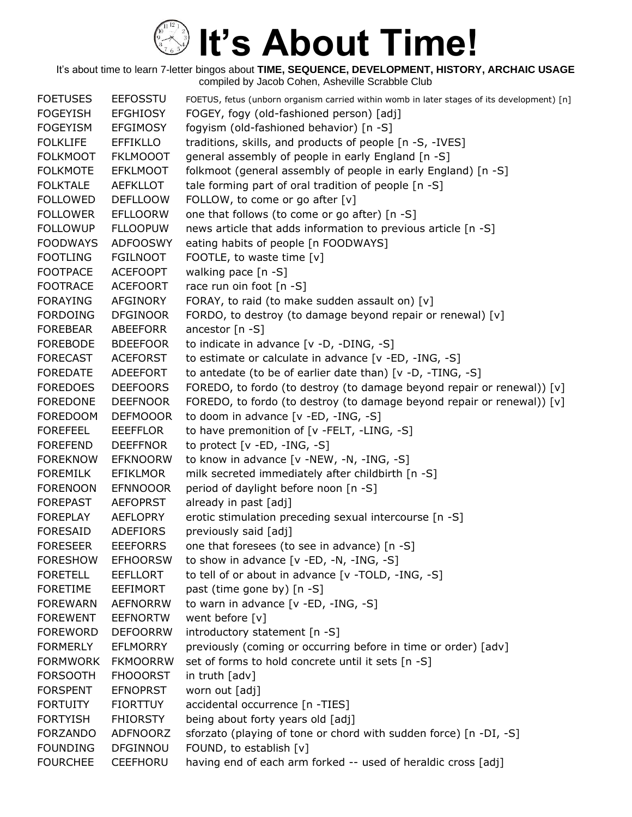| <b>FOETUSES</b> | <b>EEFOSSTU</b> | FOETUS, fetus (unborn organism carried within womb in later stages of its development) [n] |
|-----------------|-----------------|--------------------------------------------------------------------------------------------|
| <b>FOGEYISH</b> | <b>EFGHIOSY</b> | FOGEY, fogy (old-fashioned person) [adj]                                                   |
| <b>FOGEYISM</b> | <b>EFGIMOSY</b> | fogyism (old-fashioned behavior) [n -S]                                                    |
| <b>FOLKLIFE</b> | <b>EFFIKLLO</b> | traditions, skills, and products of people [n -S, -IVES]                                   |
| <b>FOLKMOOT</b> | <b>FKLMOOOT</b> | general assembly of people in early England [n -S]                                         |
| <b>FOLKMOTE</b> | <b>EFKLMOOT</b> | folkmoot (general assembly of people in early England) [n -S]                              |
| <b>FOLKTALE</b> | <b>AEFKLLOT</b> | tale forming part of oral tradition of people [n -S]                                       |
| <b>FOLLOWED</b> | <b>DEFLLOOW</b> | FOLLOW, to come or go after [v]                                                            |
| <b>FOLLOWER</b> | <b>EFLLOORW</b> | one that follows (to come or go after) [n -S]                                              |
| <b>FOLLOWUP</b> | <b>FLLOOPUW</b> | news article that adds information to previous article [n -S]                              |
| <b>FOODWAYS</b> | <b>ADFOOSWY</b> | eating habits of people [n FOODWAYS]                                                       |
| <b>FOOTLING</b> | <b>FGILNOOT</b> | FOOTLE, to waste time [v]                                                                  |
| <b>FOOTPACE</b> | <b>ACEFOOPT</b> | walking pace [n -S]                                                                        |
| <b>FOOTRACE</b> | <b>ACEFOORT</b> | race run oin foot [n -S]                                                                   |
| <b>FORAYING</b> | AFGINORY        | FORAY, to raid (to make sudden assault on) [v]                                             |
| <b>FORDOING</b> | <b>DFGINOOR</b> | FORDO, to destroy (to damage beyond repair or renewal) [v]                                 |
| <b>FOREBEAR</b> | ABEEFORR        | ancestor $[n - S]$                                                                         |
| <b>FOREBODE</b> | <b>BDEEFOOR</b> | to indicate in advance [v -D, -DING, -S]                                                   |
| <b>FORECAST</b> | <b>ACEFORST</b> | to estimate or calculate in advance [v -ED, -ING, -S]                                      |
| <b>FOREDATE</b> | ADEEFORT        | to antedate (to be of earlier date than) [v -D, -TING, -S]                                 |
| <b>FOREDOES</b> | <b>DEEFOORS</b> | FOREDO, to fordo (to destroy (to damage beyond repair or renewal)) [v]                     |
| <b>FOREDONE</b> | <b>DEEFNOOR</b> | FOREDO, to fordo (to destroy (to damage beyond repair or renewal)) [v]                     |
| <b>FOREDOOM</b> | <b>DEFMOOOR</b> | to doom in advance [v -ED, -ING, -S]                                                       |
| <b>FOREFEEL</b> | <b>EEEFFLOR</b> | to have premonition of [v -FELT, -LING, -S]                                                |
| <b>FOREFEND</b> | <b>DEEFFNOR</b> | to protect $[v - ED, -ING, -S]$                                                            |
| <b>FOREKNOW</b> | <b>EFKNOORW</b> | to know in advance [v -NEW, -N, -ING, -S]                                                  |
| <b>FOREMILK</b> | EFIKLMOR        | milk secreted immediately after childbirth [n -S]                                          |
| <b>FORENOON</b> | <b>EFNNOOOR</b> | period of daylight before noon [n -S]                                                      |
| <b>FOREPAST</b> | <b>AEFOPRST</b> | already in past [adj]                                                                      |
| <b>FOREPLAY</b> | AEFLOPRY        | erotic stimulation preceding sexual intercourse [n -S]                                     |
| <b>FORESAID</b> | ADEFIORS        | previously said [adj]                                                                      |
| <b>FORESEER</b> | <b>EEEFORRS</b> | one that foresees (to see in advance) [n -S]                                               |
| <b>FORESHOW</b> | <b>EFHOORSW</b> | to show in advance [v -ED, -N, -ING, -S]                                                   |
| <b>FORETELL</b> | <b>EEFLLORT</b> | to tell of or about in advance [v -TOLD, -ING, -S]                                         |
| <b>FORETIME</b> | <b>EEFIMORT</b> | past (time gone by) [n -S]                                                                 |
| <b>FOREWARN</b> | <b>AEFNORRW</b> | to warn in advance $[v - ED, -ING, -S]$                                                    |
| <b>FOREWENT</b> | <b>EEFNORTW</b> | went before [v]                                                                            |
| <b>FOREWORD</b> | <b>DEFOORRW</b> | introductory statement [n -S]                                                              |
| <b>FORMERLY</b> | <b>EFLMORRY</b> | previously (coming or occurring before in time or order) [adv]                             |
| <b>FORMWORK</b> | <b>FKMOORRW</b> | set of forms to hold concrete until it sets [n -S]                                         |
| <b>FORSOOTH</b> | <b>FHOOORST</b> | in truth $\lceil$ adv $\rceil$                                                             |
| <b>FORSPENT</b> | <b>EFNOPRST</b> | worn out [adj]                                                                             |
| <b>FORTUITY</b> | <b>FIORTTUY</b> | accidental occurrence [n -TIES]                                                            |
| <b>FORTYISH</b> | <b>FHIORSTY</b> | being about forty years old [adj]                                                          |
| <b>FORZANDO</b> | ADFNOORZ        | sforzato (playing of tone or chord with sudden force) [n -DI, -S]                          |
| <b>FOUNDING</b> | DFGINNOU        | FOUND, to establish [v]                                                                    |
| <b>FOURCHEE</b> | <b>CEEFHORU</b> | having end of each arm forked -- used of heraldic cross [adj]                              |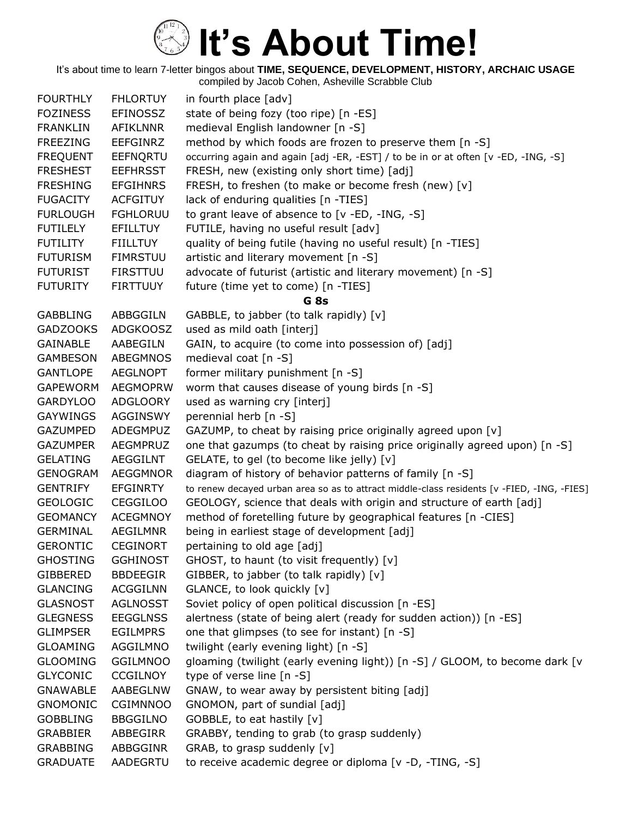| <b>FOURTHLY</b> | <b>FHLORTUY</b> | in fourth place [adv]                                                                      |
|-----------------|-----------------|--------------------------------------------------------------------------------------------|
| <b>FOZINESS</b> | <b>EFINOSSZ</b> | state of being fozy (too ripe) [n -ES]                                                     |
| <b>FRANKLIN</b> | <b>AFIKLNNR</b> | medieval English landowner [n -S]                                                          |
| <b>FREEZING</b> | <b>EEFGINRZ</b> | method by which foods are frozen to preserve them [n -S]                                   |
| <b>FREQUENT</b> | EEFNQRTU        | occurring again and again [adj -ER, -EST] / to be in or at often [v -ED, -ING, -S]         |
| <b>FRESHEST</b> | <b>EEFHRSST</b> | FRESH, new (existing only short time) [adj]                                                |
| <b>FRESHING</b> | <b>EFGIHNRS</b> | FRESH, to freshen (to make or become fresh (new) [v]                                       |
| <b>FUGACITY</b> | <b>ACFGITUY</b> | lack of enduring qualities [n -TIES]                                                       |
| <b>FURLOUGH</b> | <b>FGHLORUU</b> | to grant leave of absence to [v -ED, -ING, -S]                                             |
| <b>FUTILELY</b> | <b>EFILLTUY</b> | FUTILE, having no useful result [adv]                                                      |
| <b>FUTILITY</b> | <b>FIILLTUY</b> | quality of being futile (having no useful result) [n -TIES]                                |
| <b>FUTURISM</b> | <b>FIMRSTUU</b> | artistic and literary movement [n -S]                                                      |
| <b>FUTURIST</b> | <b>FIRSTTUU</b> | advocate of futurist (artistic and literary movement) [n -S]                               |
| <b>FUTURITY</b> | <b>FIRTTUUY</b> | future (time yet to come) [n -TIES]                                                        |
|                 |                 | G <sub>8s</sub>                                                                            |
| <b>GABBLING</b> | ABBGGILN        | GABBLE, to jabber (to talk rapidly) [v]                                                    |
| <b>GADZOOKS</b> | <b>ADGKOOSZ</b> | used as mild oath [interj]                                                                 |
| <b>GAINABLE</b> | AABEGILN        | GAIN, to acquire (to come into possession of) [adj]                                        |
| <b>GAMBESON</b> | ABEGMNOS        | medieval coat [n -S]                                                                       |
| <b>GANTLOPE</b> | <b>AEGLNOPT</b> | former military punishment [n -S]                                                          |
| <b>GAPEWORM</b> | <b>AEGMOPRW</b> | worm that causes disease of young birds [n -S]                                             |
| <b>GARDYLOO</b> | <b>ADGLOORY</b> | used as warning cry [interj]                                                               |
| <b>GAYWINGS</b> | AGGINSWY        | perennial herb [n -S]                                                                      |
| <b>GAZUMPED</b> | ADEGMPUZ        | GAZUMP, to cheat by raising price originally agreed upon [v]                               |
| <b>GAZUMPER</b> | <b>AEGMPRUZ</b> | one that gazumps (to cheat by raising price originally agreed upon) [n -S]                 |
| <b>GELATING</b> | AEGGILNT        | GELATE, to gel (to become like jelly) [v]                                                  |
| <b>GENOGRAM</b> | AEGGMNOR        | diagram of history of behavior patterns of family [n -S]                                   |
| <b>GENTRIFY</b> | <b>EFGINRTY</b> | to renew decayed urban area so as to attract middle-class residents [v -FIED, -ING, -FIES] |
| <b>GEOLOGIC</b> | <b>CEGGILOO</b> | GEOLOGY, science that deals with origin and structure of earth [adj]                       |
| <b>GEOMANCY</b> | <b>ACEGMNOY</b> | method of foretelling future by geographical features [n -CIES]                            |
| <b>GERMINAL</b> | <b>AEGILMNR</b> | being in earliest stage of development [adj]                                               |
| <b>GERONTIC</b> | <b>CEGINORT</b> | pertaining to old age [adj]                                                                |
| <b>GHOSTING</b> | <b>GGHINOST</b> | GHOST, to haunt (to visit frequently) [v]                                                  |
| <b>GIBBERED</b> | <b>BBDEEGIR</b> | GIBBER, to jabber (to talk rapidly) [v]                                                    |
| <b>GLANCING</b> | <b>ACGGILNN</b> | GLANCE, to look quickly [v]                                                                |
| <b>GLASNOST</b> | <b>AGLNOSST</b> | Soviet policy of open political discussion [n -ES]                                         |
| <b>GLEGNESS</b> | <b>EEGGLNSS</b> | alertness (state of being alert (ready for sudden action)) [n -ES]                         |
| <b>GLIMPSER</b> | <b>EGILMPRS</b> | one that glimpses (to see for instant) [n -S]                                              |
| <b>GLOAMING</b> | AGGILMNO        | twilight (early evening light) [n -S]                                                      |
| <b>GLOOMING</b> | <b>GGILMNOO</b> | gloaming (twilight (early evening light)) [n -S] / GLOOM, to become dark [v                |
| <b>GLYCONIC</b> | <b>CCGILNOY</b> | type of verse line [n -S]                                                                  |
| <b>GNAWABLE</b> | AABEGLNW        | GNAW, to wear away by persistent biting [adj]                                              |
| <b>GNOMONIC</b> | <b>CGIMNNOO</b> | GNOMON, part of sundial [adj]                                                              |
| <b>GOBBLING</b> | <b>BBGGILNO</b> | GOBBLE, to eat hastily [v]                                                                 |
| <b>GRABBIER</b> | ABBEGIRR        | GRABBY, tending to grab (to grasp suddenly)                                                |
| <b>GRABBING</b> | ABBGGINR        | GRAB, to grasp suddenly [v]                                                                |
| <b>GRADUATE</b> | AADEGRTU        | to receive academic degree or diploma [v -D, -TING, -S]                                    |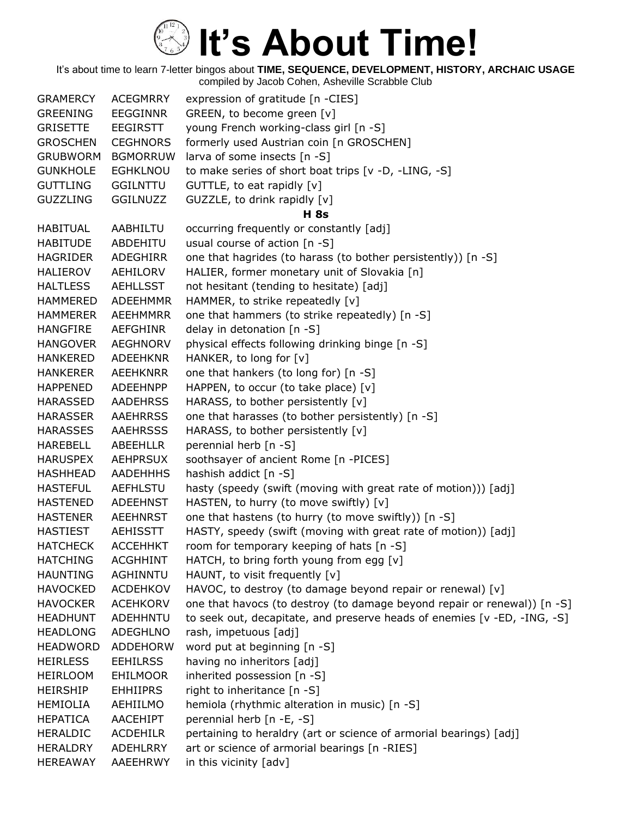| <b>GRAMERCY</b> | <b>ACEGMRRY</b> | expression of gratitude [n -CIES]                                        |
|-----------------|-----------------|--------------------------------------------------------------------------|
| <b>GREENING</b> | <b>EEGGINNR</b> | GREEN, to become green [v]                                               |
| <b>GRISETTE</b> | EEGIRSTT        | young French working-class girl [n -S]                                   |
| <b>GROSCHEN</b> | <b>CEGHNORS</b> | formerly used Austrian coin [n GROSCHEN]                                 |
| <b>GRUBWORM</b> | <b>BGMORRUW</b> | larva of some insects [n -S]                                             |
| <b>GUNKHOLE</b> | <b>EGHKLNOU</b> | to make series of short boat trips [v -D, -LING, -S]                     |
| <b>GUTTLING</b> | <b>GGILNTTU</b> | GUTTLE, to eat rapidly [v]                                               |
| <b>GUZZLING</b> | <b>GGILNUZZ</b> | GUZZLE, to drink rapidly [v]                                             |
|                 |                 | <b>H</b> 8s                                                              |
| <b>HABITUAL</b> | AABHILTU        | occurring frequently or constantly [adj]                                 |
| <b>HABITUDE</b> | ABDEHITU        | usual course of action [n -S]                                            |
| <b>HAGRIDER</b> | ADEGHIRR        | one that hagrides (to harass (to bother persistently)) [n -S]            |
| <b>HALIEROV</b> | AEHILORV        | HALIER, former monetary unit of Slovakia [n]                             |
| <b>HALTLESS</b> | <b>AEHLLSST</b> | not hesitant (tending to hesitate) [adj]                                 |
| <b>HAMMERED</b> | <b>ADEEHMMR</b> | HAMMER, to strike repeatedly [v]                                         |
| <b>HAMMERER</b> | <b>AEEHMMRR</b> | one that hammers (to strike repeatedly) [n -S]                           |
| <b>HANGFIRE</b> | AEFGHINR        | delay in detonation [n -S]                                               |
| <b>HANGOVER</b> | <b>AEGHNORV</b> | physical effects following drinking binge [n -S]                         |
| <b>HANKERED</b> | <b>ADEEHKNR</b> | HANKER, to long for [v]                                                  |
| <b>HANKERER</b> | <b>AEEHKNRR</b> | one that hankers (to long for) [n -S]                                    |
| <b>HAPPENED</b> | ADEEHNPP        | HAPPEN, to occur (to take place) [v]                                     |
| <b>HARASSED</b> | <b>AADEHRSS</b> | HARASS, to bother persistently [v]                                       |
| <b>HARASSER</b> | <b>AAEHRRSS</b> | one that harasses (to bother persistently) [n -S]                        |
| <b>HARASSES</b> | <b>AAEHRSSS</b> | HARASS, to bother persistently [v]                                       |
| HAREBELL        | ABEEHLLR        | perennial herb [n -S]                                                    |
| <b>HARUSPEX</b> | <b>AEHPRSUX</b> | soothsayer of ancient Rome [n -PICES]                                    |
| HASHHEAD        | <b>AADEHHHS</b> | hashish addict [n -S]                                                    |
| <b>HASTEFUL</b> | <b>AEFHLSTU</b> | hasty (speedy (swift (moving with great rate of motion))) [adj]          |
| <b>HASTENED</b> | <b>ADEEHNST</b> | HASTEN, to hurry (to move swiftly) [v]                                   |
| <b>HASTENER</b> | <b>AEEHNRST</b> | one that hastens (to hurry (to move swiftly)) [n -S]                     |
| <b>HASTIEST</b> | AEHISSTT        | HASTY, speedy (swift (moving with great rate of motion)) [adj]           |
| <b>HATCHECK</b> | <b>ACCEHHKT</b> | room for temporary keeping of hats [n -S]                                |
| <b>HATCHING</b> | <b>ACGHHINT</b> | HATCH, to bring forth young from egg [v]                                 |
| <b>HAUNTING</b> | AGHINNTU        | HAUNT, to visit frequently [v]                                           |
| <b>HAVOCKED</b> | <b>ACDEHKOV</b> | HAVOC, to destroy (to damage beyond repair or renewal) [v]               |
| <b>HAVOCKER</b> | <b>ACEHKORV</b> | one that havocs (to destroy (to damage beyond repair or renewal)) [n -S] |
| <b>HEADHUNT</b> | ADEHHNTU        | to seek out, decapitate, and preserve heads of enemies [v -ED, -ING, -S] |
| <b>HEADLONG</b> | <b>ADEGHLNO</b> | rash, impetuous [adj]                                                    |
| <b>HEADWORD</b> | <b>ADDEHORW</b> | word put at beginning [n -S]                                             |
| <b>HEIRLESS</b> | <b>EEHILRSS</b> | having no inheritors [adj]                                               |
| <b>HEIRLOOM</b> | <b>EHILMOOR</b> | inherited possession [n -S]                                              |
| <b>HEIRSHIP</b> | <b>EHHIIPRS</b> | right to inheritance [n -S]                                              |
| <b>HEMIOLIA</b> | AEHIILMO        | hemiola (rhythmic alteration in music) [n -S]                            |
| <b>HEPATICA</b> | <b>AACEHIPT</b> | perennial herb [n -E, -S]                                                |
| <b>HERALDIC</b> | <b>ACDEHILR</b> | pertaining to heraldry (art or science of armorial bearings) [adj]       |
| <b>HERALDRY</b> | ADEHLRRY        | art or science of armorial bearings [n -RIES]                            |
| <b>HEREAWAY</b> | AAEEHRWY        | in this vicinity [adv]                                                   |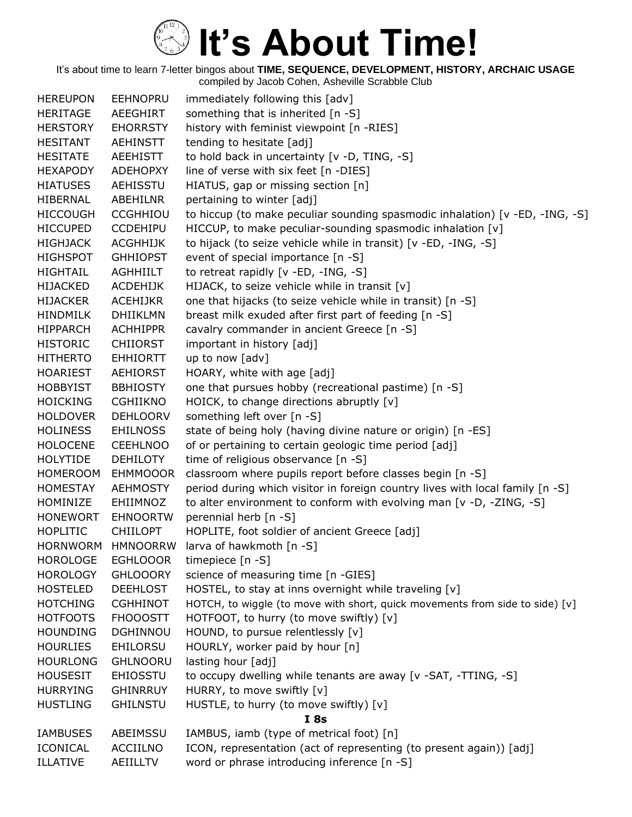| <b>HEREUPON</b> | <b>EEHNOPRU</b> | immediately following this [adv]                                              |
|-----------------|-----------------|-------------------------------------------------------------------------------|
| <b>HERITAGE</b> | AEEGHIRT        | something that is inherited [n -S]                                            |
| <b>HERSTORY</b> | <b>EHORRSTY</b> | history with feminist viewpoint [n -RIES]                                     |
| <b>HESITANT</b> | <b>AEHINSTT</b> | tending to hesitate [adj]                                                     |
| <b>HESITATE</b> | <b>AEEHISTT</b> | to hold back in uncertainty [v -D, TING, -S]                                  |
| <b>HEXAPODY</b> | <b>ADEHOPXY</b> | line of verse with six feet [n -DIES]                                         |
| <b>HIATUSES</b> | AEHISSTU        | HIATUS, gap or missing section [n]                                            |
| <b>HIBERNAL</b> | ABEHILNR        | pertaining to winter [adj]                                                    |
| <b>HICCOUGH</b> | <b>CCGHHIOU</b> | to hiccup (to make peculiar sounding spasmodic inhalation) [v -ED, -ING, -S]  |
| <b>HICCUPED</b> | <b>CCDEHIPU</b> | HICCUP, to make peculiar-sounding spasmodic inhalation [v]                    |
| <b>HIGHJACK</b> | <b>ACGHHIJK</b> | to hijack (to seize vehicle while in transit) [v -ED, -ING, -S]               |
| <b>HIGHSPOT</b> | <b>GHHIOPST</b> | event of special importance $[n -S]$                                          |
| <b>HIGHTAIL</b> | AGHHIILT        | to retreat rapidly [v -ED, -ING, -S]                                          |
| <b>HIJACKED</b> | <b>ACDEHIJK</b> | HIJACK, to seize vehicle while in transit [v]                                 |
| <b>HIJACKER</b> | <b>ACEHIJKR</b> | one that hijacks (to seize vehicle while in transit) [n -S]                   |
| <b>HINDMILK</b> | <b>DHIIKLMN</b> | breast milk exuded after first part of feeding [n -S]                         |
| <b>HIPPARCH</b> | <b>ACHHIPPR</b> | cavalry commander in ancient Greece [n -S]                                    |
| <b>HISTORIC</b> | <b>CHIIORST</b> | important in history [adj]                                                    |
| <b>HITHERTO</b> | <b>EHHIORTT</b> | up to now [adv]                                                               |
| <b>HOARIEST</b> | <b>AEHIORST</b> | HOARY, white with age [adj]                                                   |
| <b>HOBBYIST</b> | <b>BBHIOSTY</b> | one that pursues hobby (recreational pastime) [n -S]                          |
| <b>HOICKING</b> | <b>CGHIIKNO</b> | HOICK, to change directions abruptly [v]                                      |
| <b>HOLDOVER</b> | <b>DEHLOORV</b> | something left over [n -S]                                                    |
| <b>HOLINESS</b> | <b>EHILNOSS</b> | state of being holy (having divine nature or origin) [n -ES]                  |
| <b>HOLOCENE</b> | <b>CEEHLNOO</b> | of or pertaining to certain geologic time period [adj]                        |
| <b>HOLYTIDE</b> | <b>DEHILOTY</b> | time of religious observance [n -S]                                           |
| <b>HOMEROOM</b> | <b>EHMMOOOR</b> | classroom where pupils report before classes begin [n -S]                     |
| <b>HOMESTAY</b> | <b>AEHMOSTY</b> | period during which visitor in foreign country lives with local family [n -S] |
| HOMINIZE        | EHIIMNOZ        | to alter environment to conform with evolving man [v -D, -ZING, -S]           |
| <b>HONEWORT</b> | <b>EHNOORTW</b> | perennial herb [n -S]                                                         |
| <b>HOPLITIC</b> | <b>CHIILOPT</b> | HOPLITE, foot soldier of ancient Greece [adj]                                 |
| HORNWORM        | <b>HMNOORRW</b> | larva of hawkmoth [n -S]                                                      |
| <b>HOROLOGE</b> | <b>EGHLOOOR</b> | timepiece [n -S]                                                              |
| <b>HOROLOGY</b> | <b>GHLOOORY</b> | science of measuring time [n -GIES]                                           |
| <b>HOSTELED</b> | <b>DEEHLOST</b> | HOSTEL, to stay at inns overnight while traveling [v]                         |
| <b>HOTCHING</b> | <b>CGHHINOT</b> | HOTCH, to wiggle (to move with short, quick movements from side to side) [v]  |
| <b>HOTFOOTS</b> | <b>FHOOOSTT</b> | HOTFOOT, to hurry (to move swiftly) [v]                                       |
| <b>HOUNDING</b> | <b>DGHINNOU</b> | HOUND, to pursue relentlessly [v]                                             |
| <b>HOURLIES</b> | EHILORSU        | HOURLY, worker paid by hour [n]                                               |
| <b>HOURLONG</b> | <b>GHLNOORU</b> | lasting hour [adj]                                                            |
| <b>HOUSESIT</b> | <b>EHIOSSTU</b> | to occupy dwelling while tenants are away [v -SAT, -TTING, -S]                |
| <b>HURRYING</b> | <b>GHINRRUY</b> | HURRY, to move swiftly [v]                                                    |
| <b>HUSTLING</b> | <b>GHILNSTU</b> | HUSTLE, to hurry (to move swiftly) [v]<br><b>I</b> 8s                         |
| <b>IAMBUSES</b> | ABEIMSSU        | IAMBUS, iamb (type of metrical foot) [n]                                      |
| <b>ICONICAL</b> | ACCIILNO        | ICON, representation (act of representing (to present again)) [adj]           |
| <b>ILLATIVE</b> | <b>AEIILLTV</b> | word or phrase introducing inference [n -S]                                   |
|                 |                 |                                                                               |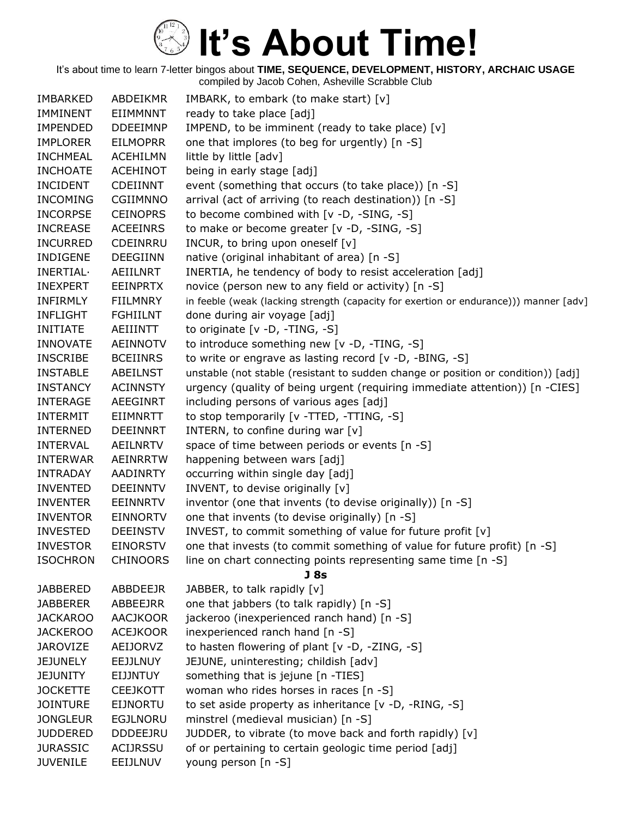| <b>IMBARKED</b> | <b>ABDEIKMR</b> | IMBARK, to embark (to make start) [v]                                                 |
|-----------------|-----------------|---------------------------------------------------------------------------------------|
| <b>IMMINENT</b> | EIIMMNNT        | ready to take place [adj]                                                             |
| <b>IMPENDED</b> | <b>DDEEIMNP</b> | IMPEND, to be imminent (ready to take place) [v]                                      |
| <b>IMPLORER</b> | <b>EILMOPRR</b> | one that implores (to beg for urgently) [n -S]                                        |
| <b>INCHMEAL</b> | <b>ACEHILMN</b> | little by little [adv]                                                                |
| <b>INCHOATE</b> | <b>ACEHINOT</b> | being in early stage [adj]                                                            |
| <b>INCIDENT</b> | <b>CDEIINNT</b> | event (something that occurs (to take place)) [n -S]                                  |
| <b>INCOMING</b> | <b>CGIIMNNO</b> | arrival (act of arriving (to reach destination)) [n -S]                               |
| <b>INCORPSE</b> | <b>CEINOPRS</b> | to become combined with [v -D, -SING, -S]                                             |
| <b>INCREASE</b> | <b>ACEEINRS</b> | to make or become greater [v -D, -SING, -S]                                           |
| <b>INCURRED</b> | CDEINRRU        | INCUR, to bring upon oneself [v]                                                      |
| <b>INDIGENE</b> | <b>DEEGIINN</b> | native (original inhabitant of area) [n -S]                                           |
| INERTIAL·       | AEIILNRT        | INERTIA, he tendency of body to resist acceleration [adj]                             |
| <b>INEXPERT</b> | <b>EEINPRTX</b> | novice (person new to any field or activity) [n -S]                                   |
| <b>INFIRMLY</b> | <b>FIILMNRY</b> | in feeble (weak (lacking strength (capacity for exertion or endurance))) manner [adv] |
| <b>INFLIGHT</b> | <b>FGHIILNT</b> | done during air voyage [adj]                                                          |
| <b>INITIATE</b> | <b>AEIIINTT</b> | to originate $[v -D, -TING, -S]$                                                      |
| <b>INNOVATE</b> | <b>AEINNOTV</b> | to introduce something new [v -D, -TING, -S]                                          |
| <b>INSCRIBE</b> | <b>BCEIINRS</b> | to write or engrave as lasting record $[v -D, -BING, -S]$                             |
| <b>INSTABLE</b> | <b>ABEILNST</b> | unstable (not stable (resistant to sudden change or position or condition)) [adj]     |
| <b>INSTANCY</b> | <b>ACINNSTY</b> | urgency (quality of being urgent (requiring immediate attention)) [n -CIES]           |
| <b>INTERAGE</b> | AEEGINRT        | including persons of various ages [adj]                                               |
| <b>INTERMIT</b> | <b>EIIMNRTT</b> | to stop temporarily [v -TTED, -TTING, -S]                                             |
| <b>INTERNED</b> | <b>DEEINNRT</b> | INTERN, to confine during war [v]                                                     |
| <b>INTERVAL</b> | <b>AEILNRTV</b> | space of time between periods or events [n -S]                                        |
| <b>INTERWAR</b> | <b>AEINRRTW</b> | happening between wars [adj]                                                          |
| <b>INTRADAY</b> | <b>AADINRTY</b> | occurring within single day [adj]                                                     |
| <b>INVENTED</b> | <b>DEEINNTV</b> | INVENT, to devise originally [v]                                                      |
| <b>INVENTER</b> | <b>EEINNRTV</b> | inventor (one that invents (to devise originally)) [n -S]                             |
| <b>INVENTOR</b> | <b>EINNORTV</b> | one that invents (to devise originally) [n -S]                                        |
| <b>INVESTED</b> | <b>DEEINSTV</b> | INVEST, to commit something of value for future profit [v]                            |
| <b>INVESTOR</b> | <b>EINORSTV</b> | one that invests (to commit something of value for future profit) [n -S]              |
| <b>ISOCHRON</b> | <b>CHINOORS</b> | line on chart connecting points representing same time [n -S]                         |
|                 |                 | J <sub>8s</sub>                                                                       |
| <b>JABBERED</b> | ABBDEEJR        | JABBER, to talk rapidly [v]                                                           |
| <b>JABBERER</b> | ABBEEJRR        | one that jabbers (to talk rapidly) [n -S]                                             |
| <b>JACKAROO</b> | <b>AACJKOOR</b> | jackeroo (inexperienced ranch hand) [n -S]                                            |
| <b>JACKEROO</b> | <b>ACEJKOOR</b> | inexperienced ranch hand [n -S]                                                       |
| <b>JAROVIZE</b> | AEIJORVZ        | to hasten flowering of plant [v -D, -ZING, -S]                                        |
| <b>JEJUNELY</b> | <b>EEJJLNUY</b> | JEJUNE, uninteresting; childish [adv]                                                 |
| <b>JEJUNITY</b> | EIJJNTUY        | something that is jejune [n -TIES]                                                    |
| <b>JOCKETTE</b> | <b>CEEJKOTT</b> | woman who rides horses in races [n -S]                                                |
| <b>JOINTURE</b> | <b>EIJNORTU</b> | to set aside property as inheritance [v -D, -RING, -S]                                |
| <b>JONGLEUR</b> | <b>EGJLNORU</b> | minstrel (medieval musician) [n -S]                                                   |
| <b>JUDDERED</b> | <b>DDDEEJRU</b> | JUDDER, to vibrate (to move back and forth rapidly) [v]                               |
| <b>JURASSIC</b> | ACIJRSSU        | of or pertaining to certain geologic time period [adj]                                |
| <b>JUVENILE</b> | EEIJLNUV        | young person [n -S]                                                                   |
|                 |                 |                                                                                       |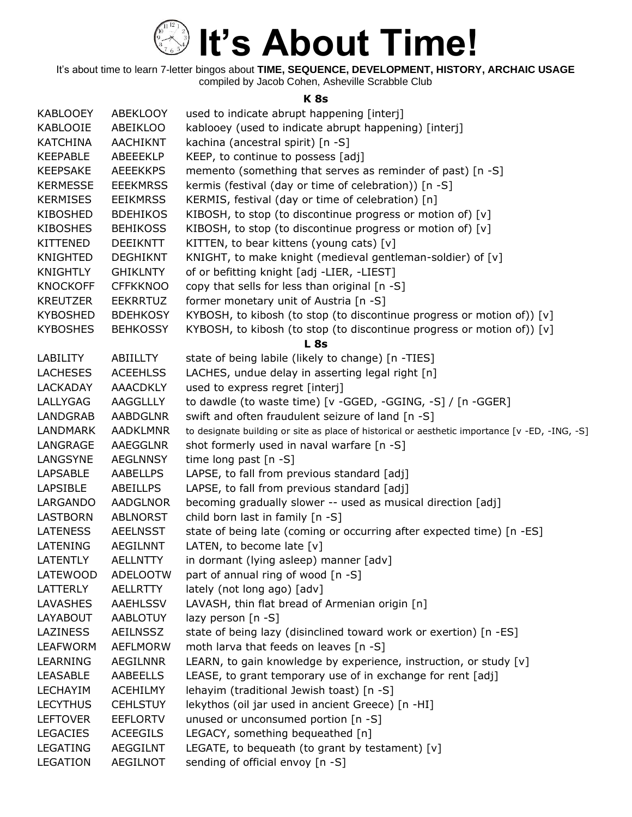

It's about time to learn 7-letter bingos about **TIME, SEQUENCE, DEVELOPMENT, HISTORY, ARCHAIC USAGE** compiled by Jacob Cohen, Asheville Scrabble Club

#### **K 8s**

| <b>KABLOOEY</b> | ABEKLOOY        | used to indicate abrupt happening [interj]                                                     |
|-----------------|-----------------|------------------------------------------------------------------------------------------------|
| KABLOOIE        | ABEIKLOO        | kablooey (used to indicate abrupt happening) [interj]                                          |
| <b>KATCHINA</b> | <b>AACHIKNT</b> | kachina (ancestral spirit) [n -S]                                                              |
| <b>KEEPABLE</b> | <b>ABEEEKLP</b> | KEEP, to continue to possess [adj]                                                             |
| <b>KEEPSAKE</b> | <b>AEEEKKPS</b> | memento (something that serves as reminder of past) [n -S]                                     |
| <b>KERMESSE</b> | <b>EEEKMRSS</b> | kermis (festival (day or time of celebration)) [n -S]                                          |
| <b>KERMISES</b> | <b>EEIKMRSS</b> | KERMIS, festival (day or time of celebration) [n]                                              |
| <b>KIBOSHED</b> | <b>BDEHIKOS</b> | KIBOSH, to stop (to discontinue progress or motion of) [v]                                     |
| <b>KIBOSHES</b> | <b>BEHIKOSS</b> | KIBOSH, to stop (to discontinue progress or motion of) [v]                                     |
| <b>KITTENED</b> | <b>DEEIKNTT</b> | KITTEN, to bear kittens (young cats) [v]                                                       |
| <b>KNIGHTED</b> | <b>DEGHIKNT</b> | KNIGHT, to make knight (medieval gentleman-soldier) of [v]                                     |
| KNIGHTLY        | <b>GHIKLNTY</b> | of or befitting knight [adj -LIER, -LIEST]                                                     |
| <b>KNOCKOFF</b> | <b>CFFKKNOO</b> | copy that sells for less than original [n -S]                                                  |
| <b>KREUTZER</b> | <b>EEKRRTUZ</b> | former monetary unit of Austria [n -S]                                                         |
| <b>KYBOSHED</b> | <b>BDEHKOSY</b> | KYBOSH, to kibosh (to stop (to discontinue progress or motion of)) [v]                         |
| <b>KYBOSHES</b> | <b>BEHKOSSY</b> | KYBOSH, to kibosh (to stop (to discontinue progress or motion of)) [v]                         |
|                 |                 | L <sub>8s</sub>                                                                                |
| LABILITY        | ABIILLTY        | state of being labile (likely to change) [n -TIES]                                             |
| <b>LACHESES</b> | <b>ACEEHLSS</b> | LACHES, undue delay in asserting legal right [n]                                               |
| <b>LACKADAY</b> | <b>AAACDKLY</b> | used to express regret [interj]                                                                |
| LALLYGAG        | AAGGLLLY        | to dawdle (to waste time) [v -GGED, -GGING, -S] / [n -GGER]                                    |
|                 |                 |                                                                                                |
| <b>LANDGRAB</b> | <b>AABDGLNR</b> | swift and often fraudulent seizure of land [n -S]                                              |
| <b>LANDMARK</b> | <b>AADKLMNR</b> | to designate building or site as place of historical or aesthetic importance [v -ED, -ING, -S] |
| LANGRAGE        | AAEGGLNR        | shot formerly used in naval warfare [n -S]                                                     |
| LANGSYNE        | AEGLNNSY        | time long past [n -S]                                                                          |
| <b>LAPSABLE</b> | AABELLPS        | LAPSE, to fall from previous standard [adj]                                                    |
| <b>LAPSIBLE</b> | <b>ABEILLPS</b> | LAPSE, to fall from previous standard [adj]                                                    |
| LARGANDO        | <b>AADGLNOR</b> | becoming gradually slower -- used as musical direction [adj]                                   |
| <b>LASTBORN</b> | <b>ABLNORST</b> | child born last in family [n -S]                                                               |
| <b>LATENESS</b> | <b>AEELNSST</b> | state of being late (coming or occurring after expected time) [n -ES]                          |
| LATENING        | <b>AEGILNNT</b> | LATEN, to become late $[v]$                                                                    |
| <b>LATENTLY</b> | <b>AELLNTTY</b> | in dormant (lying asleep) manner [adv]                                                         |
| LATEWOOD        | <b>ADELOOTW</b> | part of annual ring of wood [n -S]                                                             |
| LATTERLY        | <b>AELLRTTY</b> | lately (not long ago) [adv]                                                                    |
| LAVASHES        | AAEHLSSV        | LAVASH, thin flat bread of Armenian origin [n]                                                 |
| LAYABOUT        | <b>AABLOTUY</b> | lazy person $[n - S]$                                                                          |
| <b>LAZINESS</b> | <b>AEILNSSZ</b> | state of being lazy (disinclined toward work or exertion) [n -ES]                              |
| <b>LEAFWORM</b> | <b>AEFLMORW</b> | moth larva that feeds on leaves [n -S]                                                         |
| LEARNING        | AEGILNNR        | LEARN, to gain knowledge by experience, instruction, or study [v]                              |
| <b>LEASABLE</b> | <b>AABEELLS</b> | LEASE, to grant temporary use of in exchange for rent [adj]                                    |
| <b>LECHAYIM</b> | <b>ACEHILMY</b> | lehayim (traditional Jewish toast) [n -S]                                                      |
| <b>LECYTHUS</b> | <b>CEHLSTUY</b> | lekythos (oil jar used in ancient Greece) [n -HI]                                              |
| <b>LEFTOVER</b> | <b>EEFLORTV</b> | unused or unconsumed portion [n -S]                                                            |
| <b>LEGACIES</b> | <b>ACEEGILS</b> | LEGACY, something bequeathed [n]                                                               |
| LEGATING        | <b>AEGGILNT</b> | LEGATE, to bequeath (to grant by testament) $[v]$                                              |
| <b>LEGATION</b> | <b>AEGILNOT</b> | sending of official envoy [n -S]                                                               |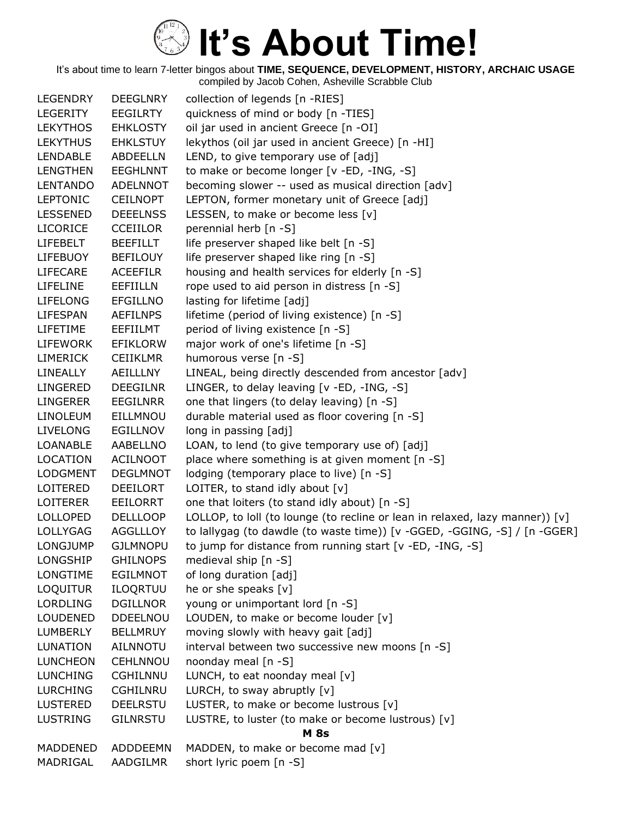| <b>LEGENDRY</b> | <b>DEEGLNRY</b> | collection of legends [n -RIES]                                              |
|-----------------|-----------------|------------------------------------------------------------------------------|
| LEGERITY        | <b>EEGILRTY</b> | quickness of mind or body [n -TIES]                                          |
| <b>LEKYTHOS</b> | <b>EHKLOSTY</b> | oil jar used in ancient Greece [n -OI]                                       |
| <b>LEKYTHUS</b> | <b>EHKLSTUY</b> | lekythos (oil jar used in ancient Greece) [n -HI]                            |
| <b>LENDABLE</b> | <b>ABDEELLN</b> | LEND, to give temporary use of [adj]                                         |
| <b>LENGTHEN</b> | <b>EEGHLNNT</b> | to make or become longer [v -ED, -ING, -S]                                   |
| <b>LENTANDO</b> | <b>ADELNNOT</b> | becoming slower -- used as musical direction [adv]                           |
| <b>LEPTONIC</b> | <b>CEILNOPT</b> | LEPTON, former monetary unit of Greece [adj]                                 |
| <b>LESSENED</b> | <b>DEEELNSS</b> | LESSEN, to make or become less [v]                                           |
| <b>LICORICE</b> | <b>CCEIILOR</b> | perennial herb [n -S]                                                        |
| <b>LIFEBELT</b> | <b>BEEFILLT</b> | life preserver shaped like belt [n -S]                                       |
| <b>LIFEBUOY</b> | <b>BEFILOUY</b> | life preserver shaped like ring [n -S]                                       |
| <b>LIFECARE</b> | <b>ACEEFILR</b> | housing and health services for elderly [n -S]                               |
| <b>LIFELINE</b> | <b>EEFIILLN</b> | rope used to aid person in distress [n -S]                                   |
| <b>LIFELONG</b> | <b>EFGILLNO</b> | lasting for lifetime [adj]                                                   |
| <b>LIFESPAN</b> | <b>AEFILNPS</b> | lifetime (period of living existence) [n -S]                                 |
| LIFETIME        | EEFIILMT        | period of living existence [n -S]                                            |
| LIFEWORK        | <b>EFIKLORW</b> | major work of one's lifetime [n -S]                                          |
| <b>LIMERICK</b> | <b>CEIIKLMR</b> | humorous verse [n -S]                                                        |
| LINEALLY        | AEILLLNY        | LINEAL, being directly descended from ancestor [adv]                         |
| <b>LINGERED</b> | <b>DEEGILNR</b> | LINGER, to delay leaving [v -ED, -ING, -S]                                   |
| <b>LINGERER</b> | <b>EEGILNRR</b> | one that lingers (to delay leaving) [n -S]                                   |
| <b>LINOLEUM</b> | EILLMNOU        | durable material used as floor covering [n -S]                               |
| <b>LIVELONG</b> | <b>EGILLNOV</b> | long in passing [adj]                                                        |
| <b>LOANABLE</b> | AABELLNO        | LOAN, to lend (to give temporary use of) [adj]                               |
| <b>LOCATION</b> | <b>ACILNOOT</b> | place where something is at given moment [n -S]                              |
| <b>LODGMENT</b> | <b>DEGLMNOT</b> | lodging (temporary place to live) [n -S]                                     |
| LOITERED        | <b>DEEILORT</b> | LOITER, to stand idly about [v]                                              |
| <b>LOITERER</b> | EEILORRT        | one that loiters (to stand idly about) [n -S]                                |
| <b>LOLLOPED</b> | <b>DELLLOOP</b> | LOLLOP, to loll (to lounge (to recline or lean in relaxed, lazy manner)) [v] |
| <b>LOLLYGAG</b> | <b>AGGLLLOY</b> | to lallygag (to dawdle (to waste time)) [v -GGED, -GGING, -S] / [n -GGER]    |
| <b>LONGJUMP</b> | <b>GJLMNOPU</b> | to jump for distance from running start [v -ED, -ING, -S]                    |
| LONGSHIP        | <b>GHILNOPS</b> | medieval ship [n -S]                                                         |
| LONGTIME        | <b>EGILMNOT</b> | of long duration [adj]                                                       |
| <b>LOQUITUR</b> | ILOQRTUU        | he or she speaks [v]                                                         |
| <b>LORDLING</b> | <b>DGILLNOR</b> | young or unimportant lord [n -S]                                             |
| <b>LOUDENED</b> | DDEELNOU        | LOUDEN, to make or become louder [v]                                         |
| <b>LUMBERLY</b> | <b>BELLMRUY</b> | moving slowly with heavy gait [adj]                                          |
| <b>LUNATION</b> | <b>AILNNOTU</b> | interval between two successive new moons [n -S]                             |
| <b>LUNCHEON</b> | <b>CEHLNNOU</b> | noonday meal [n -S]                                                          |
| <b>LUNCHING</b> | <b>CGHILNNU</b> | LUNCH, to eat noonday meal [v]                                               |
| <b>LURCHING</b> | <b>CGHILNRU</b> | LURCH, to sway abruptly $[v]$                                                |
| <b>LUSTERED</b> | <b>DEELRSTU</b> | LUSTER, to make or become lustrous [v]                                       |
| <b>LUSTRING</b> | <b>GILNRSTU</b> | LUSTRE, to luster (to make or become lustrous) [v]                           |
|                 |                 | <b>M</b> 8s                                                                  |
| MADDENED        | ADDDEEMN        | MADDEN, to make or become mad [v]                                            |
| MADRIGAL        | AADGILMR        | short lyric poem [n -S]                                                      |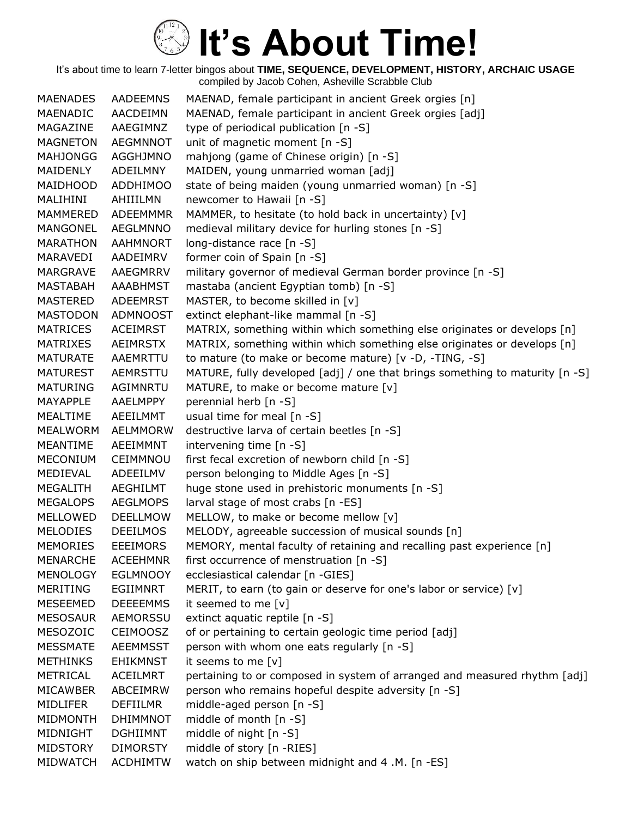It's about time to learn 7-letter bingos about **TIME, SEQUENCE, DEVELOPMENT, HISTORY, ARCHAIC USAGE** compiled by Jacob Cohen, Asheville Scrabble Club

MAENADES AADEEMNS MAENAD, female participant in ancient Greek orgies [n] MAENADIC AACDEIMN MAENAD, female participant in ancient Greek orgies [adj] MAGAZINE AAEGIMNZ type of periodical publication [n -S] MAGNETON AEGMNNOT unit of magnetic moment [n -S] MAHJONGG AGGHJMNO mahjong (game of Chinese origin) [n -S] MAIDENLY ADEILMNY MAIDEN, young unmarried woman [adj] MAIDHOOD ADDHIMOO state of being maiden (young unmarried woman) [n -S] MALIHINI AHIIILMN newcomer to Hawaii [n -S] MAMMERED ADEEMMMR MAMMER, to hesitate (to hold back in uncertainty)  $[v]$ MANGONEL AEGLMNNO medieval military device for hurling stones [n -S] MARATHON AAHMNORT long-distance race [n -S] MARAVEDI AADEIMRV former coin of Spain [n -S] MARGRAVE AAEGMRRV military governor of medieval German border province [n -S] MASTABAH AAABHMST mastaba (ancient Egyptian tomb) [n -S] MASTERED ADEEMRST MASTER, to become skilled in [v] MASTODON ADMNOOST extinct elephant-like mammal [n -S] MATRICES ACEIMRST MATRIX, something within which something else originates or develops [n] MATRIXES AEIMRSTX MATRIX, something within which something else originates or develops [n] MATURATE AAEMRTTU to mature (to make or become mature) [v -D, -TING, -S] MATUREST AEMRSTTU MATURE, fully developed [adj] / one that brings something to maturity [n -S] MATURING AGIMNRTU MATURE, to make or become mature [v] MAYAPPLE AAELMPPY perennial herb [n -S] MEALTIME AEEILMMT usual time for meal [n -S] MEALWORM AELMMORW destructive larva of certain beetles [n -S] MEANTIME AEEIMMNT intervening time [n -S] MECONIUM CEIMMNOU first fecal excretion of newborn child [n -S] MEDIEVAL ADEEILMV person belonging to Middle Ages [n -S] MEGALITH AEGHILMT huge stone used in prehistoric monuments [n -S] MEGALOPS AEGLMOPS larval stage of most crabs [n -ES] MELLOWED DEELLMOW MELLOW, to make or become mellow [v] MELODIES DEEILMOS MELODY, agreeable succession of musical sounds [n] MEMORIES EEEIMORS MEMORY, mental faculty of retaining and recalling past experience [n] MENARCHE ACEEHMNR first occurrence of menstruation [n -S] MENOLOGY EGLMNOOY ecclesiastical calendar [n -GIES] MERITING EGIIMNRT MERIT, to earn (to gain or deserve for one's labor or service) [v] MESEEMED DEEEEMMS it seemed to me [v] MESOSAUR AEMORSSU extinct aquatic reptile [n -S] MESOZOIC CEIMOOSZ of or pertaining to certain geologic time period [adj] MESSMATE AEEMMSST person with whom one eats regularly [n -S] METHINKS EHIKMNST it seems to me [v] METRICAL ACEILMRT pertaining to or composed in system of arranged and measured rhythm [adj] MICAWBER ABCEIMRW person who remains hopeful despite adversity [n -S] MIDLIFER DEFIILMR middle-aged person [n -S] MIDMONTH DHIMMNOT middle of month [n -S] MIDNIGHT DGHIIMNT middle of night [n -S] MIDSTORY DIMORSTY middle of story [n -RIES] MIDWATCH ACDHIMTW watch on ship between midnight and 4 .M. [n -ES]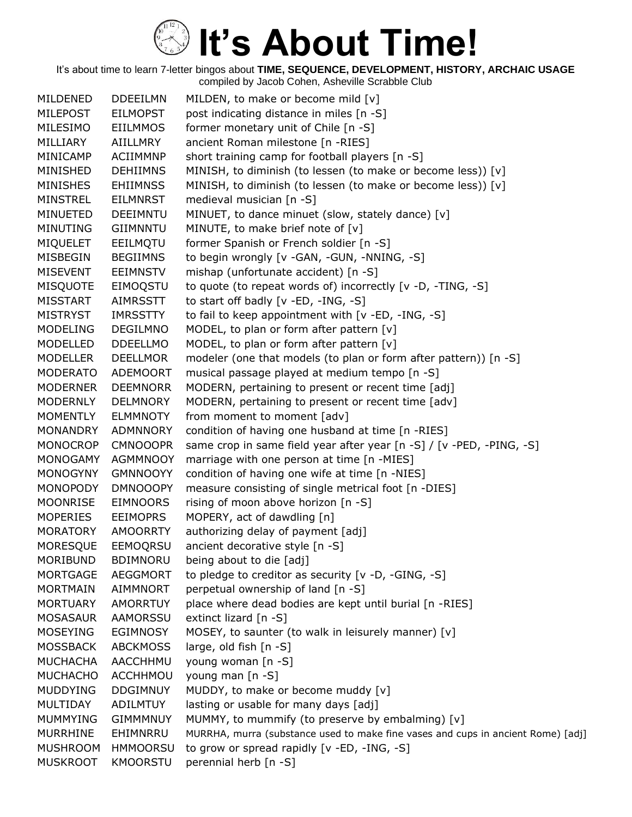| MILDENED        | <b>DDEEILMN</b> | MILDEN, to make or become mild [v]                                               |
|-----------------|-----------------|----------------------------------------------------------------------------------|
| <b>MILEPOST</b> | <b>EILMOPST</b> | post indicating distance in miles [n -S]                                         |
| MILESIMO        | <b>EIILMMOS</b> | former monetary unit of Chile [n -S]                                             |
| MILLIARY        | AIILLMRY        | ancient Roman milestone [n -RIES]                                                |
| MINICAMP        | <b>ACIIMMNP</b> | short training camp for football players [n -S]                                  |
| MINISHED        | <b>DEHIIMNS</b> | MINISH, to diminish (to lessen (to make or become less)) [v]                     |
| <b>MINISHES</b> | <b>EHIIMNSS</b> | MINISH, to diminish (to lessen (to make or become less)) [v]                     |
| MINSTREL        | <b>EILMNRST</b> | medieval musician [n -S]                                                         |
| MINUETED        | <b>DEEIMNTU</b> | MINUET, to dance minuet (slow, stately dance) [v]                                |
| <b>MINUTING</b> | <b>GIIMNNTU</b> | MINUTE, to make brief note of [v]                                                |
| <b>MIQUELET</b> | EEILMQTU        | former Spanish or French soldier [n -S]                                          |
| MISBEGIN        | <b>BEGIIMNS</b> | to begin wrongly [v -GAN, -GUN, -NNING, -S]                                      |
| <b>MISEVENT</b> | <b>EEIMNSTV</b> | mishap (unfortunate accident) [n -S]                                             |
| <b>MISQUOTE</b> | EIMOQSTU        | to quote (to repeat words of) incorrectly [v -D, -TING, -S]                      |
| <b>MISSTART</b> | <b>AIMRSSTT</b> | to start off badly [v -ED, -ING, -S]                                             |
| <b>MISTRYST</b> | <b>IMRSSTTY</b> | to fail to keep appointment with [v -ED, -ING, -S]                               |
| <b>MODELING</b> | <b>DEGILMNO</b> | MODEL, to plan or form after pattern [v]                                         |
| MODELLED        | <b>DDEELLMO</b> | MODEL, to plan or form after pattern [v]                                         |
| <b>MODELLER</b> | <b>DEELLMOR</b> | modeler (one that models (to plan or form after pattern)) [n -S]                 |
| <b>MODERATO</b> | <b>ADEMOORT</b> | musical passage played at medium tempo [n -S]                                    |
| <b>MODERNER</b> | <b>DEEMNORR</b> | MODERN, pertaining to present or recent time [adj]                               |
| <b>MODERNLY</b> | <b>DELMNORY</b> | MODERN, pertaining to present or recent time [adv]                               |
| <b>MOMENTLY</b> | <b>ELMMNOTY</b> | from moment to moment [adv]                                                      |
| <b>MONANDRY</b> | <b>ADMNNORY</b> | condition of having one husband at time [n -RIES]                                |
| <b>MONOCROP</b> | <b>CMNOOOPR</b> | same crop in same field year after year [n -S] / [v -PED, -PING, -S]             |
| <b>MONOGAMY</b> | <b>AGMMNOOY</b> | marriage with one person at time [n -MIES]                                       |
| <b>MONOGYNY</b> | <b>GMNNOOYY</b> | condition of having one wife at time [n -NIES]                                   |
| <b>MONOPODY</b> | <b>DMNOOOPY</b> | measure consisting of single metrical foot [n -DIES]                             |
| <b>MOONRISE</b> | EIMNOORS        | rising of moon above horizon [n -S]                                              |
| <b>MOPERIES</b> | <b>EEIMOPRS</b> | MOPERY, act of dawdling [n]                                                      |
| <b>MORATORY</b> | <b>AMOORRTY</b> | authorizing delay of payment [adj]                                               |
| <b>MORESQUE</b> | EEMOQRSU        | ancient decorative style [n -S]                                                  |
| <b>MORIBUND</b> | <b>BDIMNORU</b> | being about to die [adj]                                                         |
| <b>MORTGAGE</b> | <b>AEGGMORT</b> | to pledge to creditor as security [v -D, -GING, -S]                              |
| <b>MORTMAIN</b> | AIMMNORT        | perpetual ownership of land [n -S]                                               |
| <b>MORTUARY</b> | AMORRTUY        | place where dead bodies are kept until burial [n -RIES]                          |
| <b>MOSASAUR</b> | <b>AAMORSSU</b> | extinct lizard [n -S]                                                            |
| <b>MOSEYING</b> | EGIMNOSY        | MOSEY, to saunter (to walk in leisurely manner) [v]                              |
| <b>MOSSBACK</b> | <b>ABCKMOSS</b> | large, old fish [n -S]                                                           |
| <b>MUCHACHA</b> | AACCHHMU        | young woman [n -S]                                                               |
| <b>MUCHACHO</b> | ACCHHMOU        | young man [n -S]                                                                 |
| <b>MUDDYING</b> | <b>DDGIMNUY</b> | MUDDY, to make or become muddy [v]                                               |
| MULTIDAY        | <b>ADILMTUY</b> | lasting or usable for many days [adj]                                            |
| <b>MUMMYING</b> | <b>GIMMMNUY</b> | MUMMY, to mummify (to preserve by embalming) [v]                                 |
| <b>MURRHINE</b> | EHIMNRRU        | MURRHA, murra (substance used to make fine vases and cups in ancient Rome) [adj] |
| <b>MUSHROOM</b> | <b>HMMOORSU</b> | to grow or spread rapidly [v -ED, -ING, -S]                                      |
| <b>MUSKROOT</b> | <b>KMOORSTU</b> | perennial herb [n -S]                                                            |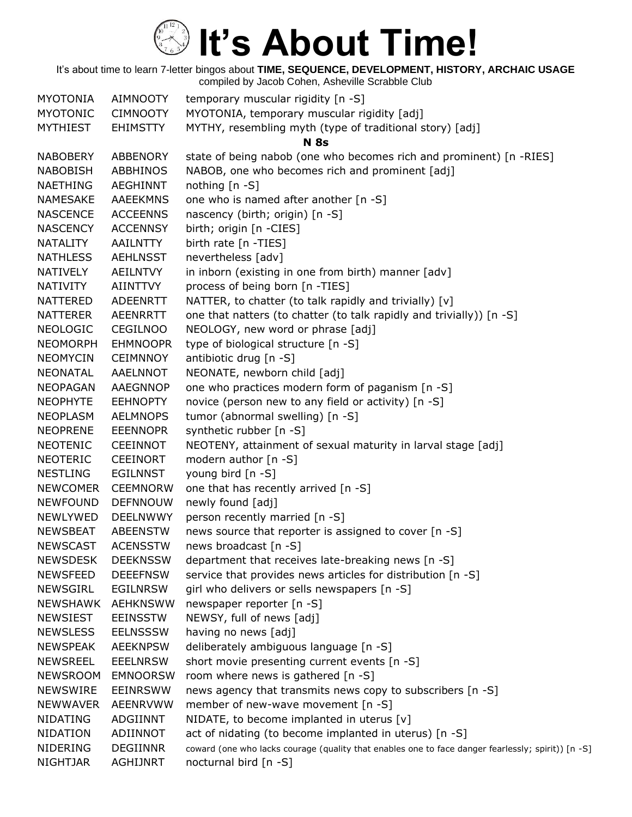| <b>MYOTONIA</b> | <b>AIMNOOTY</b> | temporary muscular rigidity [n -S]                                                                 |
|-----------------|-----------------|----------------------------------------------------------------------------------------------------|
| <b>MYOTONIC</b> | <b>CIMNOOTY</b> | MYOTONIA, temporary muscular rigidity [adj]                                                        |
| <b>MYTHIEST</b> | <b>EHIMSTTY</b> | MYTHY, resembling myth (type of traditional story) [adj]                                           |
|                 |                 | <b>N</b> 8s                                                                                        |
| <b>NABOBERY</b> | <b>ABBENORY</b> | state of being nabob (one who becomes rich and prominent) [n -RIES]                                |
| <b>NABOBISH</b> | ABBHINOS        | NABOB, one who becomes rich and prominent [adj]                                                    |
| <b>NAETHING</b> | AEGHINNT        | nothing [n -S]                                                                                     |
| <b>NAMESAKE</b> | <b>AAEEKMNS</b> | one who is named after another [n -S]                                                              |
| <b>NASCENCE</b> | <b>ACCEENNS</b> | nascency (birth; origin) [n -S]                                                                    |
| <b>NASCENCY</b> | <b>ACCENNSY</b> | birth; origin [n -CIES]                                                                            |
| <b>NATALITY</b> | <b>AAILNTTY</b> | birth rate [n -TIES]                                                                               |
| <b>NATHLESS</b> | <b>AEHLNSST</b> | nevertheless [adv]                                                                                 |
| <b>NATIVELY</b> | <b>AEILNTVY</b> | in inborn (existing in one from birth) manner [adv]                                                |
| <b>NATIVITY</b> | AIINTTVY        | process of being born [n -TIES]                                                                    |
| <b>NATTERED</b> | <b>ADEENRTT</b> | NATTER, to chatter (to talk rapidly and trivially) [v]                                             |
| <b>NATTERER</b> | <b>AEENRRTT</b> | one that natters (to chatter (to talk rapidly and trivially)) [n -S]                               |
| <b>NEOLOGIC</b> | <b>CEGILNOO</b> | NEOLOGY, new word or phrase [adj]                                                                  |
| <b>NEOMORPH</b> | <b>EHMNOOPR</b> | type of biological structure [n -S]                                                                |
| <b>NEOMYCIN</b> | <b>CEIMNNOY</b> | antibiotic drug [n -S]                                                                             |
| <b>NEONATAL</b> | AAELNNOT        | NEONATE, newborn child [adj]                                                                       |
| <b>NEOPAGAN</b> | <b>AAEGNNOP</b> | one who practices modern form of paganism [n -S]                                                   |
| <b>NEOPHYTE</b> | <b>EEHNOPTY</b> | novice (person new to any field or activity) [n -S]                                                |
| <b>NEOPLASM</b> | <b>AELMNOPS</b> | tumor (abnormal swelling) [n -S]                                                                   |
| <b>NEOPRENE</b> | <b>EEENNOPR</b> | synthetic rubber [n -S]                                                                            |
| <b>NEOTENIC</b> | <b>CEEINNOT</b> | NEOTENY, attainment of sexual maturity in larval stage [adj]                                       |
| <b>NEOTERIC</b> | <b>CEEINORT</b> | modern author [n -S]                                                                               |
| <b>NESTLING</b> | <b>EGILNNST</b> | young bird [n -S]                                                                                  |
| <b>NEWCOMER</b> | <b>CEEMNORW</b> | one that has recently arrived [n -S]                                                               |
| <b>NEWFOUND</b> | <b>DEFNNOUW</b> | newly found [adj]                                                                                  |
| NEWLYWED        | <b>DEELNWWY</b> | person recently married [n -S]                                                                     |
| <b>NEWSBEAT</b> | <b>ABEENSTW</b> | news source that reporter is assigned to cover [n -S]                                              |
| <b>NEWSCAST</b> | <b>ACENSSTW</b> | news broadcast [n -S]                                                                              |
| <b>NEWSDESK</b> | <b>DEEKNSSW</b> | department that receives late-breaking news [n -S]                                                 |
| <b>NEWSFEED</b> | <b>DEEEFNSW</b> | service that provides news articles for distribution [n -S]                                        |
| <b>NEWSGIRL</b> | <b>EGILNRSW</b> | girl who delivers or sells newspapers [n -S]                                                       |
| <b>NEWSHAWK</b> | AEHKNSWW        | newspaper reporter [n -S]                                                                          |
| <b>NEWSIEST</b> | <b>EEINSSTW</b> | NEWSY, full of news [adj]                                                                          |
| <b>NEWSLESS</b> | <b>EELNSSSW</b> | having no news [adj]                                                                               |
| <b>NEWSPEAK</b> | <b>AEEKNPSW</b> | deliberately ambiguous language [n -S]                                                             |
| <b>NEWSREEL</b> | <b>EEELNRSW</b> | short movie presenting current events [n -S]                                                       |
| <b>NEWSROOM</b> | <b>EMNOORSW</b> | room where news is gathered [n -S]                                                                 |
| <b>NEWSWIRE</b> | <b>EEINRSWW</b> | news agency that transmits news copy to subscribers [n -S]                                         |
| <b>NEWWAVER</b> | AEENRVWW        | member of new-wave movement [n -S]                                                                 |
| <b>NIDATING</b> | ADGIINNT        | NIDATE, to become implanted in uterus $[v]$                                                        |
| <b>NIDATION</b> | ADIINNOT        | act of nidating (to become implanted in uterus) [n -S]                                             |
| NIDERING        | <b>DEGIINNR</b> | coward (one who lacks courage (quality that enables one to face danger fearlessly; spirit)) [n -S] |
| NIGHTJAR        | AGHIJNRT        | nocturnal bird [n -S]                                                                              |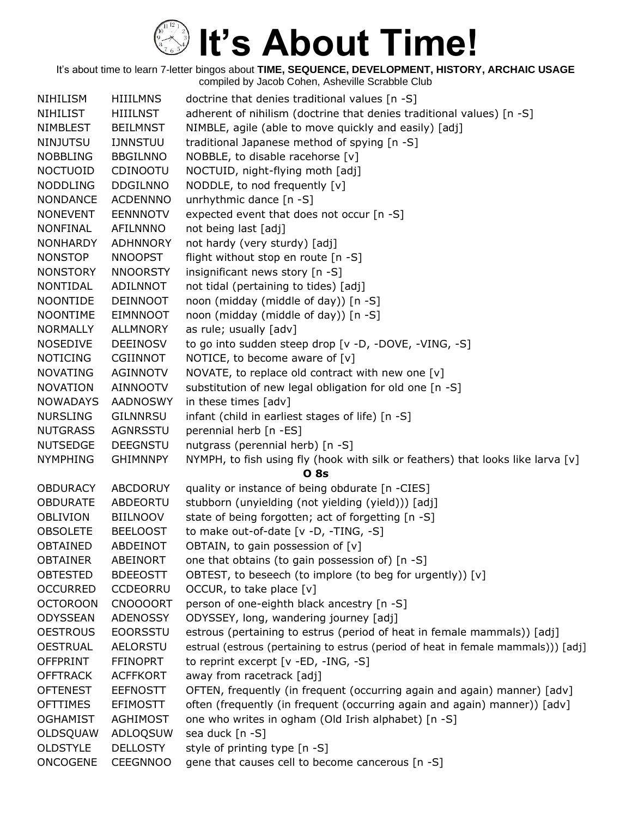| NIHILISM        | <b>HIIILMNS</b> | doctrine that denies traditional values [n -S]                                    |
|-----------------|-----------------|-----------------------------------------------------------------------------------|
| <b>NIHILIST</b> | <b>HIIILNST</b> | adherent of nihilism (doctrine that denies traditional values) [n -S]             |
| <b>NIMBLEST</b> | <b>BEILMNST</b> | NIMBLE, agile (able to move quickly and easily) [adj]                             |
| <b>NINJUTSU</b> | <b>IJNNSTUU</b> | traditional Japanese method of spying [n -S]                                      |
| <b>NOBBLING</b> | <b>BBGILNNO</b> | NOBBLE, to disable racehorse [v]                                                  |
| <b>NOCTUOID</b> | CDINOOTU        | NOCTUID, night-flying moth [adj]                                                  |
| <b>NODDLING</b> | <b>DDGILNNO</b> | NODDLE, to nod frequently [v]                                                     |
| <b>NONDANCE</b> | <b>ACDENNNO</b> | unrhythmic dance [n -S]                                                           |
| <b>NONEVENT</b> | <b>EENNNOTV</b> | expected event that does not occur [n -S]                                         |
| <b>NONFINAL</b> | AFILNNNO        | not being last [adj]                                                              |
| <b>NONHARDY</b> | <b>ADHNNORY</b> | not hardy (very sturdy) [adj]                                                     |
| <b>NONSTOP</b>  | <b>NNOOPST</b>  | flight without stop en route [n -S]                                               |
| <b>NONSTORY</b> | <b>NNOORSTY</b> | insignificant news story [n -S]                                                   |
| NONTIDAL        | ADILNNOT        | not tidal (pertaining to tides) [adj]                                             |
| <b>NOONTIDE</b> | <b>DEINNOOT</b> | noon (midday (middle of day)) [n -S]                                              |
| <b>NOONTIME</b> | <b>EIMNNOOT</b> | noon (midday (middle of day)) [n -S]                                              |
| <b>NORMALLY</b> | <b>ALLMNORY</b> | as rule; usually [adv]                                                            |
| <b>NOSEDIVE</b> | <b>DEEINOSV</b> | to go into sudden steep drop [v -D, -DOVE, -VING, -S]                             |
| <b>NOTICING</b> | <b>CGIINNOT</b> | NOTICE, to become aware of $[v]$                                                  |
| <b>NOVATING</b> | AGINNOTV        | NOVATE, to replace old contract with new one [v]                                  |
| <b>NOVATION</b> | AINNOOTV        | substitution of new legal obligation for old one [n -S]                           |
| <b>NOWADAYS</b> | <b>AADNOSWY</b> | in these times [adv]                                                              |
| <b>NURSLING</b> | GILNNRSU        | infant (child in earliest stages of life) [n -S]                                  |
| <b>NUTGRASS</b> | AGNRSSTU        | perennial herb [n -ES]                                                            |
| <b>NUTSEDGE</b> | <b>DEEGNSTU</b> | nutgrass (perennial herb) [n -S]                                                  |
| <b>NYMPHING</b> | <b>GHIMNNPY</b> | NYMPH, to fish using fly (hook with silk or feathers) that looks like larva [v]   |
|                 |                 | <b>O</b> 8s                                                                       |
| <b>OBDURACY</b> | ABCDORUY        | quality or instance of being obdurate [n -CIES]                                   |
| <b>OBDURATE</b> | ABDEORTU        | stubborn (unyielding (not yielding (yield))) [adj]                                |
| <b>OBLIVION</b> | <b>BIILNOOV</b> | state of being forgotten; act of forgetting [n -S]                                |
| <b>OBSOLETE</b> | <b>BEELOOST</b> | to make out-of-date [v -D, -TING, -S]                                             |
| <b>OBTAINED</b> | ABDEINOT        | OBTAIN, to gain possession of [v]                                                 |
| <b>OBTAINER</b> | ABEINORT        | one that obtains (to gain possession of) [n -S]                                   |
| <b>OBTESTED</b> | <b>BDEEOSTT</b> | OBTEST, to beseech (to implore (to beg for urgently)) [v]                         |
| <b>OCCURRED</b> | CCDEORRU        | OCCUR, to take place $[v]$                                                        |
| <b>OCTOROON</b> | <b>CNOOOORT</b> | person of one-eighth black ancestry [n -S]                                        |
| ODYSSEAN        | <b>ADENOSSY</b> | ODYSSEY, long, wandering journey [adj]                                            |
| <b>OESTROUS</b> | <b>EOORSSTU</b> | estrous (pertaining to estrus (period of heat in female mammals)) [adj]           |
| <b>OESTRUAL</b> | <b>AELORSTU</b> | estrual (estrous (pertaining to estrus (period of heat in female mammals))) [adj] |
| <b>OFFPRINT</b> | <b>FFINOPRT</b> | to reprint excerpt [v -ED, -ING, -S]                                              |
| <b>OFFTRACK</b> | <b>ACFFKORT</b> | away from racetrack [adj]                                                         |
| <b>OFTENEST</b> | <b>EEFNOSTT</b> | OFTEN, frequently (in frequent (occurring again and again) manner) [adv]          |
| <b>OFTTIMES</b> | <b>EFIMOSTT</b> | often (frequently (in frequent (occurring again and again) manner)) [adv]         |
| <b>OGHAMIST</b> | <b>AGHIMOST</b> | one who writes in ogham (Old Irish alphabet) [n -S]                               |
| OLDSQUAW        | ADLOQSUW        | sea duck [n -S]                                                                   |
| <b>OLDSTYLE</b> | <b>DELLOSTY</b> | style of printing type [n -S]                                                     |
| <b>ONCOGENE</b> | <b>CEEGNNOO</b> | gene that causes cell to become cancerous [n -S]                                  |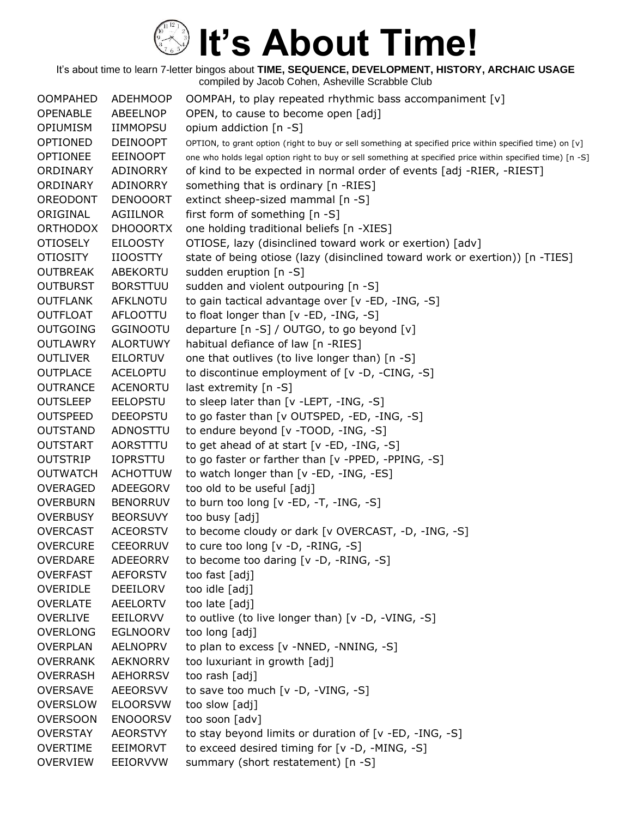| <b>OOMPAHED</b> | <b>ADEHMOOP</b> | OOMPAH, to play repeated rhythmic bass accompaniment [v]                                                   |
|-----------------|-----------------|------------------------------------------------------------------------------------------------------------|
| <b>OPENABLE</b> | ABEELNOP        | OPEN, to cause to become open [adj]                                                                        |
| <b>OPIUMISM</b> | <b>IIMMOPSU</b> | opium addiction [n -S]                                                                                     |
| OPTIONED        | <b>DEINOOPT</b> | OPTION, to grant option (right to buy or sell something at specified price within specified time) on [v]   |
| <b>OPTIONEE</b> | <b>EEINOOPT</b> | one who holds legal option right to buy or sell something at specified price within specified time) [n -S] |
| ORDINARY        | ADINORRY        | of kind to be expected in normal order of events [adj -RIER, -RIEST]                                       |
| ORDINARY        | ADINORRY        | something that is ordinary [n -RIES]                                                                       |
| OREODONT        | <b>DENOOORT</b> | extinct sheep-sized mammal [n -S]                                                                          |
| ORIGINAL        | AGIILNOR        | first form of something [n -S]                                                                             |
| <b>ORTHODOX</b> | <b>DHOOORTX</b> | one holding traditional beliefs [n -XIES]                                                                  |
| <b>OTIOSELY</b> | <b>EILOOSTY</b> | OTIOSE, lazy (disinclined toward work or exertion) [adv]                                                   |
| <b>OTIOSITY</b> | <b>IIOOSTTY</b> | state of being otiose (lazy (disinclined toward work or exertion)) [n -TIES]                               |
| <b>OUTBREAK</b> | ABEKORTU        | sudden eruption [n -S]                                                                                     |
| <b>OUTBURST</b> | <b>BORSTTUU</b> | sudden and violent outpouring [n -S]                                                                       |
| <b>OUTFLANK</b> | AFKLNOTU        | to gain tactical advantage over [v -ED, -ING, -S]                                                          |
| <b>OUTFLOAT</b> | AFLOOTTU        | to float longer than [v -ED, -ING, -S]                                                                     |
| <b>OUTGOING</b> | <b>GGINOOTU</b> | departure [n -S] / OUTGO, to go beyond [v]                                                                 |
| <b>OUTLAWRY</b> | <b>ALORTUWY</b> | habitual defiance of law [n -RIES]                                                                         |
| <b>OUTLIVER</b> | <b>EILORTUV</b> | one that outlives (to live longer than) [n -S]                                                             |
| <b>OUTPLACE</b> | <b>ACELOPTU</b> | to discontinue employment of [v -D, -CING, -S]                                                             |
| <b>OUTRANCE</b> | <b>ACENORTU</b> | last extremity $[n - S]$                                                                                   |
| <b>OUTSLEEP</b> | <b>EELOPSTU</b> | to sleep later than [v -LEPT, -ING, -S]                                                                    |
| <b>OUTSPEED</b> | <b>DEEOPSTU</b> | to go faster than [v OUTSPED, -ED, -ING, -S]                                                               |
| <b>OUTSTAND</b> | ADNOSTTU        | to endure beyond [v -TOOD, -ING, -S]                                                                       |
| <b>OUTSTART</b> | AORSTTTU        | to get ahead of at start $[v - ED, -ING, -S]$                                                              |
| <b>OUTSTRIP</b> | <b>IOPRSTTU</b> | to go faster or farther than [v -PPED, -PPING, -S]                                                         |
| <b>OUTWATCH</b> | <b>ACHOTTUW</b> | to watch longer than [v -ED, -ING, -ES]                                                                    |
| <b>OVERAGED</b> | ADEEGORV        | too old to be useful [adj]                                                                                 |
| <b>OVERBURN</b> | <b>BENORRUV</b> | to burn too long $[v - ED, -T, -ING, -S]$                                                                  |
| <b>OVERBUSY</b> | <b>BEORSUVY</b> | too busy [adj]                                                                                             |
| <b>OVERCAST</b> | <b>ACEORSTV</b> | to become cloudy or dark [v OVERCAST, -D, -ING, -S]                                                        |
| <b>OVERCURE</b> | <b>CEEORRUV</b> | to cure too long [v -D, -RING, -S]                                                                         |
| OVERDARE        | ADEEORRV        | to become too daring $[v -D, -RING, -S]$                                                                   |
| <b>OVERFAST</b> | <b>AEFORSTV</b> | too fast [adj]                                                                                             |
| OVERIDLE        | DEEILORV        | too idle [adj]                                                                                             |
| <b>OVERLATE</b> | <b>AEELORTV</b> | too late [adj]                                                                                             |
| <b>OVERLIVE</b> | EEILORVV        | to outlive (to live longer than) [v -D, -VING, -S]                                                         |
| <b>OVERLONG</b> | <b>EGLNOORV</b> | too long [adj]                                                                                             |
| <b>OVERPLAN</b> | AELNOPRV        | to plan to excess [v -NNED, -NNING, -S]                                                                    |
| <b>OVERRANK</b> | <b>AEKNORRV</b> | too luxuriant in growth [adj]                                                                              |
| <b>OVERRASH</b> | <b>AEHORRSV</b> | too rash [adj]                                                                                             |
| <b>OVERSAVE</b> | <b>AEEORSVV</b> | to save too much [v -D, -VING, -S]                                                                         |
| <b>OVERSLOW</b> | <b>ELOORSVW</b> | too slow [adj]                                                                                             |
| <b>OVERSOON</b> | <b>ENOOORSV</b> | too soon [adv]                                                                                             |
| <b>OVERSTAY</b> | <b>AEORSTVY</b> | to stay beyond limits or duration of [v -ED, -ING, -S]                                                     |
| <b>OVERTIME</b> | EEIMORVT        | to exceed desired timing for [v -D, -MING, -S]                                                             |
| <b>OVERVIEW</b> | EEIORVVW        | summary (short restatement) [n -S]                                                                         |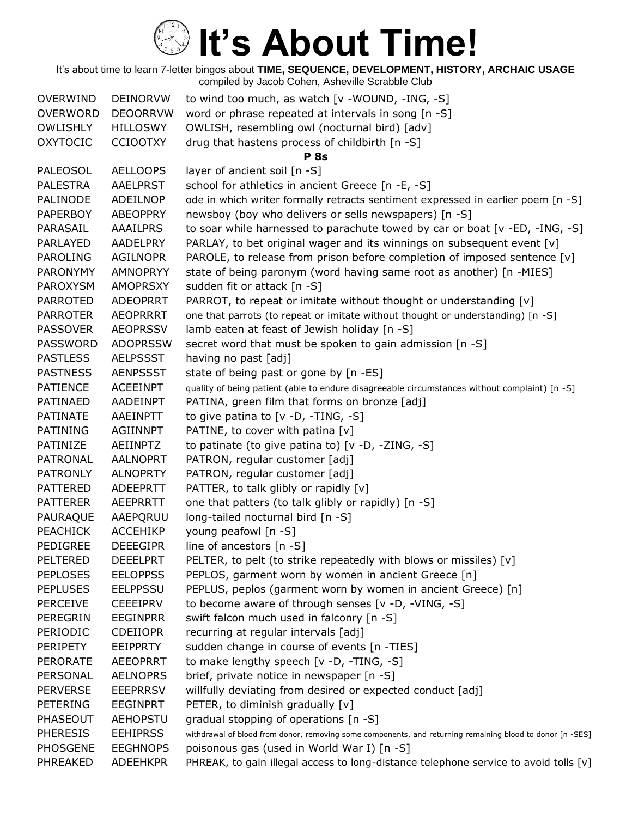| <b>OVERWIND</b> | <b>DEINORVW</b> | to wind too much, as watch [v -WOUND, -ING, -S]                                                           |
|-----------------|-----------------|-----------------------------------------------------------------------------------------------------------|
| <b>OVERWORD</b> | <b>DEOORRVW</b> | word or phrase repeated at intervals in song [n -S]                                                       |
| <b>OWLISHLY</b> | <b>HILLOSWY</b> | OWLISH, resembling owl (nocturnal bird) [adv]                                                             |
| <b>OXYTOCIC</b> | <b>CCIOOTXY</b> | drug that hastens process of childbirth [n -S]                                                            |
|                 |                 | <b>P</b> 8s                                                                                               |
| <b>PALEOSOL</b> | <b>AELLOOPS</b> | layer of ancient soil [n -S]                                                                              |
| <b>PALESTRA</b> | <b>AAELPRST</b> | school for athletics in ancient Greece [n -E, -S]                                                         |
| PALINODE        | ADEILNOP        | ode in which writer formally retracts sentiment expressed in earlier poem [n -S]                          |
| <b>PAPERBOY</b> | <b>ABEOPPRY</b> | newsboy (boy who delivers or sells newspapers) [n -S]                                                     |
| PARASAIL        | <b>AAAILPRS</b> | to soar while harnessed to parachute towed by car or boat [v -ED, -ING, -S]                               |
| PARLAYED        | <b>AADELPRY</b> | PARLAY, to bet original wager and its winnings on subsequent event [v]                                    |
| <b>PAROLING</b> | <b>AGILNOPR</b> | PAROLE, to release from prison before completion of imposed sentence [v]                                  |
| <b>PARONYMY</b> | <b>AMNOPRYY</b> | state of being paronym (word having same root as another) [n -MIES]                                       |
| <b>PAROXYSM</b> | <b>AMOPRSXY</b> | sudden fit or attack [n -S]                                                                               |
| <b>PARROTED</b> | <b>ADEOPRRT</b> | PARROT, to repeat or imitate without thought or understanding [v]                                         |
| <b>PARROTER</b> | <b>AEOPRRRT</b> | one that parrots (to repeat or imitate without thought or understanding) [n -S]                           |
| <b>PASSOVER</b> | <b>AEOPRSSV</b> | lamb eaten at feast of Jewish holiday [n -S]                                                              |
| <b>PASSWORD</b> | <b>ADOPRSSW</b> | secret word that must be spoken to gain admission [n -S]                                                  |
| <b>PASTLESS</b> | <b>AELPSSST</b> | having no past [adj]                                                                                      |
| <b>PASTNESS</b> | <b>AENPSSST</b> | state of being past or gone by [n -ES]                                                                    |
| <b>PATIENCE</b> | <b>ACEEINPT</b> | quality of being patient (able to endure disagreeable circumstances without complaint) [n -S]             |
| PATINAED        | AADEINPT        | PATINA, green film that forms on bronze [adj]                                                             |
| <b>PATINATE</b> | AAEINPTT        | to give patina to $[v -D, -TING, -S]$                                                                     |
| <b>PATINING</b> | <b>AGIINNPT</b> | PATINE, to cover with patina [v]                                                                          |
| PATINIZE        | AEIINPTZ        | to patinate (to give patina to) [v -D, -ZING, -S]                                                         |
| <b>PATRONAL</b> | <b>AALNOPRT</b> | PATRON, regular customer [adj]                                                                            |
| <b>PATRONLY</b> | <b>ALNOPRTY</b> | PATRON, regular customer [adj]                                                                            |
| <b>PATTERED</b> | <b>ADEEPRTT</b> | PATTER, to talk glibly or rapidly [v]                                                                     |
| <b>PATTERER</b> | <b>AEEPRRTT</b> | one that patters (to talk glibly or rapidly) [n -S]                                                       |
| PAURAQUE        | AAEPQRUU        | long-tailed nocturnal bird [n -S]                                                                         |
| <b>PEACHICK</b> | <b>ACCEHIKP</b> | young peafowl [n -S]                                                                                      |
| <b>PEDIGREE</b> | <b>DEEEGIPR</b> | line of ancestors $[n - S]$                                                                               |
| PELTERED        | <b>DEEELPRT</b> | PELTER, to pelt (to strike repeatedly with blows or missiles) [v]                                         |
| <b>PEPLOSES</b> | <b>EELOPPSS</b> | PEPLOS, garment worn by women in ancient Greece [n]                                                       |
| <b>PEPLUSES</b> | <b>EELPPSSU</b> | PEPLUS, peplos (garment worn by women in ancient Greece) [n]                                              |
| <b>PERCEIVE</b> | <b>CEEEIPRV</b> | to become aware of through senses [v -D, -VING, -S]                                                       |
| PEREGRIN        | <b>EEGINPRR</b> | swift falcon much used in falconry [n -S]                                                                 |
| PERIODIC        | <b>CDEIIOPR</b> | recurring at regular intervals [adj]                                                                      |
| <b>PERIPETY</b> | <b>EEIPPRTY</b> | sudden change in course of events [n -TIES]                                                               |
| <b>PERORATE</b> | <b>AEEOPRRT</b> | to make lengthy speech [v -D, -TING, -S]                                                                  |
| PERSONAL        | <b>AELNOPRS</b> | brief, private notice in newspaper [n -S]                                                                 |
| <b>PERVERSE</b> | <b>EEEPRRSV</b> | willfully deviating from desired or expected conduct [adj]                                                |
| PETERING        | <b>EEGINPRT</b> | PETER, to diminish gradually [v]                                                                          |
| <b>PHASEOUT</b> | <b>AEHOPSTU</b> | gradual stopping of operations [n -S]                                                                     |
| <b>PHERESIS</b> | <b>EEHIPRSS</b> | withdrawal of blood from donor, removing some components, and returning remaining blood to donor [n -SES] |
| <b>PHOSGENE</b> | <b>EEGHNOPS</b> | poisonous gas (used in World War I) [n -S]                                                                |
| PHREAKED        | <b>ADEEHKPR</b> | PHREAK, to gain illegal access to long-distance telephone service to avoid tolls [v]                      |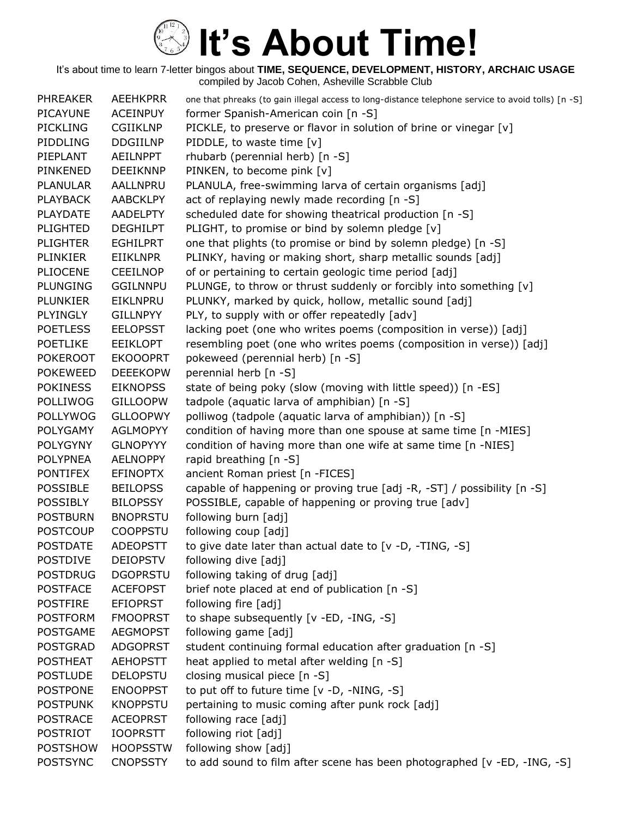| <b>PHREAKER</b> | <b>AEEHKPRR</b> | one that phreaks (to gain illegal access to long-distance telephone service to avoid tolls) [n -S] |
|-----------------|-----------------|----------------------------------------------------------------------------------------------------|
| <b>PICAYUNE</b> | <b>ACEINPUY</b> | former Spanish-American coin [n -S]                                                                |
| <b>PICKLING</b> | <b>CGIIKLNP</b> | PICKLE, to preserve or flavor in solution of brine or vinegar [v]                                  |
| PIDDLING        | <b>DDGIILNP</b> | PIDDLE, to waste time [v]                                                                          |
| PIEPLANT        | <b>AEILNPPT</b> | rhubarb (perennial herb) [n -S]                                                                    |
| PINKENED        | <b>DEEIKNNP</b> | PINKEN, to become pink [v]                                                                         |
| <b>PLANULAR</b> | AALLNPRU        | PLANULA, free-swimming larva of certain organisms [adj]                                            |
| <b>PLAYBACK</b> | <b>AABCKLPY</b> | act of replaying newly made recording [n -S]                                                       |
| <b>PLAYDATE</b> | <b>AADELPTY</b> | scheduled date for showing theatrical production [n -S]                                            |
| <b>PLIGHTED</b> | <b>DEGHILPT</b> | PLIGHT, to promise or bind by solemn pledge [v]                                                    |
| <b>PLIGHTER</b> | <b>EGHILPRT</b> | one that plights (to promise or bind by solemn pledge) [n -S]                                      |
| <b>PLINKIER</b> | <b>EIIKLNPR</b> | PLINKY, having or making short, sharp metallic sounds [adj]                                        |
| <b>PLIOCENE</b> | <b>CEEILNOP</b> | of or pertaining to certain geologic time period [adj]                                             |
| <b>PLUNGING</b> | <b>GGILNNPU</b> | PLUNGE, to throw or thrust suddenly or forcibly into something [v]                                 |
| <b>PLUNKIER</b> | <b>EIKLNPRU</b> | PLUNKY, marked by quick, hollow, metallic sound [adj]                                              |
| PLYINGLY        | <b>GILLNPYY</b> | PLY, to supply with or offer repeatedly [adv]                                                      |
| <b>POETLESS</b> | <b>EELOPSST</b> | lacking poet (one who writes poems (composition in verse)) [adj]                                   |
| <b>POETLIKE</b> | <b>EEIKLOPT</b> | resembling poet (one who writes poems (composition in verse)) [adj]                                |
| <b>POKEROOT</b> | <b>EKOOOPRT</b> | pokeweed (perennial herb) [n -S]                                                                   |
| <b>POKEWEED</b> | <b>DEEEKOPW</b> | perennial herb [n -S]                                                                              |
| <b>POKINESS</b> | <b>EIKNOPSS</b> | state of being poky (slow (moving with little speed)) [n -ES]                                      |
| <b>POLLIWOG</b> | <b>GILLOOPW</b> | tadpole (aquatic larva of amphibian) [n -S]                                                        |
| <b>POLLYWOG</b> | <b>GLLOOPWY</b> | polliwog (tadpole (aquatic larva of amphibian)) [n -S]                                             |
| POLYGAMY        | <b>AGLMOPYY</b> | condition of having more than one spouse at same time [n -MIES]                                    |
| <b>POLYGYNY</b> | <b>GLNOPYYY</b> | condition of having more than one wife at same time [n -NIES]                                      |
| <b>POLYPNEA</b> | <b>AELNOPPY</b> | rapid breathing [n -S]                                                                             |
| <b>PONTIFEX</b> | <b>EFINOPTX</b> | ancient Roman priest [n -FICES]                                                                    |
| POSSIBLE        | <b>BEILOPSS</b> | capable of happening or proving true [adj -R, -ST] / possibility [n -S]                            |
| <b>POSSIBLY</b> | <b>BILOPSSY</b> | POSSIBLE, capable of happening or proving true [adv]                                               |
| <b>POSTBURN</b> | <b>BNOPRSTU</b> | following burn [adj]                                                                               |
| <b>POSTCOUP</b> | <b>COOPPSTU</b> | following coup [adj]                                                                               |
| <b>POSTDATE</b> | <b>ADEOPSTT</b> | to give date later than actual date to $[v - D, -TING, -S]$                                        |
| <b>POSTDIVE</b> | <b>DEIOPSTV</b> | following dive [adj]                                                                               |
| <b>POSTDRUG</b> | <b>DGOPRSTU</b> | following taking of drug [adj]                                                                     |
| <b>POSTFACE</b> | <b>ACEFOPST</b> | brief note placed at end of publication [n -S]                                                     |
| <b>POSTFIRE</b> | <b>EFIOPRST</b> | following fire [adj]                                                                               |
| <b>POSTFORM</b> | <b>FMOOPRST</b> | to shape subsequently [v -ED, -ING, -S]                                                            |
| <b>POSTGAME</b> | <b>AEGMOPST</b> | following game [adj]                                                                               |
| <b>POSTGRAD</b> | <b>ADGOPRST</b> | student continuing formal education after graduation [n -S]                                        |
| <b>POSTHEAT</b> | <b>AEHOPSTT</b> | heat applied to metal after welding [n -S]                                                         |
| <b>POSTLUDE</b> | <b>DELOPSTU</b> | closing musical piece [n -S]                                                                       |
| <b>POSTPONE</b> | <b>ENOOPPST</b> | to put off to future time [v -D, -NING, -S]                                                        |
| <b>POSTPUNK</b> | <b>KNOPPSTU</b> | pertaining to music coming after punk rock [adj]                                                   |
| <b>POSTRACE</b> | <b>ACEOPRST</b> | following race [adj]                                                                               |
| <b>POSTRIOT</b> | <b>IOOPRSTT</b> | following riot [adj]                                                                               |
| <b>POSTSHOW</b> | <b>HOOPSSTW</b> | following show [adj]                                                                               |
| <b>POSTSYNC</b> | <b>CNOPSSTY</b> | to add sound to film after scene has been photographed [v -ED, -ING, -S]                           |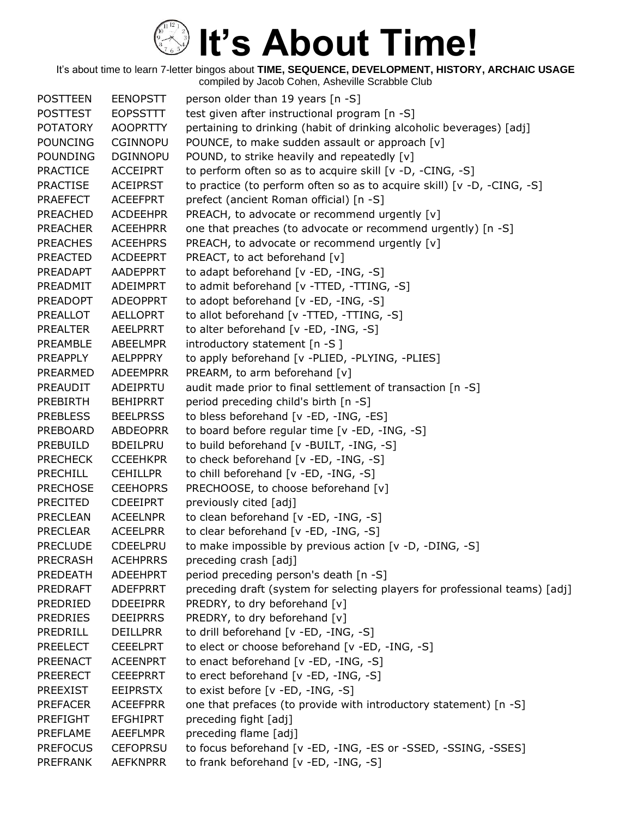| <b>POSTTEEN</b> | <b>EENOPSTT</b> | person older than 19 years [n -S]                                           |
|-----------------|-----------------|-----------------------------------------------------------------------------|
| <b>POSTTEST</b> | <b>EOPSSTTT</b> | test given after instructional program [n -S]                               |
| <b>POTATORY</b> | <b>AOOPRTTY</b> | pertaining to drinking (habit of drinking alcoholic beverages) [adj]        |
| <b>POUNCING</b> | <b>CGINNOPU</b> | POUNCE, to make sudden assault or approach [v]                              |
| <b>POUNDING</b> | <b>DGINNOPU</b> | POUND, to strike heavily and repeatedly [v]                                 |
| <b>PRACTICE</b> | <b>ACCEIPRT</b> | to perform often so as to acquire skill [v -D, -CING, -S]                   |
| <b>PRACTISE</b> | <b>ACEIPRST</b> | to practice (to perform often so as to acquire skill) [v -D, -CING, -S]     |
| <b>PRAEFECT</b> | <b>ACEEFPRT</b> | prefect (ancient Roman official) [n -S]                                     |
| <b>PREACHED</b> | <b>ACDEEHPR</b> | PREACH, to advocate or recommend urgently [v]                               |
| <b>PREACHER</b> | <b>ACEEHPRR</b> | one that preaches (to advocate or recommend urgently) [n -S]                |
| <b>PREACHES</b> | <b>ACEEHPRS</b> | PREACH, to advocate or recommend urgently [v]                               |
| <b>PREACTED</b> | <b>ACDEEPRT</b> | PREACT, to act beforehand [v]                                               |
| PREADAPT        | AADEPPRT        | to adapt beforehand [v -ED, -ING, -S]                                       |
| PREADMIT        | ADEIMPRT        | to admit beforehand [v -TTED, -TTING, -S]                                   |
| <b>PREADOPT</b> | <b>ADEOPPRT</b> | to adopt beforehand [v -ED, -ING, -S]                                       |
| PREALLOT        | AELLOPRT        | to allot beforehand [v -TTED, -TTING, -S]                                   |
| <b>PREALTER</b> | AEELPRRT        | to alter beforehand [v -ED, -ING, -S]                                       |
| PREAMBLE        | ABEELMPR        | introductory statement [n -S]                                               |
| PREAPPLY        | AELPPPRY        | to apply beforehand [v -PLIED, -PLYING, -PLIES]                             |
| PREARMED        | <b>ADEEMPRR</b> | PREARM, to arm beforehand [v]                                               |
| PREAUDIT        | ADEIPRTU        | audit made prior to final settlement of transaction [n -S]                  |
| <b>PREBIRTH</b> | <b>BEHIPRRT</b> | period preceding child's birth [n -S]                                       |
| <b>PREBLESS</b> | <b>BEELPRSS</b> | to bless beforehand [v -ED, -ING, -ES]                                      |
| PREBOARD        | <b>ABDEOPRR</b> | to board before regular time [v -ED, -ING, -S]                              |
| PREBUILD        | <b>BDEILPRU</b> | to build beforehand [v -BUILT, -ING, -S]                                    |
| <b>PRECHECK</b> | <b>CCEEHKPR</b> | to check beforehand [v -ED, -ING, -S]                                       |
| <b>PRECHILL</b> | <b>CEHILLPR</b> | to chill beforehand [v -ED, -ING, -S]                                       |
| <b>PRECHOSE</b> | <b>CEEHOPRS</b> | PRECHOOSE, to choose beforehand [v]                                         |
| <b>PRECITED</b> | <b>CDEEIPRT</b> | previously cited [adj]                                                      |
| <b>PRECLEAN</b> | <b>ACEELNPR</b> | to clean beforehand [v -ED, -ING, -S]                                       |
| <b>PRECLEAR</b> | <b>ACEELPRR</b> | to clear beforehand [v -ED, -ING, -S]                                       |
| <b>PRECLUDE</b> | CDEELPRU        | to make impossible by previous action [v -D, -DING, -S]                     |
| <b>PRECRASH</b> | <b>ACEHPRRS</b> | preceding crash [adj]                                                       |
| <b>PREDEATH</b> | <b>ADEEHPRT</b> | period preceding person's death [n -S]                                      |
| <b>PREDRAFT</b> | ADEFPRRT        | preceding draft (system for selecting players for professional teams) [adj] |
| PREDRIED        | <b>DDEEIPRR</b> | PREDRY, to dry beforehand [v]                                               |
| <b>PREDRIES</b> | <b>DEEIPRRS</b> | PREDRY, to dry beforehand [v]                                               |
| PREDRILL        | <b>DEILLPRR</b> | to drill beforehand [v -ED, -ING, -S]                                       |
| <b>PREELECT</b> | <b>CEEELPRT</b> | to elect or choose beforehand [v -ED, -ING, -S]                             |
| <b>PREENACT</b> | <b>ACEENPRT</b> | to enact beforehand [v -ED, -ING, -S]                                       |
| <b>PREERECT</b> | <b>CEEEPRRT</b> | to erect beforehand [v -ED, -ING, -S]                                       |
| <b>PREEXIST</b> | <b>EEIPRSTX</b> | to exist before [v -ED, -ING, -S]                                           |
| <b>PREFACER</b> | <b>ACEEFPRR</b> | one that prefaces (to provide with introductory statement) [n -S]           |
| <b>PREFIGHT</b> | <b>EFGHIPRT</b> | preceding fight [adj]                                                       |
| PREFLAME        | <b>AEEFLMPR</b> | preceding flame [adj]                                                       |
| <b>PREFOCUS</b> | <b>CEFOPRSU</b> | to focus beforehand [v -ED, -ING, -ES or -SSED, -SSING, -SSES]              |
| <b>PREFRANK</b> | <b>AEFKNPRR</b> | to frank beforehand [v -ED, -ING, -S]                                       |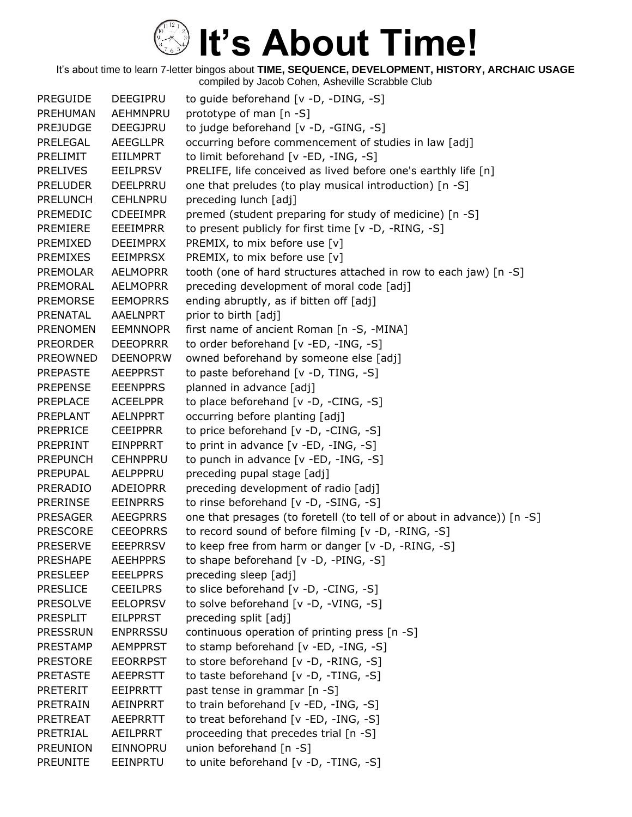| <b>PREGUIDE</b> | <b>DEEGIPRU</b> | to guide beforehand [v -D, -DING, -S]                                   |
|-----------------|-----------------|-------------------------------------------------------------------------|
| PREHUMAN        | AEHMNPRU        | prototype of man [n -S]                                                 |
| <b>PREJUDGE</b> | <b>DEEGJPRU</b> | to judge beforehand [v -D, -GING, -S]                                   |
| PRELEGAL        | <b>AEEGLLPR</b> | occurring before commencement of studies in law [adj]                   |
| PRELIMIT        | <b>EIILMPRT</b> | to limit beforehand [v -ED, -ING, -S]                                   |
| <b>PRELIVES</b> | <b>EEILPRSV</b> | PRELIFE, life conceived as lived before one's earthly life [n]          |
| <b>PRELUDER</b> | DEELPRRU        | one that preludes (to play musical introduction) [n -S]                 |
| <b>PRELUNCH</b> | <b>CEHLNPRU</b> | preceding lunch [adj]                                                   |
| <b>PREMEDIC</b> | <b>CDEEIMPR</b> | premed (student preparing for study of medicine) [n -S]                 |
| PREMIERE        | <b>EEEIMPRR</b> | to present publicly for first time [v -D, -RING, -S]                    |
| PREMIXED        | <b>DEEIMPRX</b> | PREMIX, to mix before use [v]                                           |
| PREMIXES        | <b>EEIMPRSX</b> | PREMIX, to mix before use [v]                                           |
| <b>PREMOLAR</b> | <b>AELMOPRR</b> | tooth (one of hard structures attached in row to each jaw) [n -S]       |
| PREMORAL        | <b>AELMOPRR</b> | preceding development of moral code [adj]                               |
| <b>PREMORSE</b> | <b>EEMOPRRS</b> | ending abruptly, as if bitten off [adj]                                 |
| PRENATAL        | AAELNPRT        | prior to birth [adj]                                                    |
| <b>PRENOMEN</b> | <b>EEMNNOPR</b> | first name of ancient Roman [n -S, -MINA]                               |
| <b>PREORDER</b> | <b>DEEOPRRR</b> | to order beforehand [v -ED, -ING, -S]                                   |
| <b>PREOWNED</b> | <b>DEENOPRW</b> | owned beforehand by someone else [adj]                                  |
| <b>PREPASTE</b> | <b>AEEPPRST</b> | to paste beforehand [v -D, TING, -S]                                    |
| <b>PREPENSE</b> | <b>EEENPPRS</b> | planned in advance [adj]                                                |
| <b>PREPLACE</b> | <b>ACEELPPR</b> | to place beforehand [v -D, -CING, -S]                                   |
| PREPLANT        | <b>AELNPPRT</b> | occurring before planting [adj]                                         |
| <b>PREPRICE</b> | <b>CEEIPPRR</b> | to price beforehand [v -D, -CING, -S]                                   |
| PREPRINT        | <b>EINPPRRT</b> | to print in advance $[v - ED, -ING, -S]$                                |
| <b>PREPUNCH</b> | <b>CEHNPPRU</b> | to punch in advance [v -ED, -ING, -S]                                   |
| <b>PREPUPAL</b> | AELPPPRU        | preceding pupal stage [adj]                                             |
| PRERADIO        | <b>ADEIOPRR</b> | preceding development of radio [adj]                                    |
| <b>PRERINSE</b> | <b>EEINPRRS</b> | to rinse beforehand [v -D, -SING, -S]                                   |
| <b>PRESAGER</b> | <b>AEEGPRRS</b> | one that presages (to foretell (to tell of or about in advance)) [n -S] |
| <b>PRESCORE</b> | <b>CEEOPRRS</b> | to record sound of before filming [v -D, -RING, -S]                     |
| <b>PRESERVE</b> | <b>EEEPRRSV</b> | to keep free from harm or danger [v -D, -RING, -S]                      |
| <b>PRESHAPE</b> | <b>AEEHPPRS</b> | to shape beforehand [v -D, -PING, -S]                                   |
| <b>PRESLEEP</b> | <b>EEELPPRS</b> | preceding sleep [adj]                                                   |
| <b>PRESLICE</b> | <b>CEEILPRS</b> | to slice beforehand [v -D, -CING, -S]                                   |
| <b>PRESOLVE</b> | <b>EELOPRSV</b> | to solve beforehand [v -D, -VING, -S]                                   |
| <b>PRESPLIT</b> | <b>EILPPRST</b> | preceding split [adj]                                                   |
| <b>PRESSRUN</b> | <b>ENPRRSSU</b> | continuous operation of printing press [n -S]                           |
| <b>PRESTAMP</b> | <b>AEMPPRST</b> | to stamp beforehand [v -ED, -ING, -S]                                   |
| <b>PRESTORE</b> | <b>EEORRPST</b> | to store beforehand [v -D, -RING, -S]                                   |
| <b>PRETASTE</b> | <b>AEEPRSTT</b> | to taste beforehand [v -D, -TING, -S]                                   |
| <b>PRETERIT</b> | EEIPRRTT        | past tense in grammar [n -S]                                            |
| <b>PRETRAIN</b> | AEINPRRT        | to train beforehand [v -ED, -ING, -S]                                   |
| <b>PRETREAT</b> | AEEPRRTT        | to treat beforehand [v -ED, -ING, -S]                                   |
| PRETRIAL        | AEILPRRT        | proceeding that precedes trial [n -S]                                   |
| <b>PREUNION</b> | EINNOPRU        | union beforehand [n -S]                                                 |
| <b>PREUNITE</b> | EEINPRTU        | to unite beforehand [v -D, -TING, -S]                                   |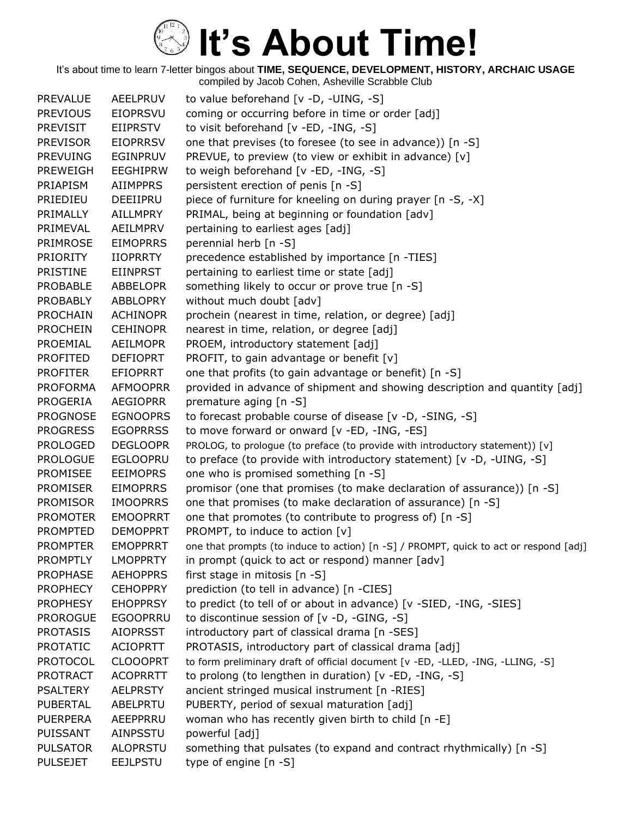| <b>PREVALUE</b> | <b>AEELPRUV</b> | to value beforehand [v -D, -UING, -S]                                                 |
|-----------------|-----------------|---------------------------------------------------------------------------------------|
| <b>PREVIOUS</b> | <b>EIOPRSVU</b> | coming or occurring before in time or order [adj]                                     |
| <b>PREVISIT</b> | EIIPRSTV        | to visit beforehand [v -ED, -ING, -S]                                                 |
| <b>PREVISOR</b> | <b>EIOPRRSV</b> | one that previses (to foresee (to see in advance)) [n -S]                             |
| <b>PREVUING</b> | <b>EGINPRUV</b> | PREVUE, to preview (to view or exhibit in advance) [v]                                |
| <b>PREWEIGH</b> | <b>EEGHIPRW</b> | to weigh beforehand [v -ED, -ING, -S]                                                 |
| PRIAPISM        | <b>AIIMPPRS</b> | persistent erection of penis [n -S]                                                   |
| PRIEDIEU        | DEEIIPRU        | piece of furniture for kneeling on during prayer [n -S, -X]                           |
| PRIMALLY        | <b>AILLMPRY</b> | PRIMAL, being at beginning or foundation [adv]                                        |
| PRIMEVAL        | AEILMPRV        | pertaining to earliest ages [adj]                                                     |
| PRIMROSE        | <b>EIMOPRRS</b> | perennial herb [n -S]                                                                 |
| <b>PRIORITY</b> | <b>IIOPRRTY</b> | precedence established by importance [n -TIES]                                        |
| <b>PRISTINE</b> | <b>EIINPRST</b> | pertaining to earliest time or state [adj]                                            |
| <b>PROBABLE</b> | <b>ABBELOPR</b> | something likely to occur or prove true [n -S]                                        |
| PROBABLY        | <b>ABBLOPRY</b> | without much doubt [adv]                                                              |
| <b>PROCHAIN</b> | <b>ACHINOPR</b> | prochein (nearest in time, relation, or degree) [adj]                                 |
| <b>PROCHEIN</b> | <b>CEHINOPR</b> | nearest in time, relation, or degree [adj]                                            |
| PROEMIAL        | <b>AEILMOPR</b> | PROEM, introductory statement [adj]                                                   |
| <b>PROFITED</b> | <b>DEFIOPRT</b> | PROFIT, to gain advantage or benefit [v]                                              |
| <b>PROFITER</b> | <b>EFIOPRRT</b> | one that profits (to gain advantage or benefit) [n -S]                                |
| <b>PROFORMA</b> | <b>AFMOOPRR</b> | provided in advance of shipment and showing description and quantity [adj]            |
| PROGERIA        | <b>AEGIOPRR</b> | premature aging [n -S]                                                                |
| <b>PROGNOSE</b> | <b>EGNOOPRS</b> | to forecast probable course of disease [v -D, -SING, -S]                              |
| <b>PROGRESS</b> | <b>EGOPRRSS</b> | to move forward or onward [v -ED, -ING, -ES]                                          |
| <b>PROLOGED</b> | <b>DEGLOOPR</b> | PROLOG, to prologue (to preface (to provide with introductory statement)) [v]         |
| <b>PROLOGUE</b> | <b>EGLOOPRU</b> | to preface (to provide with introductory statement) [v -D, -UING, -S]                 |
| <b>PROMISEE</b> | <b>EEIMOPRS</b> | one who is promised something [n -S]                                                  |
| <b>PROMISER</b> | <b>EIMOPRRS</b> | promisor (one that promises (to make declaration of assurance)) [n -S]                |
| <b>PROMISOR</b> | <b>IMOOPRRS</b> | one that promises (to make declaration of assurance) [n -S]                           |
| <b>PROMOTER</b> | <b>EMOOPRRT</b> | one that promotes (to contribute to progress of) [n -S]                               |
| <b>PROMPTED</b> | <b>DEMOPPRT</b> | PROMPT, to induce to action [v]                                                       |
| <b>PROMPTER</b> | <b>EMOPPRRT</b> | one that prompts (to induce to action) [n -S] / PROMPT, quick to act or respond [adj] |
| <b>PROMPTLY</b> | <b>LMOPPRTY</b> | in prompt (quick to act or respond) manner [adv]                                      |
| <b>PROPHASE</b> | <b>AEHOPPRS</b> | first stage in mitosis [n -S]                                                         |
| <b>PROPHECY</b> | <b>CEHOPPRY</b> | prediction (to tell in advance) [n -CIES]                                             |
| <b>PROPHESY</b> | <b>EHOPPRSY</b> | to predict (to tell of or about in advance) [v -SIED, -ING, -SIES]                    |
| <b>PROROGUE</b> | <b>EGOOPRRU</b> | to discontinue session of [v -D, -GING, -S]                                           |
| <b>PROTASIS</b> | <b>AIOPRSST</b> | introductory part of classical drama [n -SES]                                         |
| <b>PROTATIC</b> | <b>ACIOPRTT</b> | PROTASIS, introductory part of classical drama [adj]                                  |
| <b>PROTOCOL</b> | <b>CLOOOPRT</b> | to form preliminary draft of official document [v -ED, -LLED, -ING, -LLING, -S]       |
| <b>PROTRACT</b> | <b>ACOPRRTT</b> | to prolong (to lengthen in duration) [v -ED, -ING, -S]                                |
| <b>PSALTERY</b> | <b>AELPRSTY</b> | ancient stringed musical instrument [n -RIES]                                         |
| <b>PUBERTAL</b> | ABELPRTU        | PUBERTY, period of sexual maturation [adj]                                            |
| <b>PUERPERA</b> | AEEPPRRU        | woman who has recently given birth to child [n -E]                                    |
| <b>PUISSANT</b> | AINPSSTU        | powerful [adj]                                                                        |
| <b>PULSATOR</b> | <b>ALOPRSTU</b> | something that pulsates (to expand and contract rhythmically) [n -S]                  |
| <b>PULSEJET</b> | <b>EEJLPSTU</b> | type of engine [n -S]                                                                 |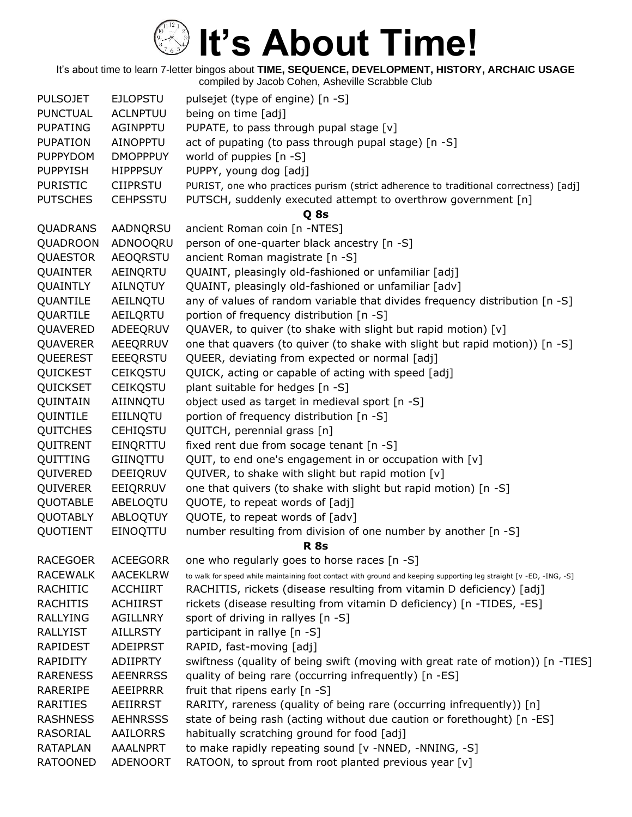| <b>PULSOJET</b> | <b>EJLOPSTU</b> | pulsejet (type of engine) [n -S]                                                                                   |
|-----------------|-----------------|--------------------------------------------------------------------------------------------------------------------|
| <b>PUNCTUAL</b> | <b>ACLNPTUU</b> | being on time [adj]                                                                                                |
| <b>PUPATING</b> | <b>AGINPPTU</b> | PUPATE, to pass through pupal stage [v]                                                                            |
| <b>PUPATION</b> | <b>AINOPPTU</b> | act of pupating (to pass through pupal stage) [n -S]                                                               |
| <b>PUPPYDOM</b> | <b>DMOPPPUY</b> | world of puppies [n -S]                                                                                            |
| <b>PUPPYISH</b> | <b>HIPPPSUY</b> | PUPPY, young dog [adj]                                                                                             |
| <b>PURISTIC</b> | <b>CIIPRSTU</b> | PURIST, one who practices purism (strict adherence to traditional correctness) [adj]                               |
| <b>PUTSCHES</b> | <b>CEHPSSTU</b> | PUTSCH, suddenly executed attempt to overthrow government [n]                                                      |
|                 |                 | Q 8s                                                                                                               |
| QUADRANS        | AADNQRSU        | ancient Roman coin [n -NTES]                                                                                       |
| QUADROON        | ADNOOQRU        | person of one-quarter black ancestry [n -S]                                                                        |
| QUAESTOR        | <b>AEOQRSTU</b> | ancient Roman magistrate [n -S]                                                                                    |
| <b>QUAINTER</b> | AEINQRTU        | QUAINT, pleasingly old-fashioned or unfamiliar [adj]                                                               |
| QUAINTLY        | AILNQTUY        | QUAINT, pleasingly old-fashioned or unfamiliar [adv]                                                               |
| QUANTILE        | AEILNQTU        | any of values of random variable that divides frequency distribution [n -S]                                        |
| QUARTILE        | AEILQRTU        | portion of frequency distribution [n -S]                                                                           |
| QUAVERED        | ADEEQRUV        | QUAVER, to quiver (to shake with slight but rapid motion) [v]                                                      |
| <b>QUAVERER</b> | AEEQRRUV        | one that quavers (to quiver (to shake with slight but rapid motion)) [n -S]                                        |
| QUEEREST        | EEEQRSTU        | QUEER, deviating from expected or normal [adj]                                                                     |
| QUICKEST        | <b>CEIKQSTU</b> | QUICK, acting or capable of acting with speed [adj]                                                                |
| QUICKSET        | <b>CEIKQSTU</b> | plant suitable for hedges [n -S]                                                                                   |
| QUINTAIN        | AIINNQTU        | object used as target in medieval sport [n -S]                                                                     |
| QUINTILE        | EIILNQTU        | portion of frequency distribution [n -S]                                                                           |
| <b>QUITCHES</b> | <b>CEHIQSTU</b> | QUITCH, perennial grass [n]                                                                                        |
| QUITRENT        | EINQRTTU        | fixed rent due from socage tenant [n -S]                                                                           |
| QUITTING        | GIINQTTU        | QUIT, to end one's engagement in or occupation with [v]                                                            |
| QUIVERED        | DEEIQRUV        | QUIVER, to shake with slight but rapid motion [v]                                                                  |
| QUIVERER        | EEIQRRUV        | one that quivers (to shake with slight but rapid motion) [n -S]                                                    |
| <b>QUOTABLE</b> | ABELOQTU        | QUOTE, to repeat words of [adj]                                                                                    |
| QUOTABLY        | ABLOQTUY        | QUOTE, to repeat words of [adv]                                                                                    |
| QUOTIENT        | EINOQTTU        | number resulting from division of one number by another [n -S]                                                     |
|                 |                 | <b>R</b> 8s                                                                                                        |
| <b>RACEGOER</b> | <b>ACEEGORR</b> | one who regularly goes to horse races [n -S]                                                                       |
| <b>RACEWALK</b> | <b>AACEKLRW</b> | to walk for speed while maintaining foot contact with ground and keeping supporting leg straight [v -ED, -ING, -S] |
| RACHITIC        | <b>ACCHIIRT</b> | RACHITIS, rickets (disease resulting from vitamin D deficiency) [adj]                                              |
| RACHITIS        | <b>ACHIIRST</b> | rickets (disease resulting from vitamin D deficiency) [n -TIDES, -ES]                                              |
| RALLYING        | <b>AGILLNRY</b> | sport of driving in rallyes [n -S]                                                                                 |
| <b>RALLYIST</b> | <b>AILLRSTY</b> | participant in rallye [n -S]                                                                                       |
| <b>RAPIDEST</b> | <b>ADEIPRST</b> | RAPID, fast-moving [adj]                                                                                           |
| <b>RAPIDITY</b> | <b>ADIIPRTY</b> | swiftness (quality of being swift (moving with great rate of motion)) [n -TIES]                                    |
| <b>RARENESS</b> | <b>AEENRRSS</b> | quality of being rare (occurring infrequently) [n -ES]                                                             |
| RARERIPE        | AEEIPRRR        | fruit that ripens early [n -S]                                                                                     |
| RARITIES        | AEIIRRST        | RARITY, rareness (quality of being rare (occurring infrequently)) [n]                                              |
| <b>RASHNESS</b> | <b>AEHNRSSS</b> | state of being rash (acting without due caution or forethought) [n -ES]                                            |
| RASORIAL        | AAILORRS        | habitually scratching ground for food [adj]                                                                        |
| <b>RATAPLAN</b> | <b>AAALNPRT</b> | to make rapidly repeating sound [v -NNED, -NNING, -S]                                                              |
| <b>RATOONED</b> | <b>ADENOORT</b> | RATOON, to sprout from root planted previous year [v]                                                              |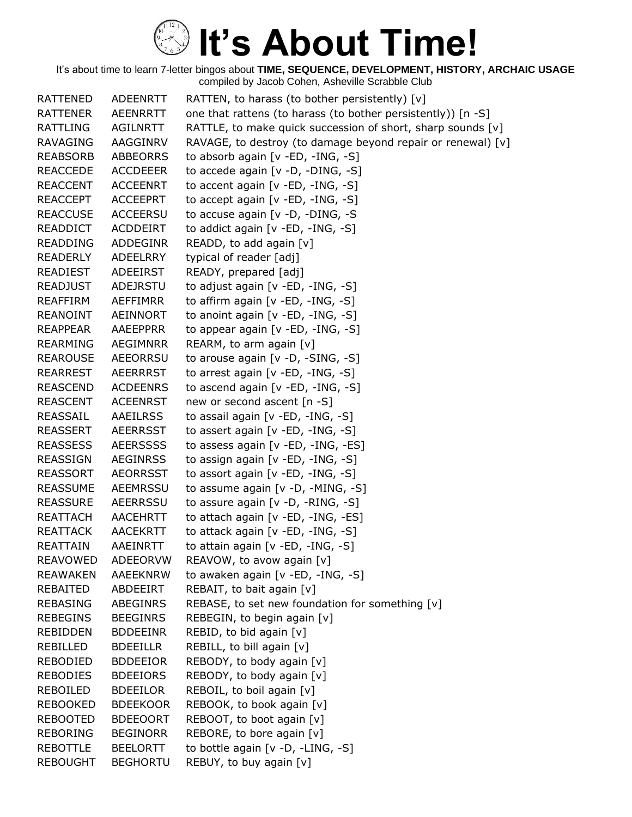| <b>RATTENED</b> | <b>ADEENRTT</b> | RATTEN, to harass (to bother persistently) $[v]$             |
|-----------------|-----------------|--------------------------------------------------------------|
| <b>RATTENER</b> | <b>AEENRRTT</b> | one that rattens (to harass (to bother persistently)) [n -S] |
| RATTLING        | AGILNRTT        | RATTLE, to make quick succession of short, sharp sounds [v]  |
| <b>RAVAGING</b> | AAGGINRV        | RAVAGE, to destroy (to damage beyond repair or renewal) [v]  |
| <b>REABSORB</b> | <b>ABBEORRS</b> | to absorb again [v -ED, -ING, -S]                            |
| <b>REACCEDE</b> | <b>ACCDEEER</b> | to accede again $[v -D, -DING, -S]$                          |
| <b>REACCENT</b> | <b>ACCEENRT</b> | to accent again [v -ED, -ING, -S]                            |
| <b>REACCEPT</b> | <b>ACCEEPRT</b> | to accept again [v -ED, -ING, -S]                            |
| <b>REACCUSE</b> | <b>ACCEERSU</b> | to accuse again [v -D, -DING, -S                             |
| <b>READDICT</b> | ACDDEIRT        | to addict again [v -ED, -ING, -S]                            |
| <b>READDING</b> | <b>ADDEGINR</b> | READD, to add again [v]                                      |
| <b>READERLY</b> | <b>ADEELRRY</b> | typical of reader [adj]                                      |
| <b>READIEST</b> | ADEEIRST        | READY, prepared [adj]                                        |
| <b>READJUST</b> | ADEJRSTU        | to adjust again [v -ED, -ING, -S]                            |
| <b>REAFFIRM</b> | <b>AEFFIMRR</b> | to affirm again [v -ED, -ING, -S]                            |
| <b>REANOINT</b> | AEINNORT        | to anoint again [v -ED, -ING, -S]                            |
| <b>REAPPEAR</b> | AAEEPPRR        | to appear again $[v - ED, -ING, -S]$                         |
| <b>REARMING</b> | AEGIMNRR        | REARM, to arm again [v]                                      |
| <b>REAROUSE</b> | <b>AEEORRSU</b> | to arouse again [v -D, -SING, -S]                            |
| <b>REARREST</b> | <b>AEERRRST</b> | to arrest again [v -ED, -ING, -S]                            |
| <b>REASCEND</b> | <b>ACDEENRS</b> | to ascend again [v -ED, -ING, -S]                            |
| <b>REASCENT</b> | <b>ACEENRST</b> | new or second ascent [n -S]                                  |
| REASSAIL        | <b>AAEILRSS</b> | to assail again [v -ED, -ING, -S]                            |
| <b>REASSERT</b> | <b>AEERRSST</b> | to assert again [v -ED, -ING, -S]                            |
| <b>REASSESS</b> | <b>AEERSSSS</b> | to assess again [v -ED, -ING, -ES]                           |
| <b>REASSIGN</b> | <b>AEGINRSS</b> | to assign again [v -ED, -ING, -S]                            |
| <b>REASSORT</b> | <b>AEORRSST</b> | to assort again [v -ED, -ING, -S]                            |
| <b>REASSUME</b> | AEEMRSSU        | to assume again $[v -D, -MING, -S]$                          |
| <b>REASSURE</b> | <b>AEERRSSU</b> | to assure again [v -D, -RING, -S]                            |
| <b>REATTACH</b> | <b>AACEHRTT</b> | to attach again [v -ED, -ING, -ES]                           |
| <b>REATTACK</b> | <b>AACEKRTT</b> | to attack again [v -ED, -ING, -S]                            |
| <b>REATTAIN</b> | <b>AAEINRTT</b> | to attain again [v -ED, -ING, -S]                            |
| REAVOWED        | ADEEORVW        | REAVOW, to avow again [v]                                    |
| <b>REAWAKEN</b> | <b>AAEEKNRW</b> | to awaken again [v -ED, -ING, -S]                            |
| REBAITED        | ABDEEIRT        | REBAIT, to bait again [v]                                    |
| <b>REBASING</b> | ABEGINRS        | REBASE, to set new foundation for something [v]              |
| <b>REBEGINS</b> | <b>BEEGINRS</b> | REBEGIN, to begin again [v]                                  |
| <b>REBIDDEN</b> | <b>BDDEEINR</b> | REBID, to bid again [v]                                      |
| <b>REBILLED</b> | <b>BDEEILLR</b> | REBILL, to bill again [v]                                    |
| <b>REBODIED</b> | <b>BDDEEIOR</b> | REBODY, to body again [v]                                    |
| <b>REBODIES</b> | <b>BDEEIORS</b> | REBODY, to body again [v]                                    |
| REBOILED        | <b>BDEEILOR</b> | REBOIL, to boil again [v]                                    |
| <b>REBOOKED</b> | <b>BDEEKOOR</b> | REBOOK, to book again [v]                                    |
| <b>REBOOTED</b> | <b>BDEEOORT</b> | REBOOT, to boot again [v]                                    |
| <b>REBORING</b> | <b>BEGINORR</b> | REBORE, to bore again [v]                                    |
| <b>REBOTTLE</b> | <b>BEELORTT</b> | to bottle again [v -D, -LING, -S]                            |
| <b>REBOUGHT</b> | <b>BEGHORTU</b> | REBUY, to buy again [v]                                      |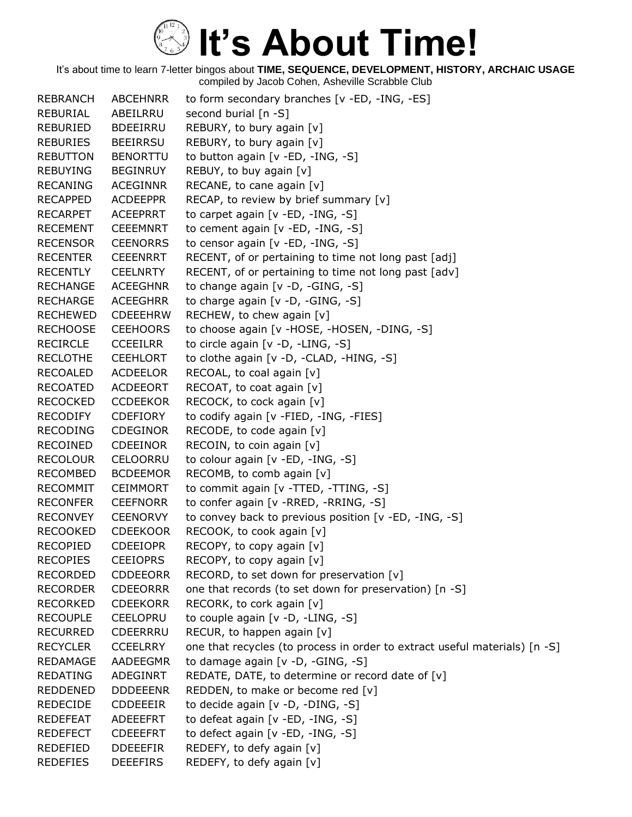| <b>REBRANCH</b> | <b>ABCEHNRR</b> | to form secondary branches [v -ED, -ING, -ES]                              |
|-----------------|-----------------|----------------------------------------------------------------------------|
| REBURIAL        | ABEILRRU        | second burial [n -S]                                                       |
| <b>REBURIED</b> | <b>BDEEIRRU</b> | REBURY, to bury again [v]                                                  |
| <b>REBURIES</b> | <b>BEEIRRSU</b> | REBURY, to bury again [v]                                                  |
| <b>REBUTTON</b> | <b>BENORTTU</b> | to button again [v -ED, -ING, -S]                                          |
| <b>REBUYING</b> | <b>BEGINRUY</b> | REBUY, to buy again [v]                                                    |
| <b>RECANING</b> | <b>ACEGINNR</b> | RECANE, to cane again [v]                                                  |
| <b>RECAPPED</b> | <b>ACDEEPPR</b> | RECAP, to review by brief summary [v]                                      |
| <b>RECARPET</b> | <b>ACEEPRRT</b> | to carpet again [v -ED, -ING, -S]                                          |
| <b>RECEMENT</b> | <b>CEEEMNRT</b> | to cement again [v -ED, -ING, -S]                                          |
| <b>RECENSOR</b> | <b>CEENORRS</b> | to censor again [v -ED, -ING, -S]                                          |
| <b>RECENTER</b> | <b>CEEENRRT</b> | RECENT, of or pertaining to time not long past [adj]                       |
| <b>RECENTLY</b> | <b>CEELNRTY</b> | RECENT, of or pertaining to time not long past [adv]                       |
| <b>RECHANGE</b> | <b>ACEEGHNR</b> | to change again [v -D, -GING, -S]                                          |
| <b>RECHARGE</b> | <b>ACEEGHRR</b> | to charge again [v -D, -GING, -S]                                          |
| <b>RECHEWED</b> | <b>CDEEEHRW</b> | RECHEW, to chew again [v]                                                  |
| <b>RECHOOSE</b> | <b>CEEHOORS</b> | to choose again [v -HOSE, -HOSEN, -DING, -S]                               |
| <b>RECIRCLE</b> | <b>CCEEILRR</b> | to circle again [v -D, -LING, -S]                                          |
| <b>RECLOTHE</b> | <b>CEEHLORT</b> | to clothe again [v -D, -CLAD, -HING, -S]                                   |
| <b>RECOALED</b> | <b>ACDEELOR</b> | RECOAL, to coal again [v]                                                  |
| <b>RECOATED</b> | ACDEEORT        | RECOAT, to coat again [v]                                                  |
| <b>RECOCKED</b> | <b>CCDEEKOR</b> | RECOCK, to cock again [v]                                                  |
| <b>RECODIFY</b> | <b>CDEFIORY</b> | to codify again [v -FIED, -ING, -FIES]                                     |
| <b>RECODING</b> | <b>CDEGINOR</b> | RECODE, to code again [v]                                                  |
| RECOINED        | <b>CDEEINOR</b> | RECOIN, to coin again [v]                                                  |
| <b>RECOLOUR</b> | CELOORRU        | to colour again [v -ED, -ING, -S]                                          |
| <b>RECOMBED</b> | <b>BCDEEMOR</b> | RECOMB, to comb again [v]                                                  |
| <b>RECOMMIT</b> | <b>CEIMMORT</b> | to commit again [v -TTED, -TTING, -S]                                      |
| <b>RECONFER</b> | <b>CEEFNORR</b> | to confer again [v -RRED, -RRING, -S]                                      |
| <b>RECONVEY</b> | <b>CEENORVY</b> | to convey back to previous position [v -ED, -ING, -S]                      |
| <b>RECOOKED</b> | <b>CDEEKOOR</b> | RECOOK, to cook again [v]                                                  |
| <b>RECOPIED</b> | <b>CDEEIOPR</b> | RECOPY, to copy again [v]                                                  |
| <b>RECOPIES</b> | <b>CEEIOPRS</b> | RECOPY, to copy again [v]                                                  |
| <b>RECORDED</b> | <b>CDDEEORR</b> | RECORD, to set down for preservation [v]                                   |
| <b>RECORDER</b> | <b>CDEEORRR</b> | one that records (to set down for preservation) [n -S]                     |
| <b>RECORKED</b> | <b>CDEEKORR</b> | RECORK, to cork again [v]                                                  |
| <b>RECOUPLE</b> | <b>CEELOPRU</b> | to couple again [v -D, -LING, -S]                                          |
| <b>RECURRED</b> | <b>CDEERRRU</b> | RECUR, to happen again [v]                                                 |
| <b>RECYCLER</b> | <b>CCEELRRY</b> | one that recycles (to process in order to extract useful materials) [n -S] |
| <b>REDAMAGE</b> | AADEEGMR        | to damage again [v -D, -GING, -S]                                          |
| <b>REDATING</b> | ADEGINRT        | REDATE, DATE, to determine or record date of [v]                           |
| <b>REDDENED</b> | <b>DDDEEENR</b> | REDDEN, to make or become red [v]                                          |
| <b>REDECIDE</b> | <b>CDDEEEIR</b> | to decide again [v -D, -DING, -S]                                          |
| <b>REDEFEAT</b> | ADEEEFRT        | to defeat again [v -ED, -ING, -S]                                          |
| <b>REDEFECT</b> | <b>CDEEEFRT</b> | to defect again [v -ED, -ING, -S]                                          |
| REDEFIED        | <b>DDEEEFIR</b> | REDEFY, to defy again [v]                                                  |
| <b>REDEFIES</b> | <b>DEEEFIRS</b> | REDEFY, to defy again [v]                                                  |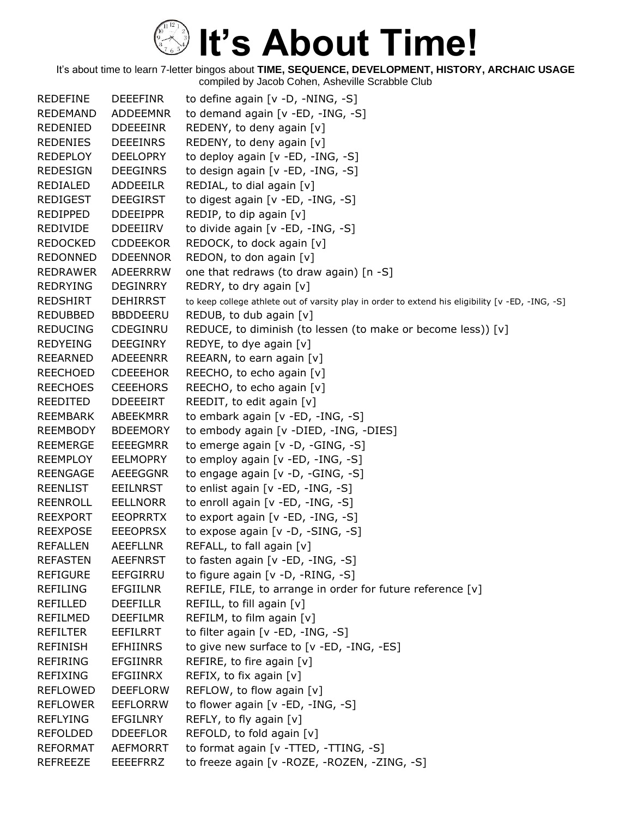| REDEFINE        | <b>DEEEFINR</b> | to define again $[v -D, -NING, -S]$                                                              |
|-----------------|-----------------|--------------------------------------------------------------------------------------------------|
| <b>REDEMAND</b> | <b>ADDEEMNR</b> | to demand again [v -ED, -ING, -S]                                                                |
| REDENIED        | <b>DDEEEINR</b> | REDENY, to deny again [v]                                                                        |
| <b>REDENIES</b> | <b>DEEEINRS</b> | REDENY, to deny again [v]                                                                        |
| <b>REDEPLOY</b> | <b>DEELOPRY</b> | to deploy again [v -ED, -ING, -S]                                                                |
| <b>REDESIGN</b> | <b>DEEGINRS</b> | to design again [v -ED, -ING, -S]                                                                |
| REDIALED        | ADDEEILR        | REDIAL, to dial again [v]                                                                        |
| <b>REDIGEST</b> | <b>DEEGIRST</b> | to digest again [v -ED, -ING, -S]                                                                |
| <b>REDIPPED</b> | <b>DDEEIPPR</b> | REDIP, to dip again [v]                                                                          |
| REDIVIDE        | <b>DDEEIIRV</b> | to divide again [v -ED, -ING, -S]                                                                |
| <b>REDOCKED</b> | <b>CDDEEKOR</b> | REDOCK, to dock again [v]                                                                        |
| <b>REDONNED</b> | <b>DDEENNOR</b> | REDON, to don again [v]                                                                          |
| <b>REDRAWER</b> | <b>ADEERRRW</b> | one that redraws (to draw again) [n -S]                                                          |
| <b>REDRYING</b> | DEGINRRY        | REDRY, to dry again [v]                                                                          |
| <b>REDSHIRT</b> | <b>DEHIRRST</b> | to keep college athlete out of varsity play in order to extend his eligibility [v -ED, -ING, -S] |
| REDUBBED        | <b>BBDDEERU</b> | REDUB, to dub again [v]                                                                          |
| <b>REDUCING</b> | <b>CDEGINRU</b> | REDUCE, to diminish (to lessen (to make or become less)) [v]                                     |
| <b>REDYEING</b> | DEEGINRY        | REDYE, to dye again [v]                                                                          |
| REEARNED        | ADEEENRR        | REEARN, to earn again [v]                                                                        |
| <b>REECHOED</b> | <b>CDEEEHOR</b> | REECHO, to echo again [v]                                                                        |
| <b>REECHOES</b> | <b>CEEEHORS</b> | REECHO, to echo again [v]                                                                        |
| REEDITED        | <b>DDEEEIRT</b> | REEDIT, to edit again [v]                                                                        |
| <b>REEMBARK</b> | ABEEKMRR        | to embark again [v -ED, -ING, -S]                                                                |
| <b>REEMBODY</b> | <b>BDEEMORY</b> | to embody again [v -DIED, -ING, -DIES]                                                           |
| <b>REEMERGE</b> | <b>EEEEGMRR</b> | to emerge again [v -D, -GING, -S]                                                                |
| <b>REEMPLOY</b> | <b>EELMOPRY</b> | to employ again [v -ED, -ING, -S]                                                                |
| <b>REENGAGE</b> | AEEEGGNR        | to engage again [v -D, -GING, -S]                                                                |
| <b>REENLIST</b> | <b>EEILNRST</b> | to enlist again [v -ED, -ING, -S]                                                                |
| <b>REENROLL</b> | <b>EELLNORR</b> | to enroll again [v -ED, -ING, -S]                                                                |
| <b>REEXPORT</b> | <b>EEOPRRTX</b> | to export again $[v - ED, -ING, -S]$                                                             |
| <b>REEXPOSE</b> | <b>EEEOPRSX</b> | to expose again [v -D, -SING, -S]                                                                |
| <b>REFALLEN</b> | <b>AEEFLLNR</b> | REFALL, to fall again [v]                                                                        |
| <b>REFASTEN</b> | <b>AEEFNRST</b> | to fasten again [v -ED, -ING, -S]                                                                |
| <b>REFIGURE</b> | EEFGIRRU        | to figure again [v -D, -RING, -S]                                                                |
| <b>REFILING</b> | <b>EFGIILNR</b> | REFILE, FILE, to arrange in order for future reference [v]                                       |
| <b>REFILLED</b> | <b>DEEFILLR</b> | REFILL, to fill again [v]                                                                        |
| <b>REFILMED</b> | <b>DEEFILMR</b> | REFILM, to film again [v]                                                                        |
| <b>REFILTER</b> | <b>EEFILRRT</b> | to filter again [v -ED, -ING, -S]                                                                |
| <b>REFINISH</b> | <b>EFHIINRS</b> | to give new surface to [v -ED, -ING, -ES]                                                        |
| <b>REFIRING</b> | <b>EFGIINRR</b> | REFIRE, to fire again [v]                                                                        |
| <b>REFIXING</b> | <b>EFGIINRX</b> | REFIX, to fix again [v]                                                                          |
| <b>REFLOWED</b> | <b>DEEFLORW</b> | REFLOW, to flow again [v]                                                                        |
| <b>REFLOWER</b> | EEFLORRW        | to flower again [v -ED, -ING, -S]                                                                |
| <b>REFLYING</b> | <b>EFGILNRY</b> | REFLY, to fly again [v]                                                                          |
| <b>REFOLDED</b> | <b>DDEEFLOR</b> | REFOLD, to fold again [v]                                                                        |
| <b>REFORMAT</b> | <b>AEFMORRT</b> | to format again [v -TTED, -TTING, -S]                                                            |
| <b>REFREEZE</b> | <b>EEEEFRRZ</b> | to freeze again [v - ROZE, - ROZEN, - ZING, - S]                                                 |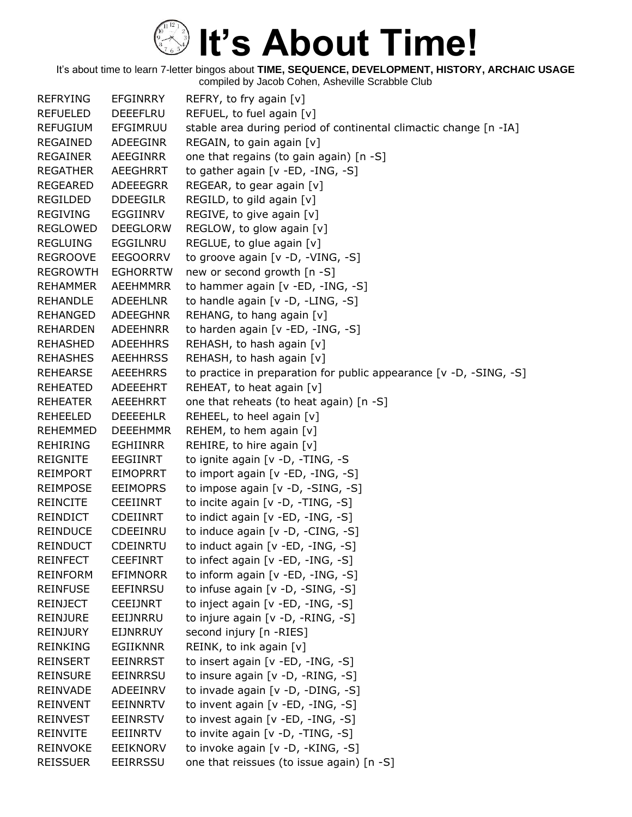It's about time to learn 7-letter bingos about **TIME, SEQUENCE, DEVELOPMENT, HISTORY, ARCHAIC USAGE** compiled by Jacob Cohen, Asheville Scrabble Club

REFRYING EFGINRRY REFRY, to fry again [v] REFUELED DEEEFLRU REFUEL, to fuel again [v] REFUGIUM EFGIMRUU stable area during period of continental climactic change [n -IA] REGAINED ADEEGINR REGAIN, to gain again [v] REGAINER AEEGINRR one that regains (to gain again) [n -S] REGATHER AEEGHRRT to gather again [v -ED, -ING, -S] REGEARED ADEEEGRR REGEAR, to gear again [v] REGILDED DDEEGILR REGILD, to gild again [v] REGIVING EGGIINRV REGIVE, to give again [v] REGLOWED DEEGLORW REGLOW, to glow again [v] REGLUING EGGILNRU REGLUE, to glue again [v] REGROOVE EEGOORRV to groove again [v -D, -VING, -S] REGROWTH EGHORRTW new or second growth [n -S] REHAMMER AEEHMMRR to hammer again [v -ED, -ING, -S] REHANDLE ADEEHLNR to handle again [v -D, -LING, -S] REHANGED ADEEGHNR REHANG, to hang again [v] REHARDEN ADEEHNRR to harden again [v -ED, -ING, -S] REHASHED ADEEHHRS REHASH, to hash again [v] REHASHES AEEHHRSS REHASH, to hash again [v] REHEARSE AEEEHRRS to practice in preparation for public appearance [v -D, -SING, -S] REHEATED ADEEEHRT REHEAT, to heat again [v] REHEATER AEEEHRRT one that reheats (to heat again) [n -S] REHEELED DEEEEHLR REHEEL, to heel again [v] REHEMMED DEEEHMMR REHEM, to hem again [v] REHIRING EGHIINRR REHIRE, to hire again [v] REIGNITE EEGIINRT to ignite again [v -D, -TING, -S REIMPORT EIMOPRRT to import again [v -ED, -ING, -S] REIMPOSE EEIMOPRS to impose again [v -D, -SING, -S] REINCITE CEEIINRT to incite again [v -D, -TING, -S] REINDICT CDEIINRT to indict again [v -ED, -ING, -S] REINDUCE CDEEINRU to induce again [v -D, -CING, -S] REINDUCT CDEINRTU to induct again [v -ED, -ING, -S] REINFECT CEEFINRT to infect again [v -ED, -ING, -S] REINFORM EFIMNORR to inform again [v -ED, -ING, -S] REINFUSE EEFINRSU to infuse again [v -D, -SING, -S] REINJECT CEEIJNRT to inject again [v -ED, -ING, -S] REINJURE EEIJNRRU to injure again [v -D, -RING, -S] REINJURY EIJNRRUY second injury [n -RIES] REINKING EGIIKNNR REINK, to ink again [v] REINSERT EEINRRST to insert again [v -ED, -ING, -S] REINSURE EEINRRSU to insure again [v -D, -RING, -S] REINVADE ADEEINRV to invade again [v -D, -DING, -S] REINVENT EEINNRTV to invent again [v -ED, -ING, -S] REINVEST EEINRSTV to invest again [v -ED, -ING, -S] REINVITE EEIINRTV to invite again [v -D, -TING, -S] REINVOKE EEIKNORV to invoke again [v -D, -KING, -S] REISSUER EEIRRSSU one that reissues (to issue again) [n -S]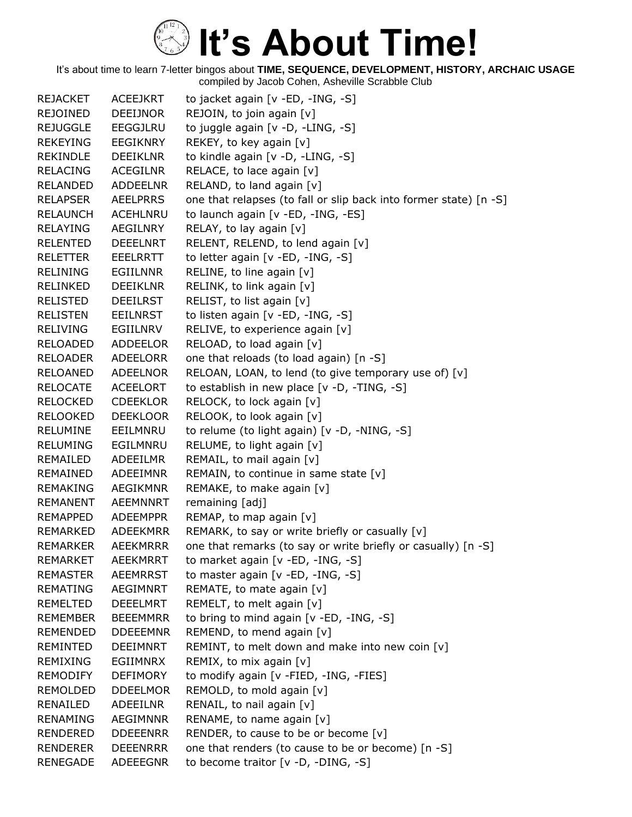| <b>REJACKET</b> | <b>ACEEJKRT</b> | to jacket again [v -ED, -ING, -S]                                 |
|-----------------|-----------------|-------------------------------------------------------------------|
| <b>REJOINED</b> | <b>DEEIJNOR</b> | REJOIN, to join again [v]                                         |
| <b>REJUGGLE</b> | <b>EEGGJLRU</b> | to juggle again [v -D, -LING, -S]                                 |
| <b>REKEYING</b> | <b>EEGIKNRY</b> | REKEY, to key again [v]                                           |
| REKINDLE        | <b>DEEIKLNR</b> | to kindle again [v -D, -LING, -S]                                 |
| <b>RELACING</b> | <b>ACEGILNR</b> | RELACE, to lace again $[v]$                                       |
| <b>RELANDED</b> | <b>ADDEELNR</b> | RELAND, to land again [v]                                         |
| <b>RELAPSER</b> | <b>AEELPRRS</b> | one that relapses (to fall or slip back into former state) [n -S] |
| <b>RELAUNCH</b> | <b>ACEHLNRU</b> | to launch again [v - ED, - ING, - ES]                             |
| <b>RELAYING</b> | AEGILNRY        | RELAY, to lay again [v]                                           |
| <b>RELENTED</b> | <b>DEEELNRT</b> | RELENT, RELEND, to lend again [v]                                 |
| <b>RELETTER</b> | <b>EEELRRTT</b> | to letter again [v -ED, -ING, -S]                                 |
| <b>RELINING</b> | EGIILNNR        | RELINE, to line again [v]                                         |
| <b>RELINKED</b> | <b>DEEIKLNR</b> | RELINK, to link again [v]                                         |
| <b>RELISTED</b> | <b>DEEILRST</b> | RELIST, to list again [v]                                         |
| <b>RELISTEN</b> | <b>EEILNRST</b> | to listen again [v -ED, -ING, -S]                                 |
| <b>RELIVING</b> | EGIILNRV        | RELIVE, to experience again [v]                                   |
| <b>RELOADED</b> | <b>ADDEELOR</b> | RELOAD, to load again [v]                                         |
| <b>RELOADER</b> | ADEELORR        | one that reloads (to load again) [n -S]                           |
| <b>RELOANED</b> | <b>ADEELNOR</b> | RELOAN, LOAN, to lend (to give temporary use of) [v]              |
| <b>RELOCATE</b> | <b>ACEELORT</b> | to establish in new place [v -D, -TING, -S]                       |
| <b>RELOCKED</b> | <b>CDEEKLOR</b> | RELOCK, to lock again [v]                                         |
| <b>RELOOKED</b> | <b>DEEKLOOR</b> | RELOOK, to look again [v]                                         |
| <b>RELUMINE</b> | EEILMNRU        | to relume (to light again) [v -D, -NING, -S]                      |
| <b>RELUMING</b> | EGILMNRU        | RELUME, to light again [v]                                        |
| REMAILED        | <b>ADEEILMR</b> | REMAIL, to mail again [v]                                         |
| REMAINED        | <b>ADEEIMNR</b> | REMAIN, to continue in same state [v]                             |
| <b>REMAKING</b> | <b>AEGIKMNR</b> | REMAKE, to make again [v]                                         |
| <b>REMANENT</b> | <b>AEEMNNRT</b> | remaining [adj]                                                   |
| <b>REMAPPED</b> | <b>ADEEMPPR</b> | REMAP, to map again [v]                                           |
| REMARKED        | <b>ADEEKMRR</b> | REMARK, to say or write briefly or casually [v]                   |
| <b>REMARKER</b> | <b>AEEKMRRR</b> | one that remarks (to say or write briefly or casually) [n -S]     |
| <b>REMARKET</b> | <b>AEEKMRRT</b> | to market again [v -ED, -ING, -S]                                 |
| <b>REMASTER</b> | <b>AEEMRRST</b> | to master again [v -ED, -ING, -S]                                 |
| <b>REMATING</b> | <b>AEGIMNRT</b> | REMATE, to mate again [v]                                         |
| REMELTED        | <b>DEEELMRT</b> | REMELT, to melt again [v]                                         |
| <b>REMEMBER</b> | <b>BEEEMMRR</b> | to bring to mind again [v -ED, -ING, -S]                          |
| <b>REMENDED</b> | <b>DDEEEMNR</b> | REMEND, to mend again [v]                                         |
| <b>REMINTED</b> | DEEIMNRT        | REMINT, to melt down and make into new coin [v]                   |
| REMIXING        | EGIIMNRX        | REMIX, to mix again [v]                                           |
| <b>REMODIFY</b> | <b>DEFIMORY</b> | to modify again [v -FIED, -ING, -FIES]                            |
| REMOLDED        | <b>DDEELMOR</b> | REMOLD, to mold again [v]                                         |
| RENAILED        | ADEEILNR        | RENAIL, to nail again [v]                                         |
| <b>RENAMING</b> | <b>AEGIMNNR</b> | RENAME, to name again [v]                                         |
| RENDERED        | <b>DDEEENRR</b> | RENDER, to cause to be or become $[v]$                            |
| <b>RENDERER</b> | <b>DEEENRRR</b> | one that renders (to cause to be or become) [n -S]                |
| <b>RENEGADE</b> | <b>ADEEEGNR</b> | to become traitor $[v -D, -DING, -S]$                             |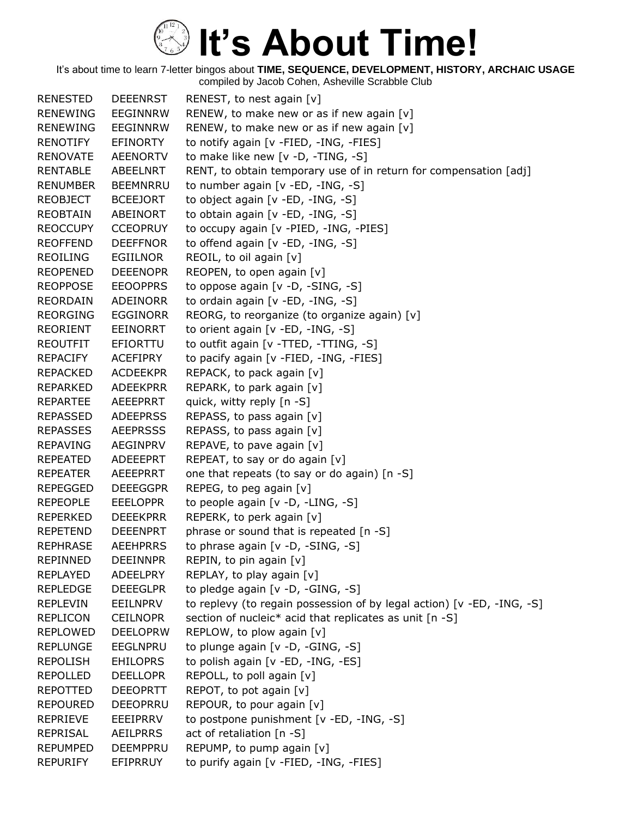| <b>RENESTED</b> | <b>DEEENRST</b> | RENEST, to nest again [v]                                              |
|-----------------|-----------------|------------------------------------------------------------------------|
| <b>RENEWING</b> | <b>EEGINNRW</b> | RENEW, to make new or as if new again [v]                              |
| <b>RENEWING</b> | <b>EEGINNRW</b> | RENEW, to make new or as if new again [v]                              |
| RENOTIFY        | <b>EFINORTY</b> | to notify again [v -FIED, -ING, -FIES]                                 |
| <b>RENOVATE</b> | <b>AEENORTV</b> | to make like new [v -D, -TING, -S]                                     |
| <b>RENTABLE</b> | ABEELNRT        | RENT, to obtain temporary use of in return for compensation [adj]      |
| <b>RENUMBER</b> | <b>BEEMNRRU</b> | to number again [v -ED, -ING, -S]                                      |
| <b>REOBJECT</b> | <b>BCEEJORT</b> | to object again [v -ED, -ING, -S]                                      |
| <b>REOBTAIN</b> | ABEINORT        | to obtain again [v -ED, -ING, -S]                                      |
| <b>REOCCUPY</b> | <b>CCEOPRUY</b> | to occupy again [v -PIED, -ING, -PIES]                                 |
| <b>REOFFEND</b> | <b>DEEFFNOR</b> | to offend again [v -ED, -ING, -S]                                      |
| <b>REOILING</b> | <b>EGIILNOR</b> | REOIL, to oil again [v]                                                |
| <b>REOPENED</b> | <b>DEEENOPR</b> | REOPEN, to open again [v]                                              |
| <b>REOPPOSE</b> | <b>EEOOPPRS</b> | to oppose again [v -D, -SING, -S]                                      |
| <b>REORDAIN</b> | ADEINORR        | to ordain again [v -ED, -ING, -S]                                      |
| <b>REORGING</b> | <b>EGGINORR</b> | REORG, to reorganize (to organize again) [v]                           |
| REORIENT        | <b>EEINORRT</b> | to orient again [v -ED, -ING, -S]                                      |
| <b>REOUTFIT</b> | EFIORTTU        | to outfit again [v -TTED, -TTING, -S]                                  |
| REPACIFY        | <b>ACEFIPRY</b> | to pacify again [v -FIED, -ING, -FIES]                                 |
| <b>REPACKED</b> | <b>ACDEEKPR</b> | REPACK, to pack again [v]                                              |
| REPARKED        | <b>ADEEKPRR</b> | REPARK, to park again [v]                                              |
| <b>REPARTEE</b> | AEEEPRRT        | quick, witty reply [n -S]                                              |
| <b>REPASSED</b> | <b>ADEEPRSS</b> | REPASS, to pass again [v]                                              |
| <b>REPASSES</b> | <b>AEEPRSSS</b> | REPASS, to pass again [v]                                              |
| <b>REPAVING</b> | <b>AEGINPRV</b> | REPAVE, to pave again [v]                                              |
| REPEATED        | <b>ADEEEPRT</b> | REPEAT, to say or do again [v]                                         |
| <b>REPEATER</b> | <b>AEEEPRRT</b> | one that repeats (to say or do again) [n -S]                           |
| <b>REPEGGED</b> | <b>DEEEGGPR</b> | REPEG, to peg again [v]                                                |
| <b>REPEOPLE</b> | <b>EEELOPPR</b> | to people again [v -D, -LING, -S]                                      |
| <b>REPERKED</b> | <b>DEEEKPRR</b> | REPERK, to perk again [v]                                              |
| <b>REPETEND</b> | <b>DEEENPRT</b> | phrase or sound that is repeated [n -S]                                |
| <b>REPHRASE</b> | <b>AEEHPRRS</b> | to phrase again [v -D, -SING, -S]                                      |
| <b>REPINNED</b> | <b>DEEINNPR</b> | REPIN, to pin again [v]                                                |
| <b>REPLAYED</b> | <b>ADEELPRY</b> | REPLAY, to play again [v]                                              |
| <b>REPLEDGE</b> | <b>DEEEGLPR</b> | to pledge again [v -D, -GING, -S]                                      |
| <b>REPLEVIN</b> | <b>EEILNPRV</b> | to replevy (to regain possession of by legal action) [v -ED, -ING, -S] |
| <b>REPLICON</b> | <b>CEILNOPR</b> | section of nucleic* acid that replicates as unit [n -S]                |
| <b>REPLOWED</b> | <b>DEELOPRW</b> | REPLOW, to plow again [v]                                              |
| <b>REPLUNGE</b> | <b>EEGLNPRU</b> | to plunge again [v -D, -GING, -S]                                      |
| <b>REPOLISH</b> | <b>EHILOPRS</b> | to polish again [v -ED, -ING, -ES]                                     |
| <b>REPOLLED</b> | <b>DEELLOPR</b> | REPOLL, to poll again [v]                                              |
| <b>REPOTTED</b> | <b>DEEOPRTT</b> | REPOT, to pot again [v]                                                |
| <b>REPOURED</b> | DEEOPRRU        | REPOUR, to pour again [v]                                              |
| <b>REPRIEVE</b> | <b>EEEIPRRV</b> | to postpone punishment [v -ED, -ING, -S]                               |
| <b>REPRISAL</b> | <b>AEILPRRS</b> | act of retaliation [n -S]                                              |
| <b>REPUMPED</b> | DEEMPPRU        | REPUMP, to pump again [v]                                              |
| <b>REPURIFY</b> | EFIPRRUY        | to purify again [v -FIED, -ING, -FIES]                                 |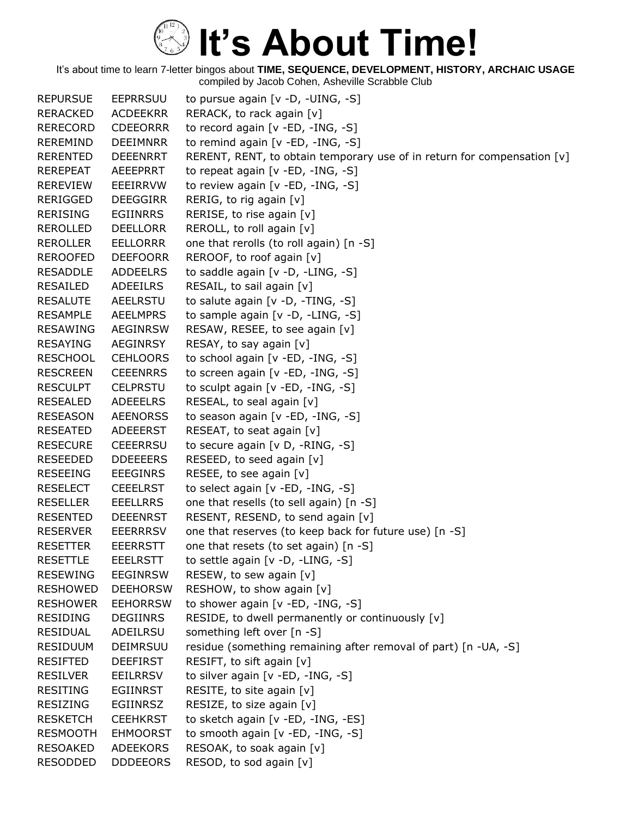| <b>REPURSUE</b> | <b>EEPRRSUU</b> | to pursue again [v -D, -UING, -S]                                       |
|-----------------|-----------------|-------------------------------------------------------------------------|
| <b>RERACKED</b> | <b>ACDEEKRR</b> | RERACK, to rack again [v]                                               |
| <b>RERECORD</b> | <b>CDEEORRR</b> | to record again [v -ED, -ING, -S]                                       |
| REREMIND        | <b>DEEIMNRR</b> | to remind again [v -ED, -ING, -S]                                       |
| <b>RERENTED</b> | <b>DEEENRRT</b> | RERENT, RENT, to obtain temporary use of in return for compensation [v] |
| <b>REREPEAT</b> | <b>AEEEPRRT</b> | to repeat again $[v - ED, -ING, -S]$                                    |
| <b>REREVIEW</b> | EEEIRRVW        | to review again [v -ED, -ING, -S]                                       |
| <b>RERIGGED</b> | <b>DEEGGIRR</b> | RERIG, to rig again [v]                                                 |
| <b>RERISING</b> | <b>EGIINRRS</b> | RERISE, to rise again [v]                                               |
| <b>REROLLED</b> | <b>DEELLORR</b> | REROLL, to roll again [v]                                               |
| <b>REROLLER</b> | <b>EELLORRR</b> | one that rerolls (to roll again) [n -S]                                 |
| <b>REROOFED</b> | <b>DEEFOORR</b> | REROOF, to roof again [v]                                               |
| <b>RESADDLE</b> | <b>ADDEELRS</b> | to saddle again [v -D, -LING, -S]                                       |
| RESAILED        | ADEEILRS        | RESAIL, to sail again [v]                                               |
| <b>RESALUTE</b> | AEELRSTU        | to salute again [v -D, -TING, -S]                                       |
| <b>RESAMPLE</b> | <b>AEELMPRS</b> | to sample again [v -D, -LING, -S]                                       |
| <b>RESAWING</b> | <b>AEGINRSW</b> | RESAW, RESEE, to see again [v]                                          |
| <b>RESAYING</b> | <b>AEGINRSY</b> | RESAY, to say again $[v]$                                               |
| <b>RESCHOOL</b> | <b>CEHLOORS</b> | to school again [v -ED, -ING, -S]                                       |
| <b>RESCREEN</b> | <b>CEEENRRS</b> | to screen again [v -ED, -ING, -S]                                       |
| <b>RESCULPT</b> | <b>CELPRSTU</b> | to sculpt again [v -ED, -ING, -S]                                       |
| <b>RESEALED</b> | ADEEELRS        | RESEAL, to seal again [v]                                               |
| <b>RESEASON</b> | <b>AEENORSS</b> | to season again [v -ED, -ING, -S]                                       |
| <b>RESEATED</b> | <b>ADEEERST</b> | RESEAT, to seat again [v]                                               |
| <b>RESECURE</b> | <b>CEEERRSU</b> | to secure again [v D, -RING, -S]                                        |
| <b>RESEEDED</b> | <b>DDEEEERS</b> | RESEED, to seed again [v]                                               |
| <b>RESEEING</b> | <b>EEEGINRS</b> | RESEE, to see again [v]                                                 |
| <b>RESELECT</b> | <b>CEEELRST</b> | to select again [v -ED, -ING, -S]                                       |
| <b>RESELLER</b> | <b>EEELLRRS</b> | one that resells (to sell again) [n -S]                                 |
| <b>RESENTED</b> | <b>DEEENRST</b> | RESENT, RESEND, to send again [v]                                       |
| <b>RESERVER</b> | <b>EEERRRSV</b> | one that reserves (to keep back for future use) [n -S]                  |
| <b>RESETTER</b> | <b>EEERRSTT</b> | one that resets (to set again) [n -S]                                   |
| <b>RESETTLE</b> | <b>EEELRSTT</b> | to settle again [v -D, -LING, -S]                                       |
| <b>RESEWING</b> | <b>EEGINRSW</b> | RESEW, to sew again [v]                                                 |
| <b>RESHOWED</b> | <b>DEEHORSW</b> | RESHOW, to show again [v]                                               |
| <b>RESHOWER</b> | <b>EEHORRSW</b> | to shower again [v -ED, -ING, -S]                                       |
| <b>RESIDING</b> | DEGIINRS        | RESIDE, to dwell permanently or continuously [v]                        |
| <b>RESIDUAL</b> | ADEILRSU        | something left over [n -S]                                              |
| <b>RESIDUUM</b> | DEIMRSUU        | residue (something remaining after removal of part) [n -UA, -S]         |
| <b>RESIFTED</b> | <b>DEEFIRST</b> | RESIFT, to sift again [v]                                               |
| <b>RESILVER</b> | <b>EEILRRSV</b> | to silver again [v -ED, -ING, -S]                                       |
| <b>RESITING</b> | <b>EGIINRST</b> | RESITE, to site again [v]                                               |
| RESIZING        | <b>EGIINRSZ</b> | RESIZE, to size again [v]                                               |
| <b>RESKETCH</b> | <b>CEEHKRST</b> | to sketch again [v -ED, -ING, -ES]                                      |
| <b>RESMOOTH</b> | <b>EHMOORST</b> | to smooth again [v -ED, -ING, -S]                                       |
| <b>RESOAKED</b> | <b>ADEEKORS</b> | RESOAK, to soak again [v]                                               |
| <b>RESODDED</b> | <b>DDDEEORS</b> | RESOD, to sod again [v]                                                 |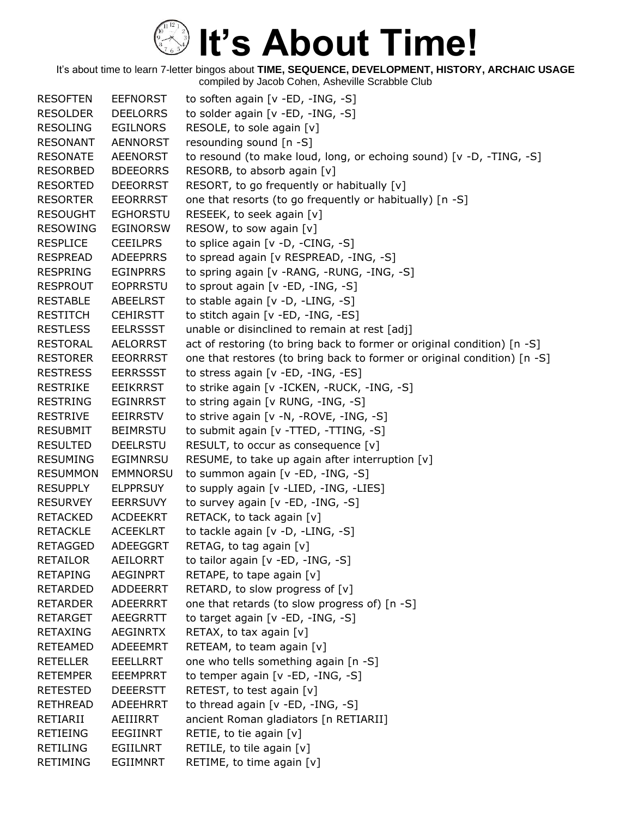| <b>RESOFTEN</b> | <b>EEFNORST</b> | to soften again [v -ED, -ING, -S]                                        |
|-----------------|-----------------|--------------------------------------------------------------------------|
| <b>RESOLDER</b> | <b>DEELORRS</b> | to solder again [v -ED, -ING, -S]                                        |
| RESOLING        | <b>EGILNORS</b> | RESOLE, to sole again [v]                                                |
| <b>RESONANT</b> | <b>AENNORST</b> | resounding sound [n -S]                                                  |
| <b>RESONATE</b> | <b>AEENORST</b> | to resound (to make loud, long, or echoing sound) [v -D, -TING, -S]      |
| RESORBED        | <b>BDEEORRS</b> | RESORB, to absorb again [v]                                              |
| <b>RESORTED</b> | <b>DEEORRST</b> | RESORT, to go frequently or habitually [v]                               |
| <b>RESORTER</b> | <b>EEORRRST</b> | one that resorts (to go frequently or habitually) [n -S]                 |
| <b>RESOUGHT</b> | <b>EGHORSTU</b> | RESEEK, to seek again [v]                                                |
| <b>RESOWING</b> | <b>EGINORSW</b> | RESOW, to sow again [v]                                                  |
| <b>RESPLICE</b> | <b>CEEILPRS</b> | to splice again $[v -D, -CING, -S]$                                      |
| <b>RESPREAD</b> | <b>ADEEPRRS</b> | to spread again [v RESPREAD, -ING, -S]                                   |
| <b>RESPRING</b> | <b>EGINPRRS</b> | to spring again [v - RANG, - RUNG, - ING, -S]                            |
| <b>RESPROUT</b> | <b>EOPRRSTU</b> | to sprout again [v -ED, -ING, -S]                                        |
| <b>RESTABLE</b> | <b>ABEELRST</b> | to stable again [v -D, -LING, -S]                                        |
| <b>RESTITCH</b> | <b>CEHIRSTT</b> | to stitch again [v -ED, -ING, -ES]                                       |
| <b>RESTLESS</b> | <b>EELRSSST</b> | unable or disinclined to remain at rest [adj]                            |
| RESTORAL        | <b>AELORRST</b> | act of restoring (to bring back to former or original condition) [n -S]  |
| <b>RESTORER</b> | <b>EEORRRST</b> | one that restores (to bring back to former or original condition) [n -S] |
| <b>RESTRESS</b> | <b>EERRSSST</b> | to stress again [v -ED, -ING, -ES]                                       |
| <b>RESTRIKE</b> | <b>EEIKRRST</b> | to strike again [v - ICKEN, - RUCK, - ING, -S]                           |
| <b>RESTRING</b> | <b>EGINRRST</b> | to string again [v RUNG, -ING, -S]                                       |
| <b>RESTRIVE</b> | <b>EEIRRSTV</b> | to strive again [v -N, -ROVE, -ING, -S]                                  |
| RESUBMIT        | <b>BEIMRSTU</b> | to submit again [v -TTED, -TTING, -S]                                    |
| <b>RESULTED</b> | <b>DEELRSTU</b> | RESULT, to occur as consequence [v]                                      |
| <b>RESUMING</b> | <b>EGIMNRSU</b> | RESUME, to take up again after interruption [v]                          |
| <b>RESUMMON</b> | <b>EMMNORSU</b> | to summon again [v -ED, -ING, -S]                                        |
| <b>RESUPPLY</b> | <b>ELPPRSUY</b> | to supply again [v -LIED, -ING, -LIES]                                   |
| <b>RESURVEY</b> | <b>EERRSUVY</b> | to survey again [v -ED, -ING, -S]                                        |
| RETACKED        | <b>ACDEEKRT</b> | RETACK, to tack again [v]                                                |
| <b>RETACKLE</b> | <b>ACEEKLRT</b> | to tackle again [v -D, -LING, -S]                                        |
| <b>RETAGGED</b> | <b>ADEEGGRT</b> | RETAG, to tag again [v]                                                  |
| <b>RETAILOR</b> | <b>AEILORRT</b> | to tailor again [v -ED, -ING, -S]                                        |
| <b>RETAPING</b> | <b>AEGINPRT</b> | RETAPE, to tape again [v]                                                |
| <b>RETARDED</b> | <b>ADDEERRT</b> | RETARD, to slow progress of [v]                                          |
| <b>RETARDER</b> | <b>ADEERRRT</b> | one that retards (to slow progress of) [n -S]                            |
| <b>RETARGET</b> | AEEGRRTT        | to target again [v -ED, -ING, -S]                                        |
| <b>RETAXING</b> | <b>AEGINRTX</b> | RETAX, to tax again [v]                                                  |
| <b>RETEAMED</b> | ADEEEMRT        | RETEAM, to team again [v]                                                |
| <b>RETELLER</b> | <b>EEELLRRT</b> | one who tells something again [n -S]                                     |
| <b>RETEMPER</b> | <b>EEEMPRRT</b> | to temper again [v -ED, -ING, -S]                                        |
| <b>RETESTED</b> | <b>DEEERSTT</b> | RETEST, to test again [v]                                                |
| RETHREAD        | ADEEHRRT        | to thread again [v -ED, -ING, -S]                                        |
| RETIARII        | AEIIIRRT        | ancient Roman gladiators [n RETIARII]                                    |
| <b>RETIEING</b> | EEGIINRT        | RETIE, to tie again [v]                                                  |
| <b>RETILING</b> | EGIILNRT        | RETILE, to tile again [v]                                                |
| <b>RETIMING</b> | <b>EGIIMNRT</b> | RETIME, to time again [v]                                                |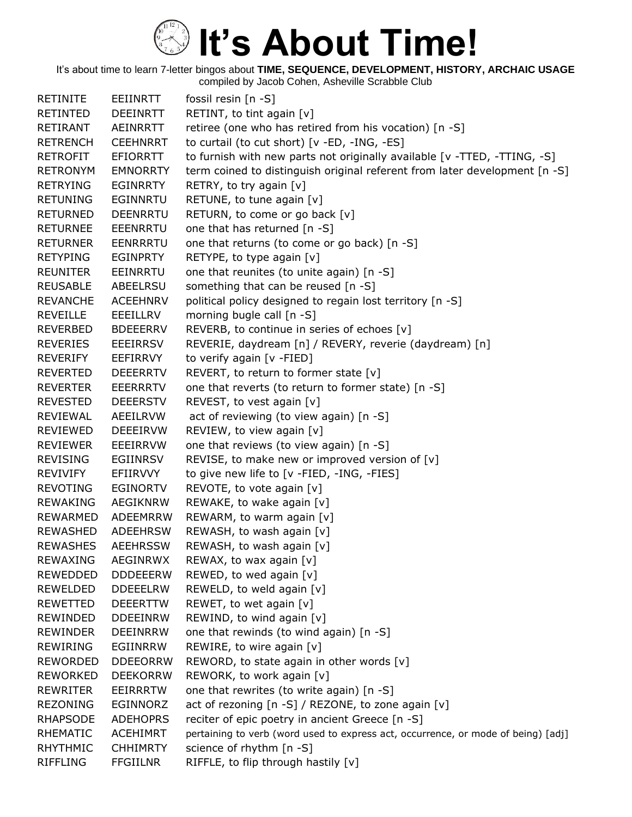It's about time to learn 7-letter bingos about **TIME, SEQUENCE, DEVELOPMENT, HISTORY, ARCHAIC USAGE** compiled by Jacob Cohen, Asheville Scrabble Club

RETINITE EEIINRTT fossil resin [n -S] RETINTED DEEINRTT RETINT, to tint again [v] RETIRANT AEINRRTT retiree (one who has retired from his vocation) [n -S] RETRENCH CEEHNRRT to curtail (to cut short) [v -ED, -ING, -ES] RETROFIT EFIORRTT to furnish with new parts not originally available [v -TTED, -TTING, -S] RETRONYM EMNORRTY term coined to distinguish original referent from later development [n -S] RETRYING EGINRRTY RETRY, to try again [v] RETUNING EGINNRTU RETUNE, to tune again [v] RETURNED DEENRRTU RETURN, to come or go back [v] RETURNEE EEENRRTU one that has returned [n -S] RETURNER EENRRRTU one that returns (to come or go back) [n -S] RETYPING EGINPRTY RETYPE, to type again [v] REUNITER EEINRRTU one that reunites (to unite again) [n -S] REUSABLE ABEELRSU something that can be reused [n -S] REVANCHE ACEEHNRV political policy designed to regain lost territory [n -S] REVEILLE EEEILLRV morning bugle call [n -S] REVERBED BDEEERRV REVERB, to continue in series of echoes [v] REVERIES EEEIRRSV REVERIE, daydream [n] / REVERY, reverie (daydream) [n] REVERIFY EEFIRRVY to verify again [v -FIED] REVERTED DEEERRTV REVERT, to return to former state [v] REVERTER EEERRRTV one that reverts (to return to former state) [n -S] REVESTED DEEERSTV REVEST, to vest again [v] REVIEWAL AEEILRVW act of reviewing (to view again) [n -S] REVIEWED DEEEIRVW REVIEW, to view again [v] REVIEWER EEEIRRVW one that reviews (to view again) [n -S] REVISING EGIINRSV REVISE, to make new or improved version of [v] REVIVIFY EFIIRVVY to give new life to [v -FIED, -ING, -FIES] REVOTING EGINORTV REVOTE, to vote again [v] REWAKING AEGIKNRW REWAKE, to wake again [v] REWARMED ADEEMRRW REWARM, to warm again [v] REWASHED ADEEHRSW REWASH, to wash again [v] REWASHES AEEHRSSW REWASH, to wash again [v] REWAXING AEGINRWX REWAX, to wax again [v] REWEDDED DDDEEERW REWED, to wed again [v] REWELDED DDEEELRW REWELD, to weld again [v] REWETTED DEEERTTW REWET, to wet again [v] REWINDED DDEEINRW REWIND, to wind again [v] REWINDER DEEINRRW one that rewinds (to wind again) [n -S] REWIRING EGIINRRW REWIRE, to wire again [v] REWORDED DDEEORRW REWORD, to state again in other words [v] REWORKED DEEKORRW REWORK, to work again [v] REWRITER EEIRRRTW one that rewrites (to write again) [n -S] REZONING EGINNORZ act of rezoning [n -S] / REZONE, to zone again [v] RHAPSODE ADEHOPRS reciter of epic poetry in ancient Greece [n -S] RHEMATIC ACEHIMRT pertaining to verb (word used to express act, occurrence, or mode of being) [adj] RHYTHMIC CHHIMRTY science of rhythm [n -S] RIFFLING FFGIILNR RIFFLE, to flip through hastily [v]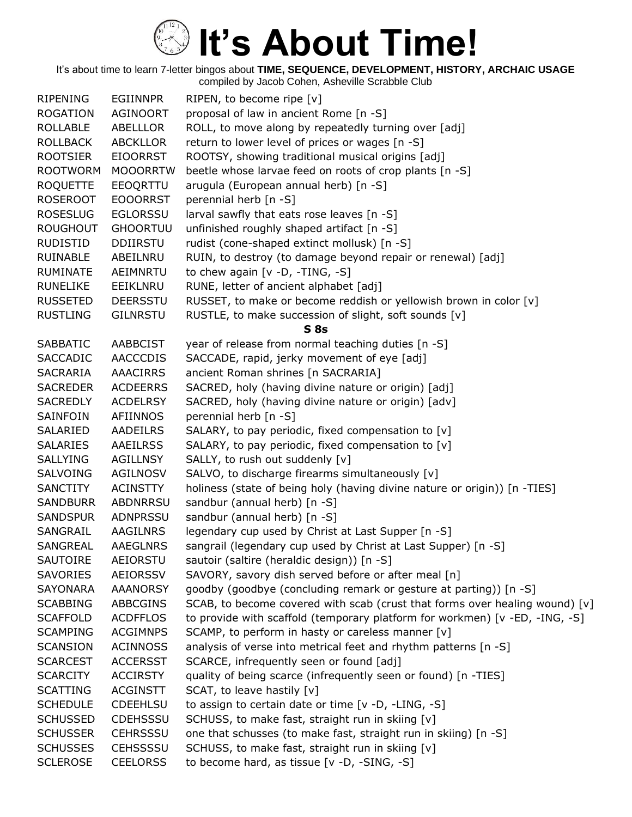| <b>RIPENING</b> | <b>EGIINNPR</b> | RIPEN, to become ripe $[v]$                                                 |
|-----------------|-----------------|-----------------------------------------------------------------------------|
| <b>ROGATION</b> | <b>AGINOORT</b> | proposal of law in ancient Rome [n -S]                                      |
| <b>ROLLABLE</b> | ABELLLOR        | ROLL, to move along by repeatedly turning over [adj]                        |
| <b>ROLLBACK</b> | <b>ABCKLLOR</b> | return to lower level of prices or wages [n -S]                             |
| <b>ROOTSIER</b> | <b>EIOORRST</b> | ROOTSY, showing traditional musical origins [adj]                           |
| <b>ROOTWORM</b> | <b>MOOORRTW</b> | beetle whose larvae feed on roots of crop plants [n -S]                     |
| <b>ROQUETTE</b> | EEOQRTTU        | arugula (European annual herb) [n -S]                                       |
| <b>ROSEROOT</b> | <b>EOOORRST</b> | perennial herb [n -S]                                                       |
| <b>ROSESLUG</b> | <b>EGLORSSU</b> | larval sawfly that eats rose leaves [n -S]                                  |
| <b>ROUGHOUT</b> | <b>GHOORTUU</b> | unfinished roughly shaped artifact [n -S]                                   |
| <b>RUDISTID</b> | <b>DDIIRSTU</b> | rudist (cone-shaped extinct mollusk) [n -S]                                 |
| <b>RUINABLE</b> | ABEILNRU        | RUIN, to destroy (to damage beyond repair or renewal) [adj]                 |
| <b>RUMINATE</b> | AEIMNRTU        | to chew again $[v -D, -TING, -S]$                                           |
| <b>RUNELIKE</b> | EEIKLNRU        | RUNE, letter of ancient alphabet [adj]                                      |
| <b>RUSSETED</b> | <b>DEERSSTU</b> | RUSSET, to make or become reddish or yellowish brown in color [v]           |
| <b>RUSTLING</b> | <b>GILNRSTU</b> | RUSTLE, to make succession of slight, soft sounds [v]                       |
|                 |                 | S8s                                                                         |
| <b>SABBATIC</b> | <b>AABBCIST</b> | year of release from normal teaching duties [n -S]                          |
| <b>SACCADIC</b> | AACCCDIS        | SACCADE, rapid, jerky movement of eye [adj]                                 |
| <b>SACRARIA</b> | <b>AAACIRRS</b> | ancient Roman shrines [n SACRARIA]                                          |
| <b>SACREDER</b> | <b>ACDEERRS</b> | SACRED, holy (having divine nature or origin) [adj]                         |
| <b>SACREDLY</b> | <b>ACDELRSY</b> | SACRED, holy (having divine nature or origin) [adv]                         |
| SAINFOIN        | AFIINNOS        | perennial herb [n -S]                                                       |
| SALARIED        | AADEILRS        | SALARY, to pay periodic, fixed compensation to [v]                          |
| <b>SALARIES</b> | <b>AAEILRSS</b> | SALARY, to pay periodic, fixed compensation to [v]                          |
| <b>SALLYING</b> | <b>AGILLNSY</b> | SALLY, to rush out suddenly [v]                                             |
| SALVOING        | <b>AGILNOSV</b> | SALVO, to discharge firearms simultaneously [v]                             |
| <b>SANCTITY</b> | <b>ACINSTTY</b> | holiness (state of being holy (having divine nature or origin)) [n -TIES]   |
| <b>SANDBURR</b> | <b>ABDNRRSU</b> | sandbur (annual herb) [n -S]                                                |
| <b>SANDSPUR</b> | ADNPRSSU        | sandbur (annual herb) [n -S]                                                |
| SANGRAIL        | <b>AAGILNRS</b> | legendary cup used by Christ at Last Supper [n -S]                          |
| SANGREAL        | <b>AAEGLNRS</b> | sangrail (legendary cup used by Christ at Last Supper) [n -S]               |
| <b>SAUTOIRE</b> | AEIORSTU        | sautoir (saltire (heraldic design)) [n -S]                                  |
| <b>SAVORIES</b> | <b>AEIORSSV</b> | SAVORY, savory dish served before or after meal [n]                         |
| <b>SAYONARA</b> | <b>AAANORSY</b> | goodby (goodbye (concluding remark or gesture at parting)) [n -S]           |
| <b>SCABBING</b> | <b>ABBCGINS</b> | SCAB, to become covered with scab (crust that forms over healing wound) [v] |
| <b>SCAFFOLD</b> | <b>ACDFFLOS</b> | to provide with scaffold (temporary platform for workmen) [v -ED, -ING, -S] |
| <b>SCAMPING</b> | <b>ACGIMNPS</b> | SCAMP, to perform in hasty or careless manner [v]                           |
| <b>SCANSION</b> | <b>ACINNOSS</b> | analysis of verse into metrical feet and rhythm patterns [n -S]             |
| <b>SCARCEST</b> | <b>ACCERSST</b> | SCARCE, infrequently seen or found [adj]                                    |
| <b>SCARCITY</b> | <b>ACCIRSTY</b> | quality of being scarce (infrequently seen or found) [n -TIES]              |
| <b>SCATTING</b> | <b>ACGINSTT</b> | SCAT, to leave hastily [v]                                                  |
| <b>SCHEDULE</b> | <b>CDEEHLSU</b> | to assign to certain date or time [v -D, -LING, -S]                         |
| <b>SCHUSSED</b> | <b>CDEHSSSU</b> |                                                                             |
|                 |                 | SCHUSS, to make fast, straight run in skiing [v]                            |
| <b>SCHUSSER</b> | <b>CEHRSSSU</b> | one that schusses (to make fast, straight run in skiing) [n -S]             |
| <b>SCHUSSES</b> | <b>CEHSSSSU</b> | SCHUSS, to make fast, straight run in skiing [v]                            |
| <b>SCLEROSE</b> | <b>CEELORSS</b> | to become hard, as tissue [v -D, -SING, -S]                                 |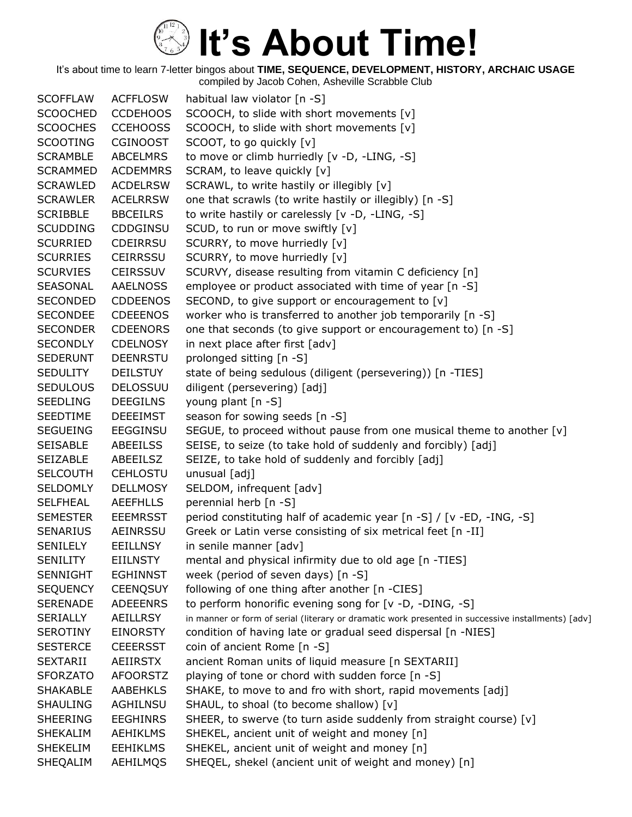It's about time to learn 7-letter bingos about **TIME, SEQUENCE, DEVELOPMENT, HISTORY, ARCHAIC USAGE** compiled by Jacob Cohen, Asheville Scrabble Club

SCOFFLAW ACFFLOSW habitual law violator [n -S] SCOOCHED CCDEHOOS SCOOCH, to slide with short movements [v] SCOOCHES CCEHOOSS SCOOCH, to slide with short movements [v] SCOOTING CGINOOST SCOOT, to go quickly [v] SCRAMBLE ABCELMRS to move or climb hurriedly [v -D, -LING, -S] SCRAMMED ACDEMMRS SCRAM, to leave quickly [v] SCRAWLED ACDELRSW SCRAWL, to write hastily or illegibly [v] SCRAWLER ACELRRSW one that scrawls (to write hastily or illegibly) [n -S] SCRIBBLE BBCEILRS to write hastily or carelessly [v -D, -LING, -S] SCUDDING CDDGINSU SCUD, to run or move swiftly [v] SCURRIED CDEIRRSU SCURRY, to move hurriedly [v] SCURRIES CEIRRSSU SCURRY, to move hurriedly [v] SCURVIES CEIRSSUV SCURVY, disease resulting from vitamin C deficiency [n] SEASONAL AAELNOSS employee or product associated with time of year [n -S] SECONDED CDDEENOS SECOND, to give support or encouragement to [v] SECONDEE CDEEENOS worker who is transferred to another job temporarily [n -S] SECONDER CDEENORS one that seconds (to give support or encouragement to) [n -S] SECONDLY CDELNOSY in next place after first [adv] SEDERUNT DEENRSTU prolonged sitting [n -S] SEDULITY DEILSTUY state of being sedulous (diligent (persevering)) [n -TIES] SEDULOUS DELOSSUU diligent (persevering) [adj] SEEDLING DEEGILNS young plant [n -S] SEEDTIME DEEEIMST season for sowing seeds [n -S] SEGUEING EEGGINSU SEGUE, to proceed without pause from one musical theme to another [v] SEISABLE ABEEILSS SEISE, to seize (to take hold of suddenly and forcibly) [adj] SEIZABLE ABEEILSZ SEIZE, to take hold of suddenly and forcibly [adj] SELCOUTH CEHLOSTU unusual [adj] SELDOMLY DELLMOSY SELDOM, infrequent [adv] SELFHEAL AEEFHLLS perennial herb [n -S] SEMESTER EEEMRSST period constituting half of academic year [n -S] / [v -ED, -ING, -S] SENARIUS AEINRSSU Greek or Latin verse consisting of six metrical feet [n -II] SENILELY EEILLNSY in senile manner [adv] SENILITY EIILNSTY mental and physical infirmity due to old age [n -TIES] SENNIGHT EGHINNST week (period of seven days) [n -S] SEQUENCY CEENQSUY following of one thing after another [n -CIES] SERENADE ADEEENRS to perform honorific evening song for [v -D, -DING, -S] SERIALLY AEILLRSY in manner or form of serial (literary or dramatic work presented in successive installments) [adv] SEROTINY EINORSTY condition of having late or gradual seed dispersal [n -NIES] SESTERCE CEEERSST coin of ancient Rome [n -S] SEXTARII AEIIRSTX ancient Roman units of liquid measure [n SEXTARII] SFORZATO AFOORSTZ playing of tone or chord with sudden force [n -S] SHAKABLE AABEHKLS SHAKE, to move to and fro with short, rapid movements [adj] SHAULING AGHILNSU SHAUL, to shoal (to become shallow) [v] SHEERING EEGHINRS SHEER, to swerve (to turn aside suddenly from straight course) [v] SHEKALIM AEHIKLMS SHEKEL, ancient unit of weight and money [n] SHEKELIM EEHIKLMS SHEKEL, ancient unit of weight and money [n] SHEQALIM AEHILMQS SHEQEL, shekel (ancient unit of weight and money) [n]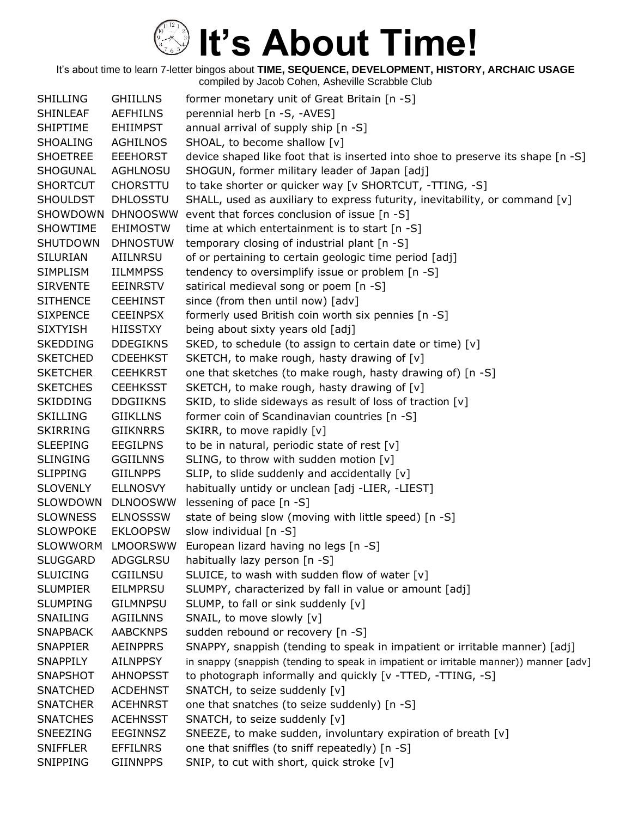| <b>SHILLING</b> | <b>GHIILLNS</b> | former monetary unit of Great Britain [n -S]                                          |
|-----------------|-----------------|---------------------------------------------------------------------------------------|
| <b>SHINLEAF</b> | <b>AEFHILNS</b> | perennial herb [n -S, -AVES]                                                          |
| <b>SHIPTIME</b> | <b>EHIIMPST</b> | annual arrival of supply ship [n -S]                                                  |
| <b>SHOALING</b> | <b>AGHILNOS</b> | SHOAL, to become shallow [v]                                                          |
| <b>SHOETREE</b> | <b>EEEHORST</b> | device shaped like foot that is inserted into shoe to preserve its shape [n -S]       |
| SHOGUNAL        | <b>AGHLNOSU</b> | SHOGUN, former military leader of Japan [adj]                                         |
| <b>SHORTCUT</b> | <b>CHORSTTU</b> | to take shorter or quicker way [v SHORTCUT, -TTING, -S]                               |
| <b>SHOULDST</b> | <b>DHLOSSTU</b> | SHALL, used as auxiliary to express futurity, inevitability, or command $[v]$         |
| SHOWDOWN        | <b>DHNOOSWW</b> | event that forces conclusion of issue [n -S]                                          |
| <b>SHOWTIME</b> | <b>EHIMOSTW</b> | time at which entertainment is to start [n -S]                                        |
| <b>SHUTDOWN</b> | <b>DHNOSTUW</b> | temporary closing of industrial plant [n -S]                                          |
| <b>SILURIAN</b> | AIILNRSU        | of or pertaining to certain geologic time period [adj]                                |
| <b>SIMPLISM</b> | <b>IILMMPSS</b> | tendency to oversimplify issue or problem [n -S]                                      |
| <b>SIRVENTE</b> | <b>EEINRSTV</b> | satirical medieval song or poem [n -S]                                                |
| <b>SITHENCE</b> | <b>CEEHINST</b> | since (from then until now) [adv]                                                     |
| <b>SIXPENCE</b> | <b>CEEINPSX</b> | formerly used British coin worth six pennies [n -S]                                   |
| <b>SIXTYISH</b> | <b>HIISSTXY</b> | being about sixty years old [adj]                                                     |
| <b>SKEDDING</b> | <b>DDEGIKNS</b> | SKED, to schedule (to assign to certain date or time) [v]                             |
| <b>SKETCHED</b> | <b>CDEEHKST</b> | SKETCH, to make rough, hasty drawing of [v]                                           |
| <b>SKETCHER</b> | <b>CEEHKRST</b> | one that sketches (to make rough, hasty drawing of) [n -S]                            |
| <b>SKETCHES</b> | <b>CEEHKSST</b> | SKETCH, to make rough, hasty drawing of [v]                                           |
| <b>SKIDDING</b> | <b>DDGIIKNS</b> | SKID, to slide sideways as result of loss of traction [v]                             |
| <b>SKILLING</b> | <b>GIIKLLNS</b> | former coin of Scandinavian countries [n -S]                                          |
| <b>SKIRRING</b> | <b>GIIKNRRS</b> | SKIRR, to move rapidly [v]                                                            |
| <b>SLEEPING</b> | <b>EEGILPNS</b> | to be in natural, periodic state of rest [v]                                          |
| <b>SLINGING</b> | <b>GGIILNNS</b> | SLING, to throw with sudden motion [v]                                                |
| <b>SLIPPING</b> | <b>GIILNPPS</b> | SLIP, to slide suddenly and accidentally [v]                                          |
| <b>SLOVENLY</b> | <b>ELLNOSVY</b> | habitually untidy or unclean [adj -LIER, -LIEST]                                      |
| SLOWDOWN        | <b>DLNOOSWW</b> | lessening of pace [n -S]                                                              |
| <b>SLOWNESS</b> | <b>ELNOSSSW</b> | state of being slow (moving with little speed) [n -S]                                 |
| <b>SLOWPOKE</b> | <b>EKLOOPSW</b> | slow individual [n -S]                                                                |
| <b>SLOWWORM</b> | <b>LMOORSWW</b> | European lizard having no legs [n -S]                                                 |
| <b>SLUGGARD</b> | ADGGLRSU        | habitually lazy person [n -S]                                                         |
| <b>SLUICING</b> | CGIILNSU        | SLUICE, to wash with sudden flow of water [v]                                         |
| <b>SLUMPIER</b> | <b>EILMPRSU</b> | SLUMPY, characterized by fall in value or amount [adj]                                |
| <b>SLUMPING</b> | <b>GILMNPSU</b> | SLUMP, to fall or sink suddenly [v]                                                   |
| SNAILING        | <b>AGIILNNS</b> | SNAIL, to move slowly [v]                                                             |
| <b>SNAPBACK</b> | <b>AABCKNPS</b> | sudden rebound or recovery [n -S]                                                     |
| <b>SNAPPIER</b> | <b>AEINPPRS</b> | SNAPPY, snappish (tending to speak in impatient or irritable manner) [adj]            |
| <b>SNAPPILY</b> | <b>AILNPPSY</b> | in snappy (snappish (tending to speak in impatient or irritable manner)) manner [adv] |
| <b>SNAPSHOT</b> | <b>AHNOPSST</b> | to photograph informally and quickly [v -TTED, -TTING, -S]                            |
| <b>SNATCHED</b> | <b>ACDEHNST</b> | SNATCH, to seize suddenly [v]                                                         |
| <b>SNATCHER</b> | <b>ACEHNRST</b> | one that snatches (to seize suddenly) [n -S]                                          |
| <b>SNATCHES</b> | <b>ACEHNSST</b> | SNATCH, to seize suddenly [v]                                                         |
| <b>SNEEZING</b> | <b>EEGINNSZ</b> | SNEEZE, to make sudden, involuntary expiration of breath [v]                          |
| <b>SNIFFLER</b> | <b>EFFILNRS</b> | one that sniffles (to sniff repeatedly) [n -S]                                        |
| SNIPPING        | <b>GIINNPPS</b> | SNIP, to cut with short, quick stroke [v]                                             |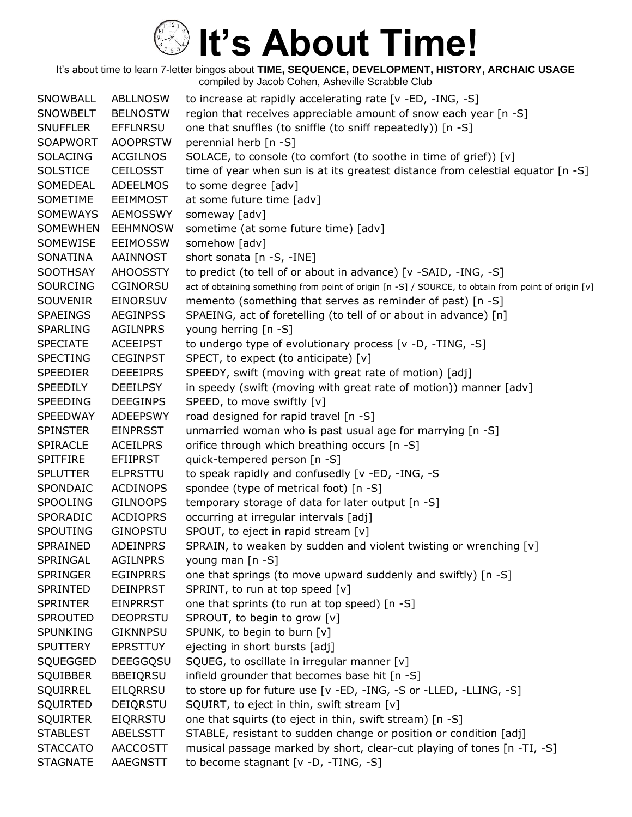It's about time to learn 7-letter bingos about **TIME, SEQUENCE, DEVELOPMENT, HISTORY, ARCHAIC USAGE** compiled by Jacob Cohen, Asheville Scrabble Club

SNOWBALL ABLLNOSW to increase at rapidly accelerating rate [v -ED, -ING, -S] SNOWBELT BELNOSTW region that receives appreciable amount of snow each year [n -S] SNUFFLER EFFLNRSU one that snuffles (to sniffle (to sniff repeatedly)) [n -S] SOAPWORT AOOPRSTW perennial herb [n -S] SOLACING ACGILNOS SOLACE, to console (to comfort (to soothe in time of grief)) [v] SOLSTICE CEILOSST time of year when sun is at its greatest distance from celestial equator [n -S] SOMEDEAL ADEELMOS to some degree [adv] SOMETIME EEIMMOST at some future time [adv] SOMEWAYS AEMOSSWY someway [adv] SOMEWHEN EEHMNOSW sometime (at some future time) [adv] SOMEWISE EEIMOSSW somehow [adv] SONATINA AAINNOST short sonata [n -S, -INE] SOOTHSAY AHOOSSTY to predict (to tell of or about in advance) [v -SAID, -ING, -S] SOURCING CGINORSU act of obtaining something from point of origin [n -S] / SOURCE, to obtain from point of origin [v] SOUVENIR EINORSUV memento (something that serves as reminder of past) [n -S] SPAEINGS AEGINPSS SPAEING, act of foretelling (to tell of or about in advance) [n] SPARLING AGILNPRS young herring [n -S] SPECIATE ACEEIPST to undergo type of evolutionary process [v -D, -TING, -S] SPECTING CEGINPST SPECT, to expect (to anticipate) [v] SPEEDIER DEEEIPRS SPEEDY, swift (moving with great rate of motion) [adj] SPEEDILY DEEILPSY in speedy (swift (moving with great rate of motion)) manner [adv] SPEEDING DEEGINPS SPEED, to move swiftly [v] SPEEDWAY ADEEPSWY road designed for rapid travel [n -S] SPINSTER EINPRSST unmarried woman who is past usual age for marrying [n -S] SPIRACLE ACEILPRS orifice through which breathing occurs [n -S] SPITFIRE EFIIPRST quick-tempered person [n -S] SPLUTTER ELPRSTTU to speak rapidly and confusedly [v -ED, -ING, -S SPONDAIC ACDINOPS spondee (type of metrical foot) [n -S] SPOOLING GILNOOPS temporary storage of data for later output [n -S] SPORADIC ACDIOPRS occurring at irregular intervals [adj] SPOUTING GINOPSTU SPOUT, to eject in rapid stream [v] SPRAINED ADEINPRS SPRAIN, to weaken by sudden and violent twisting or wrenching [v] SPRINGAL AGILNPRS young man [n -S] SPRINGER EGINPRRS one that springs (to move upward suddenly and swiftly) [n -S] SPRINTED DEINPRST SPRINT, to run at top speed [v] SPRINTER EINPRRST one that sprints (to run at top speed) [n -S] SPROUTED DEOPRSTU SPROUT, to begin to grow [v] SPUNKING GIKNNPSU SPUNK, to begin to burn [v] SPUTTERY EPRSTTUY ejecting in short bursts [adj] SQUEGGED DEEGGQSU SQUEG, to oscillate in irregular manner [v] SQUIBBER BBEIQRSU infield grounder that becomes base hit [n -S] SQUIRREL EILQRRSU to store up for future use [v -ED, -ING, -S or -LLED, -LLING, -S] SQUIRTED DEIQRSTU SQUIRT, to eject in thin, swift stream [v] SQUIRTER EIQRRSTU one that squirts (to eject in thin, swift stream) [n -S] STABLEST ABELSSTT STABLE, resistant to sudden change or position or condition [adj] STACCATO AACCOSTT musical passage marked by short, clear-cut playing of tones [n -TI, -S] STAGNATE AAEGNSTT to become stagnant [v -D, -TING, -S]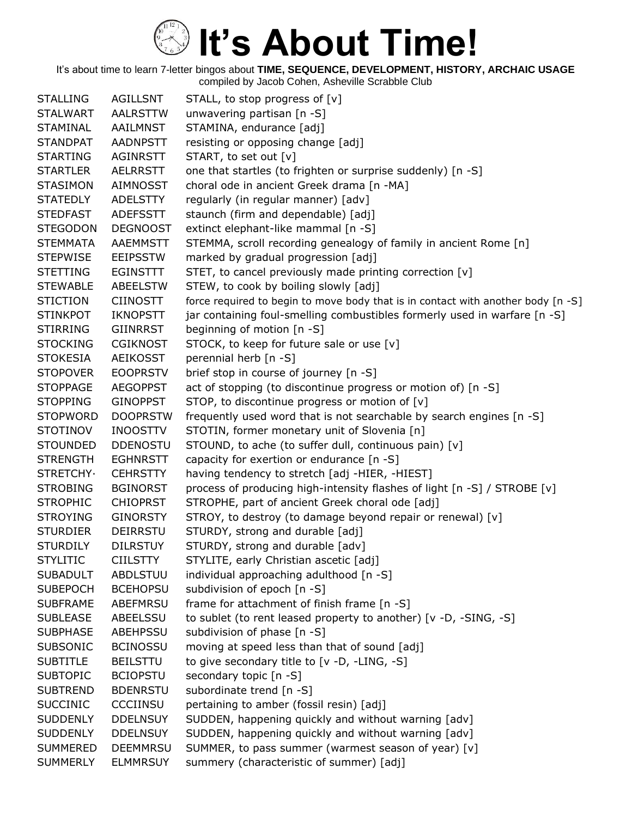It's about time to learn 7-letter bingos about **TIME, SEQUENCE, DEVELOPMENT, HISTORY, ARCHAIC USAGE** compiled by Jacob Cohen, Asheville Scrabble Club

STALLING AGILLSNT STALL, to stop progress of [v] STALWART AALRSTTW unwavering partisan [n -S] STAMINAL AAILMNST STAMINA, endurance [adj] STANDPAT AADNPSTT resisting or opposing change [adj] STARTING AGINRSTT START, to set out [v] STARTLER AELRRSTT one that startles (to frighten or surprise suddenly) [n -S] STASIMON AIMNOSST choral ode in ancient Greek drama [n -MA] STATEDLY ADELSTTY regularly (in regular manner) [adv] STEDFAST ADEFSSTT staunch (firm and dependable) [adj] STEGODON DEGNOOST extinct elephant-like mammal [n -S] STEMMATA AAEMMSTT STEMMA, scroll recording genealogy of family in ancient Rome [n] STEPWISE EEIPSSTW marked by gradual progression [adj] STETTING EGINSTTT STET, to cancel previously made printing correction [v] STEWABLE ABEELSTW STEW, to cook by boiling slowly [adj] STICTION CIINOSTT force required to begin to move body that is in contact with another body [n -S] STINKPOT IKNOPSTT jar containing foul-smelling combustibles formerly used in warfare [n -S] STIRRING GIINRRST beginning of motion [n -S] STOCKING CGIKNOST STOCK, to keep for future sale or use [v] STOKESIA AEIKOSST perennial herb [n -S] STOPOVER EOOPRSTV brief stop in course of journey [n -S] STOPPAGE AEGOPPST act of stopping (to discontinue progress or motion of) [n -S] STOPPING GINOPPST STOP, to discontinue progress or motion of [v] STOPWORD DOOPRSTW frequently used word that is not searchable by search engines [n -S] STOTINOV INOOSTTV STOTIN, former monetary unit of Slovenia [n] STOUNDED DDENOSTU STOUND, to ache (to suffer dull, continuous pain) [v] STRENGTH EGHNRSTT capacity for exertion or endurance [n -S] STRETCHY· CEHRSTTY having tendency to stretch [adj -HIER, -HIEST] STROBING BGINORST process of producing high-intensity flashes of light [n -S] / STROBE [v] STROPHIC CHIOPRST STROPHE, part of ancient Greek choral ode [adj] STROYING GINORSTY STROY, to destroy (to damage beyond repair or renewal) [v] STURDIER DEIRRSTU STURDY, strong and durable [adj] STURDILY DILRSTUY STURDY, strong and durable [adv] STYLITIC CIILSTTY STYLITE, early Christian ascetic [adj] SUBADULT ABDLSTUU individual approaching adulthood [n -S] SUBEPOCH BCEHOPSU subdivision of epoch [n -S] SUBFRAME ABEFMRSU frame for attachment of finish frame [n -S] SUBLEASE ABEELSSU to sublet (to rent leased property to another) [v -D, -SING, -S] SUBPHASE ABEHPSSU subdivision of phase [n -S] SUBSONIC BCINOSSU moving at speed less than that of sound [adj] SUBTITLE BEILSTTU to give secondary title to [v -D, -LING, -S] SUBTOPIC BCIOPSTU secondary topic [n -S] SUBTREND BDENRSTU subordinate trend [n -S] SUCCINIC CCCIINSU pertaining to amber (fossil resin) [adj] SUDDENLY DDELNSUY SUDDEN, happening quickly and without warning [adv] SUDDENLY DDELNSUY SUDDEN, happening quickly and without warning [adv] SUMMERED DEEMMRSU SUMMER, to pass summer (warmest season of year) [v] SUMMERLY ELMMRSUY summery (characteristic of summer) [adj]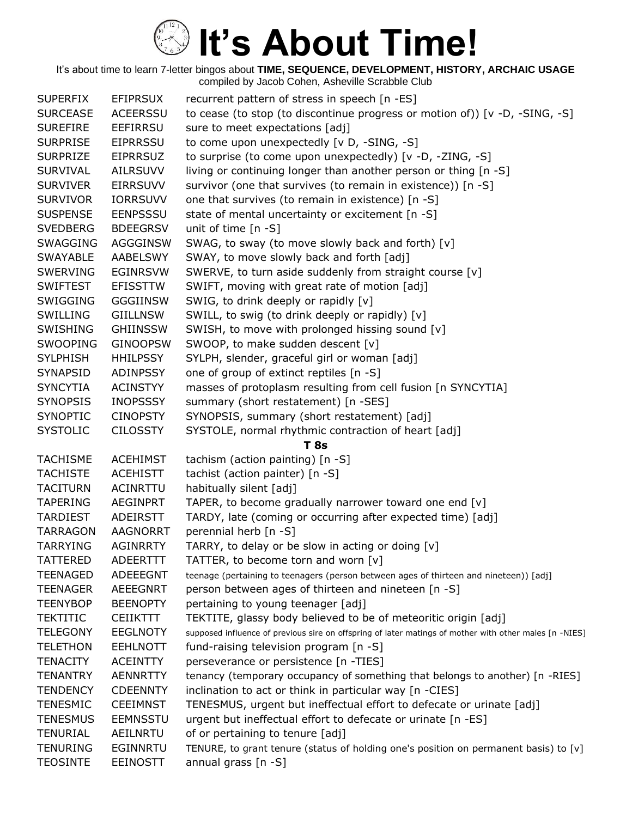| <b>SUPERFIX</b> | <b>EFIPRSUX</b> | recurrent pattern of stress in speech [n -ES]                                                          |
|-----------------|-----------------|--------------------------------------------------------------------------------------------------------|
| <b>SURCEASE</b> | <b>ACEERSSU</b> | to cease (to stop (to discontinue progress or motion of)) [ $v$ -D, -SING, -S]                         |
| <b>SUREFIRE</b> | <b>EEFIRRSU</b> | sure to meet expectations [adj]                                                                        |
| <b>SURPRISE</b> | <b>EIPRRSSU</b> | to come upon unexpectedly [v D, -SING, -S]                                                             |
| <b>SURPRIZE</b> | <b>EIPRRSUZ</b> | to surprise (to come upon unexpectedly) [v -D, -ZING, -S]                                              |
| <b>SURVIVAL</b> | <b>AILRSUVV</b> | living or continuing longer than another person or thing [n -S]                                        |
| <b>SURVIVER</b> | <b>EIRRSUVV</b> | survivor (one that survives (to remain in existence)) [n -S]                                           |
| <b>SURVIVOR</b> | <b>IORRSUVV</b> | one that survives (to remain in existence) [n -S]                                                      |
| <b>SUSPENSE</b> | <b>EENPSSSU</b> | state of mental uncertainty or excitement [n -S]                                                       |
| <b>SVEDBERG</b> | <b>BDEEGRSV</b> | unit of time $[n - S]$                                                                                 |
| <b>SWAGGING</b> | <b>AGGGINSW</b> | SWAG, to sway (to move slowly back and forth) [v]                                                      |
| <b>SWAYABLE</b> | AABELSWY        | SWAY, to move slowly back and forth [adj]                                                              |
| <b>SWERVING</b> | EGINRSVW        | SWERVE, to turn aside suddenly from straight course [v]                                                |
| <b>SWIFTEST</b> | <b>EFISSTTW</b> | SWIFT, moving with great rate of motion [adj]                                                          |
| <b>SWIGGING</b> | <b>GGGIINSW</b> | SWIG, to drink deeply or rapidly [v]                                                                   |
| SWILLING        | GIILLNSW        | SWILL, to swig (to drink deeply or rapidly) [v]                                                        |
| <b>SWISHING</b> | <b>GHIINSSW</b> | SWISH, to move with prolonged hissing sound [v]                                                        |
| <b>SWOOPING</b> | <b>GINOOPSW</b> | SWOOP, to make sudden descent [v]                                                                      |
| <b>SYLPHISH</b> | <b>HHILPSSY</b> | SYLPH, slender, graceful girl or woman [adj]                                                           |
| <b>SYNAPSID</b> | <b>ADINPSSY</b> | one of group of extinct reptiles [n -S]                                                                |
| <b>SYNCYTIA</b> | <b>ACINSTYY</b> | masses of protoplasm resulting from cell fusion [n SYNCYTIA]                                           |
| <b>SYNOPSIS</b> | <b>INOPSSSY</b> | summary (short restatement) [n -SES]                                                                   |
| <b>SYNOPTIC</b> | <b>CINOPSTY</b> | SYNOPSIS, summary (short restatement) [adj]                                                            |
| <b>SYSTOLIC</b> | <b>CILOSSTY</b> | SYSTOLE, normal rhythmic contraction of heart [adj]                                                    |
|                 |                 | <b>T</b> 8s                                                                                            |
| <b>TACHISME</b> | <b>ACEHIMST</b> | tachism (action painting) [n -S]                                                                       |
| <b>TACHISTE</b> | <b>ACEHISTT</b> | tachist (action painter) [n -S]                                                                        |
| <b>TACITURN</b> | ACINRTTU        | habitually silent [adj]                                                                                |
| <b>TAPERING</b> | <b>AEGINPRT</b> | TAPER, to become gradually narrower toward one end [v]                                                 |
| <b>TARDIEST</b> | ADEIRSTT        | TARDY, late (coming or occurring after expected time) [adj]                                            |
| <b>TARRAGON</b> | <b>AAGNORRT</b> | perennial herb [n -S]                                                                                  |
| <b>TARRYING</b> | <b>AGINRRTY</b> | TARRY, to delay or be slow in acting or doing [v]                                                      |
| <b>TATTERED</b> | <b>ADEERTTT</b> | TATTER, to become torn and worn [v]                                                                    |
| <b>TEENAGED</b> | <b>ADEEEGNT</b> | teenage (pertaining to teenagers (person between ages of thirteen and nineteen)) [adj]                 |
| <b>TEENAGER</b> | <b>AEEEGNRT</b> | person between ages of thirteen and nineteen [n -S]                                                    |
| <b>TEENYBOP</b> | <b>BEENOPTY</b> | pertaining to young teenager [adj]                                                                     |
| <b>TEKTITIC</b> | <b>CEIIKTTT</b> | TEKTITE, glassy body believed to be of meteoritic origin [adj]                                         |
| <b>TELEGONY</b> | <b>EEGLNOTY</b> | supposed influence of previous sire on offspring of later matings of mother with other males [n -NIES] |
| <b>TELETHON</b> | <b>EEHLNOTT</b> | fund-raising television program [n -S]                                                                 |
| <b>TENACITY</b> | <b>ACEINTTY</b> | perseverance or persistence [n -TIES]                                                                  |
| <b>TENANTRY</b> | <b>AENNRTTY</b> | tenancy (temporary occupancy of something that belongs to another) [n -RIES]                           |
| <b>TENDENCY</b> | <b>CDEENNTY</b> | inclination to act or think in particular way [n -CIES]                                                |
| <b>TENESMIC</b> | <b>CEEIMNST</b> | TENESMUS, urgent but ineffectual effort to defecate or urinate [adj]                                   |
| <b>TENESMUS</b> | <b>EEMNSSTU</b> | urgent but ineffectual effort to defecate or urinate [n -ES]                                           |
| <b>TENURIAL</b> | AEILNRTU        | of or pertaining to tenure [adj]                                                                       |
| <b>TENURING</b> | EGINNRTU        | TENURE, to grant tenure (status of holding one's position on permanent basis) to [v]                   |
| <b>TEOSINTE</b> | <b>EEINOSTT</b> | annual grass [n -S]                                                                                    |
|                 |                 |                                                                                                        |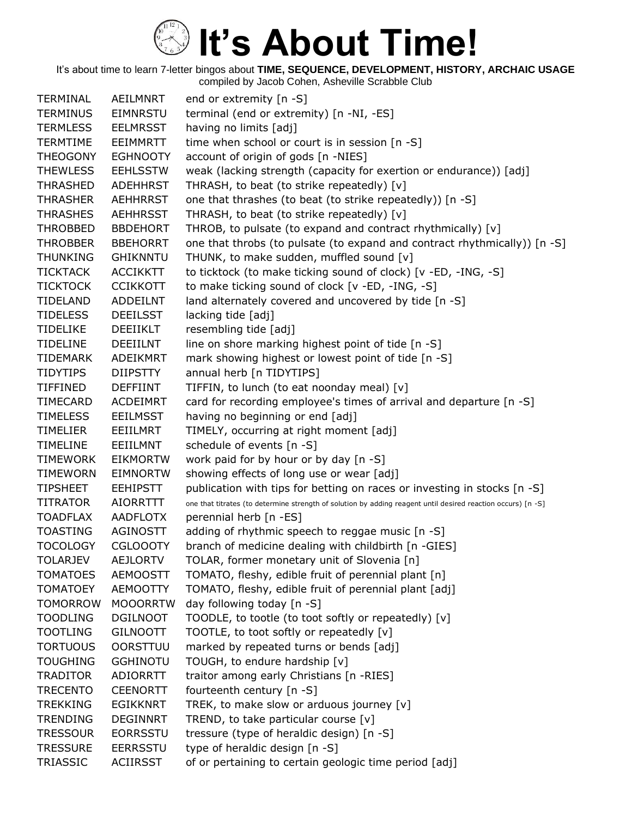It's about time to learn 7-letter bingos about **TIME, SEQUENCE, DEVELOPMENT, HISTORY, ARCHAIC USAGE** compiled by Jacob Cohen, Asheville Scrabble Club

TERMINAL AEILMNRT end or extremity [n -S] TERMINUS EIMNRSTU terminal (end or extremity) [n -NI, -ES] TERMLESS EELMRSST having no limits [adj] TERMTIME EEIMMRTT time when school or court is in session [n -S] THEOGONY EGHNOOTY account of origin of gods [n -NIES] THEWLESS EEHLSSTW weak (lacking strength (capacity for exertion or endurance)) [adj] THRASHED ADEHHRST THRASH, to beat (to strike repeatedly) [v] THRASHER AEHHRRST one that thrashes (to beat (to strike repeatedly)) [n -S] THRASHES AEHHRSST THRASH, to beat (to strike repeatedly) [v] THROBBED BBDEHORT THROB, to pulsate (to expand and contract rhythmically) [v] THROBBER BBEHORRT one that throbs (to pulsate (to expand and contract rhythmically)) [n -S] THUNKING GHIKNNTU THUNK, to make sudden, muffled sound [v] TICKTACK ACCIKKTT to ticktock (to make ticking sound of clock) [v -ED, -ING, -S] TICKTOCK CCIKKOTT to make ticking sound of clock [v -ED, -ING, -S] TIDELAND ADDEILNT land alternately covered and uncovered by tide [n -S] TIDELESS DEEILSST lacking tide [adj] TIDELIKE DEEIIKLT resembling tide [adj] TIDELINE DEEIILNT line on shore marking highest point of tide  $[n -S]$ TIDEMARK ADEIKMRT mark showing highest or lowest point of tide [n -S] TIDYTIPS DIIPSTTY annual herb [n TIDYTIPS] TIFFINED DEFFIINT TIFFIN, to lunch (to eat noonday meal) [v] TIMECARD ACDEIMRT card for recording employee's times of arrival and departure [n -S] TIMELESS EEILMSST having no beginning or end [adj] TIMELIER EEIILMRT TIMELY, occurring at right moment [adj] TIMELINE EEIILMNT schedule of events [n -S] TIMEWORK EIKMORTW work paid for by hour or by day [n -S] TIMEWORN EIMNORTW showing effects of long use or wear [adj] TIPSHEET EEHIPSTT publication with tips for betting on races or investing in stocks [n -S] TITRATOR AIORRTTT one that titrates (to determine strength of solution by adding reagent until desired reaction occurs) [n -S] TOADFLAX AADFLOTX perennial herb [n -ES] TOASTING AGINOSTT adding of rhythmic speech to reggae music [n -S] TOCOLOGY CGLOOOTY branch of medicine dealing with childbirth [n -GIES] TOLARJEV AEJLORTV TOLAR, former monetary unit of Slovenia [n] TOMATOES AEMOOSTT TOMATO, fleshy, edible fruit of perennial plant [n] TOMATOEY AEMOOTTY TOMATO, fleshy, edible fruit of perennial plant [adj] TOMORROW MOOORRTW day following today [n -S] TOODLING DGILNOOT TOODLE, to tootle (to toot softly or repeatedly) [v] TOOTLING GILNOOTT TOOTLE, to toot softly or repeatedly [v] TORTUOUS OORSTTUU marked by repeated turns or bends [adj] TOUGHING GGHINOTU TOUGH, to endure hardship [v] TRADITOR ADIORRTT traitor among early Christians [n -RIES] TRECENTO CEENORTT fourteenth century [n -S] TREKKING EGIKKNRT TREK, to make slow or arduous journey [v] TRENDING DEGINNRT TREND, to take particular course [v] TRESSOUR EORRSSTU tressure (type of heraldic design) [n -S] TRESSURE EERRSSTU type of heraldic design [n -S] TRIASSIC ACIIRSST of or pertaining to certain geologic time period [adj]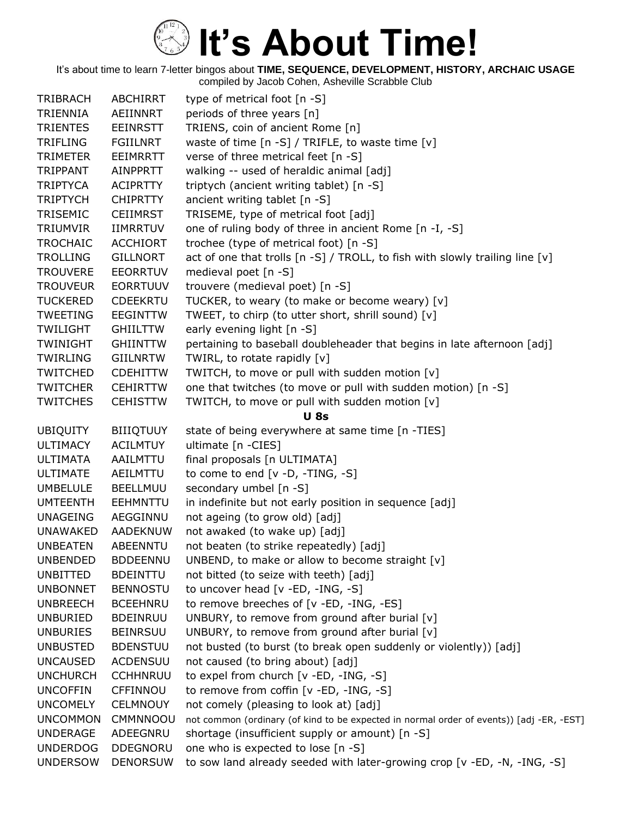| <b>TRIBRACH</b> | <b>ABCHIRRT</b>  | type of metrical foot [n -S]                                                             |
|-----------------|------------------|------------------------------------------------------------------------------------------|
| <b>TRIENNIA</b> | AEIINNRT         | periods of three years [n]                                                               |
| <b>TRIENTES</b> | <b>EEINRSTT</b>  | TRIENS, coin of ancient Rome [n]                                                         |
| <b>TRIFLING</b> | <b>FGIILNRT</b>  | waste of time $[n - S] / TRIFLE$ , to waste time $[v]$                                   |
| <b>TRIMETER</b> | EEIMRRTT         | verse of three metrical feet [n -S]                                                      |
| TRIPPANT        | AINPPRTT         | walking -- used of heraldic animal [adj]                                                 |
| <b>TRIPTYCA</b> | <b>ACIPRTTY</b>  | triptych (ancient writing tablet) [n -S]                                                 |
| <b>TRIPTYCH</b> | <b>CHIPRTTY</b>  | ancient writing tablet [n -S]                                                            |
| TRISEMIC        | <b>CEIIMRST</b>  | TRISEME, type of metrical foot [adj]                                                     |
| <b>TRIUMVIR</b> | <b>IIMRRTUV</b>  | one of ruling body of three in ancient Rome [n -I, -S]                                   |
| <b>TROCHAIC</b> | <b>ACCHIORT</b>  | trochee (type of metrical foot) [n -S]                                                   |
| <b>TROLLING</b> | <b>GILLNORT</b>  | act of one that trolls [n -S] / TROLL, to fish with slowly trailing line [v]             |
| <b>TROUVERE</b> | <b>EEORRTUV</b>  | medieval poet [n -S]                                                                     |
| <b>TROUVEUR</b> | <b>EORRTUUV</b>  | trouvere (medieval poet) [n -S]                                                          |
| <b>TUCKERED</b> | <b>CDEEKRTU</b>  | TUCKER, to weary (to make or become weary) [v]                                           |
| <b>TWEETING</b> | <b>EEGINTTW</b>  | TWEET, to chirp (to utter short, shrill sound) [v]                                       |
| <b>TWILIGHT</b> | <b>GHILTTW</b>   | early evening light [n -S]                                                               |
| <b>TWINIGHT</b> | <b>GHIINTTW</b>  | pertaining to baseball doubleheader that begins in late afternoon [adj]                  |
| <b>TWIRLING</b> | <b>GIILNRTW</b>  | TWIRL, to rotate rapidly [v]                                                             |
| <b>TWITCHED</b> | <b>CDEHITTW</b>  | TWITCH, to move or pull with sudden motion [v]                                           |
| <b>TWITCHER</b> | <b>CEHIRTTW</b>  | one that twitches (to move or pull with sudden motion) [n -S]                            |
| <b>TWITCHES</b> | <b>CEHISTTW</b>  | TWITCH, to move or pull with sudden motion [v]                                           |
|                 |                  | <b>U</b> 8s                                                                              |
| <b>UBIQUITY</b> | <b>BIIIQTUUY</b> | state of being everywhere at same time [n -TIES]                                         |
| <b>ULTIMACY</b> | <b>ACILMTUY</b>  | ultimate [n -CIES]                                                                       |
| <b>ULTIMATA</b> | AAILMTTU         | final proposals [n ULTIMATA]                                                             |
| <b>ULTIMATE</b> | AEILMTTU         | to come to end [v -D, -TING, -S]                                                         |
| <b>UMBELULE</b> | <b>BEELLMUU</b>  | secondary umbel [n -S]                                                                   |
| <b>UMTEENTH</b> | <b>EEHMNTTU</b>  | in indefinite but not early position in sequence [adj]                                   |
| <b>UNAGEING</b> | AEGGINNU         | not ageing (to grow old) [adj]                                                           |
| <b>UNAWAKED</b> | <b>AADEKNUW</b>  | not awaked (to wake up) [adj]                                                            |
| <b>UNBEATEN</b> | <b>ABEENNTU</b>  | not beaten (to strike repeatedly) [adj]                                                  |
| <b>UNBENDED</b> | <b>BDDEENNU</b>  | UNBEND, to make or allow to become straight [v]                                          |
| <b>UNBITTED</b> | <b>BDEINTTU</b>  | not bitted (to seize with teeth) [adj]                                                   |
| <b>UNBONNET</b> | <b>BENNOSTU</b>  | to uncover head [v -ED, -ING, -S]                                                        |
| <b>UNBREECH</b> | <b>BCEEHNRU</b>  | to remove breeches of [v -ED, -ING, -ES]                                                 |
| <b>UNBURIED</b> | <b>BDEINRUU</b>  | UNBURY, to remove from ground after burial [v]                                           |
| <b>UNBURIES</b> | <b>BEINRSUU</b>  | UNBURY, to remove from ground after burial [v]                                           |
| <b>UNBUSTED</b> | <b>BDENSTUU</b>  | not busted (to burst (to break open suddenly or violently)) [adj]                        |
| <b>UNCAUSED</b> | <b>ACDENSUU</b>  | not caused (to bring about) [adj]                                                        |
| <b>UNCHURCH</b> | <b>CCHHNRUU</b>  | to expel from church [v -ED, -ING, -S]                                                   |
| <b>UNCOFFIN</b> | CFFINNOU         | to remove from coffin [v -ED, -ING, -S]                                                  |
| <b>UNCOMELY</b> | <b>CELMNOUY</b>  | not comely (pleasing to look at) [adj]                                                   |
| <b>UNCOMMON</b> | CMMNNOOU         | not common (ordinary (of kind to be expected in normal order of events)) [adj -ER, -EST] |
| <b>UNDERAGE</b> | ADEEGNRU         | shortage (insufficient supply or amount) [n -S]                                          |
| <b>UNDERDOG</b> | <b>DDEGNORU</b>  | one who is expected to lose [n -S]                                                       |
| <b>UNDERSOW</b> | <b>DENORSUW</b>  | to sow land already seeded with later-growing crop [v -ED, -N, -ING, -S]                 |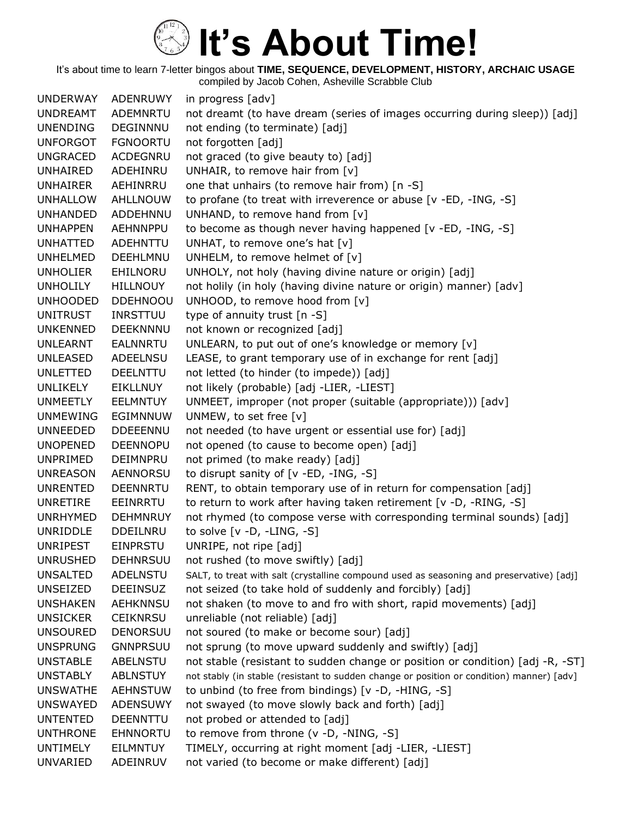It's about time to learn 7-letter bingos about **TIME, SEQUENCE, DEVELOPMENT, HISTORY, ARCHAIC USAGE** compiled by Jacob Cohen, Asheville Scrabble Club

UNDERWAY ADENRUWY in progress [adv] UNDREAMT ADEMNRTU not dreamt (to have dream (series of images occurring during sleep)) [adj] UNENDING DEGINNNU not ending (to terminate) [adj] UNFORGOT FGNOORTU not forgotten [adj] UNGRACED ACDEGNRU not graced (to give beauty to) [adj] UNHAIRED ADEHINRU UNHAIR, to remove hair from [v] UNHAIRER AEHINRRU one that unhairs (to remove hair from) [n -S] UNHALLOW AHLLNOUW to profane (to treat with irreverence or abuse [v -ED, -ING, -S] UNHANDED ADDEHNNU UNHAND, to remove hand from [v] UNHAPPEN AEHNNPPU to become as though never having happened [v -ED, -ING, -S] UNHATTED ADEHNTTU UNHAT, to remove one's hat [v] UNHELMED DEEHLMNU UNHELM, to remove helmet of [v] UNHOLIER EHILNORU UNHOLY, not holy (having divine nature or origin) [adj] UNHOLILY HILLNOUY not holily (in holy (having divine nature or origin) manner) [adv] UNHOODED DDEHNOOU UNHOOD, to remove hood from [v] UNITRUST INRSTTUU type of annuity trust [n -S] UNKENNED DEEKNNNU not known or recognized [adj] UNLEARNT EALNNRTU UNLEARN, to put out of one's knowledge or memory [v] UNLEASED ADEELNSU LEASE, to grant temporary use of in exchange for rent [adj] UNLETTED DEELNTTU not letted (to hinder (to impede)) [adj] UNLIKELY EIKLLNUY not likely (probable) [adj -LIER, -LIEST] UNMEETLY EELMNTUY UNMEET, improper (not proper (suitable (appropriate))) [adv] UNMEWING EGIMNNUW UNMEW, to set free [v] UNNEEDED DDEEENNU not needed (to have urgent or essential use for) [adj] UNOPENED DEENNOPU not opened (to cause to become open) [adj] UNPRIMED DEIMNPRU not primed (to make ready) [adj] UNREASON AENNORSU to disrupt sanity of [v -ED, -ING, -S] UNRENTED DEENNRTU RENT, to obtain temporary use of in return for compensation [adj] UNRETIRE EEINRRTU to return to work after having taken retirement [v -D, -RING, -S] UNRHYMED DEHMNRUY not rhymed (to compose verse with corresponding terminal sounds) [adj] UNRIDDLE DDEILNRU to solve [v -D, -LING, -S] UNRIPEST EINPRSTU UNRIPE, not ripe [adj] UNRUSHED DEHNRSUU not rushed (to move swiftly) [adj] UNSALTED ADELNSTU SALT, to treat with salt (crystalline compound used as seasoning and preservative) [adj] UNSEIZED DEEINSUZ not seized (to take hold of suddenly and forcibly) [adj] UNSHAKEN AEHKNNSU not shaken (to move to and fro with short, rapid movements) [adj] UNSICKER CEIKNRSU unreliable (not reliable) [adj] UNSOURED DENORSUU not soured (to make or become sour) [adj] UNSPRUNG GNNPRSUU not sprung (to move upward suddenly and swiftly) [adj] UNSTABLE ABELNSTU not stable (resistant to sudden change or position or condition) [adj -R, -ST] UNSTABLY ABLNSTUY not stably (in stable (resistant to sudden change or position or condition) manner) [adv] UNSWATHE AEHNSTUW to unbind (to free from bindings) [v -D, -HING, -S] UNSWAYED ADENSUWY not swayed (to move slowly back and forth) [adj] UNTENTED DEENNTTU not probed or attended to [adj] UNTHRONE EHNNORTU to remove from throne (v -D, -NING, -S] UNTIMELY EILMNTUY TIMELY, occurring at right moment [adj -LIER, -LIEST] UNVARIED ADEINRUV not varied (to become or make different) [adj]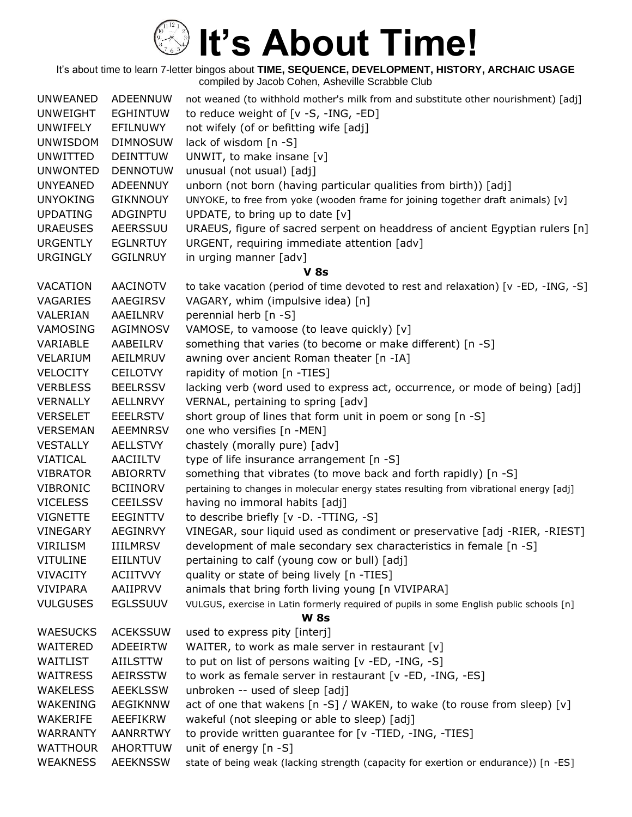| <b>UNWEANED</b> | ADEENNUW        | not weaned (to withhold mother's milk from and substitute other nourishment) [adj]       |
|-----------------|-----------------|------------------------------------------------------------------------------------------|
| <b>UNWEIGHT</b> | <b>EGHINTUW</b> | to reduce weight of [v -S, -ING, -ED]                                                    |
| UNWIFELY        | EFILNUWY        | not wifely (of or befitting wife [adj]                                                   |
| <b>UNWISDOM</b> | <b>DIMNOSUW</b> | lack of wisdom [n -S]                                                                    |
| <b>UNWITTED</b> | <b>DEINTTUW</b> | UNWIT, to make insane [v]                                                                |
| <b>UNWONTED</b> | <b>DENNOTUW</b> | unusual (not usual) [adj]                                                                |
| <b>UNYEANED</b> | <b>ADEENNUY</b> | unborn (not born (having particular qualities from birth)) [adj]                         |
| <b>UNYOKING</b> | <b>GIKNNOUY</b> | UNYOKE, to free from yoke (wooden frame for joining together draft animals) [v]          |
| <b>UPDATING</b> | ADGINPTU        | UPDATE, to bring up to date $[v]$                                                        |
| <b>URAEUSES</b> | AEERSSUU        | URAEUS, figure of sacred serpent on headdress of ancient Egyptian rulers [n]             |
| <b>URGENTLY</b> | <b>EGLNRTUY</b> | URGENT, requiring immediate attention [adv]                                              |
| <b>URGINGLY</b> | <b>GGILNRUY</b> | in urging manner [adv]                                                                   |
|                 |                 | <b>V</b> 8s                                                                              |
| <b>VACATION</b> | <b>AACINOTV</b> | to take vacation (period of time devoted to rest and relaxation) [v -ED, -ING, -S]       |
| VAGARIES        | AAEGIRSV        | VAGARY, whim (impulsive idea) [n]                                                        |
| VALERIAN        | AAEILNRV        | perennial herb [n -S]                                                                    |
| VAMOSING        | AGIMNOSV        | VAMOSE, to vamoose (to leave quickly) [v]                                                |
| VARIABLE        | AABEILRV        | something that varies (to become or make different) [n -S]                               |
| VELARIUM        | AEILMRUV        | awning over ancient Roman theater [n -IA]                                                |
| <b>VELOCITY</b> | <b>CEILOTVY</b> | rapidity of motion [n -TIES]                                                             |
| <b>VERBLESS</b> | <b>BEELRSSV</b> | lacking verb (word used to express act, occurrence, or mode of being) [adj]              |
| <b>VERNALLY</b> | <b>AELLNRVY</b> | VERNAL, pertaining to spring [adv]                                                       |
| <b>VERSELET</b> | <b>EEELRSTV</b> | short group of lines that form unit in poem or song [n -S]                               |
| <b>VERSEMAN</b> | <b>AEEMNRSV</b> | one who versifies [n -MEN]                                                               |
| <b>VESTALLY</b> | <b>AELLSTVY</b> | chastely (morally pure) [adv]                                                            |
| <b>VIATICAL</b> | <b>AACIILTV</b> | type of life insurance arrangement [n -S]                                                |
| <b>VIBRATOR</b> | <b>ABIORRTV</b> | something that vibrates (to move back and forth rapidly) [n -S]                          |
| <b>VIBRONIC</b> | <b>BCIINORV</b> | pertaining to changes in molecular energy states resulting from vibrational energy [adj] |
| <b>VICELESS</b> | <b>CEEILSSV</b> | having no immoral habits [adj]                                                           |
| <b>VIGNETTE</b> | <b>EEGINTTV</b> | to describe briefly [v -D. -TTING, -S]                                                   |
| <b>VINEGARY</b> | <b>AEGINRVY</b> | VINEGAR, sour liquid used as condiment or preservative [adj -RIER, -RIEST]               |
| <b>VIRILISM</b> | <b>IIILMRSV</b> | development of male secondary sex characteristics in female [n -S]                       |
| <b>VITULINE</b> | <b>EIILNTUV</b> | pertaining to calf (young cow or bull) [adj]                                             |
| <b>VIVACITY</b> | <b>ACIITVVY</b> | quality or state of being lively [n -TIES]                                               |
| <b>VIVIPARA</b> | AAIIPRVV        | animals that bring forth living young [n VIVIPARA]                                       |
| <b>VULGUSES</b> | <b>EGLSSUUV</b> | VULGUS, exercise in Latin formerly required of pupils in some English public schools [n] |
|                 |                 | <b>W</b> 8s                                                                              |
| <b>WAESUCKS</b> | <b>ACEKSSUW</b> | used to express pity [interj]                                                            |
| WAITERED        | ADEEIRTW        | WAITER, to work as male server in restaurant [v]                                         |
| WAITLIST        | <b>AIILSTTW</b> | to put on list of persons waiting [v -ED, -ING, -S]                                      |
| <b>WAITRESS</b> | AEIRSSTW        | to work as female server in restaurant [v -ED, -ING, -ES]                                |
| <b>WAKELESS</b> | <b>AEEKLSSW</b> | unbroken -- used of sleep [adj]                                                          |
| WAKENING        | AEGIKNNW        | act of one that wakens $[n -S]$ / WAKEN, to wake (to rouse from sleep) $[v]$             |
| WAKERIFE        | AEEFIKRW        | wakeful (not sleeping or able to sleep) [adj]                                            |
| <b>WARRANTY</b> | <b>AANRRTWY</b> | to provide written guarantee for [v -TIED, -ING, -TIES]                                  |
| <b>WATTHOUR</b> | <b>AHORTTUW</b> | unit of energy $[n - S]$                                                                 |
| <b>WEAKNESS</b> | <b>AEEKNSSW</b> | state of being weak (lacking strength (capacity for exertion or endurance)) [n -ES]      |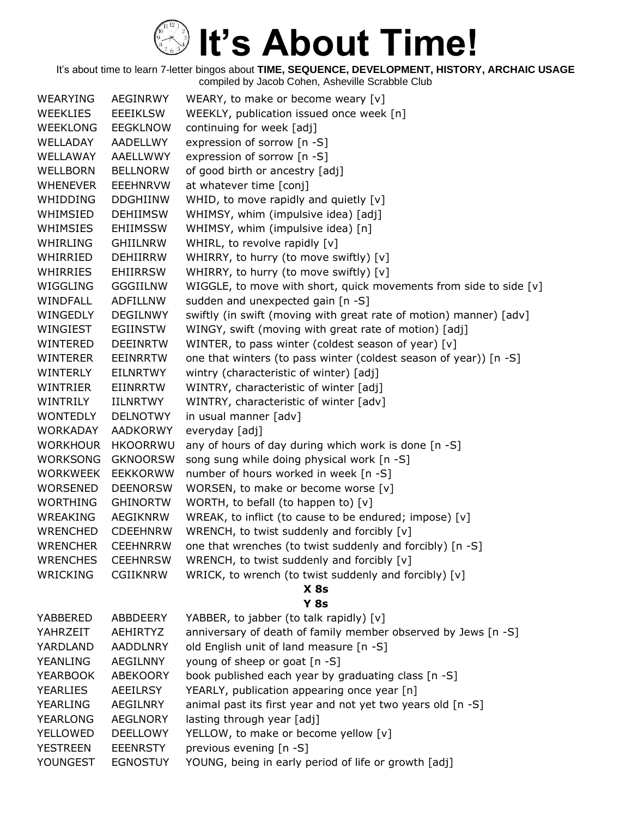| <b>WEARYING</b> | <b>AEGINRWY</b> | WEARY, to make or become weary [v]                                 |
|-----------------|-----------------|--------------------------------------------------------------------|
| <b>WEEKLIES</b> | <b>EEEIKLSW</b> | WEEKLY, publication issued once week [n]                           |
| <b>WEEKLONG</b> | <b>EEGKLNOW</b> | continuing for week [adj]                                          |
| WELLADAY        | AADELLWY        | expression of sorrow [n -S]                                        |
| WELLAWAY        | AAELLWWY        | expression of sorrow [n -S]                                        |
| <b>WELLBORN</b> | <b>BELLNORW</b> | of good birth or ancestry [adj]                                    |
| <b>WHENEVER</b> | <b>EEEHNRVW</b> | at whatever time [conj]                                            |
| WHIDDING        | <b>DDGHIINW</b> | WHID, to move rapidly and quietly $[v]$                            |
| WHIMSIED        | <b>DEHIIMSW</b> | WHIMSY, whim (impulsive idea) [adj]                                |
| WHIMSIES        | <b>EHIIMSSW</b> | WHIMSY, whim (impulsive idea) [n]                                  |
| WHIRLING        | <b>GHIILNRW</b> | WHIRL, to revolve rapidly [v]                                      |
| WHIRRIED        | <b>DEHIIRRW</b> | WHIRRY, to hurry (to move swiftly) [v]                             |
| WHIRRIES        | <b>EHIIRRSW</b> | WHIRRY, to hurry (to move swiftly) [v]                             |
| WIGGLING        | <b>GGGIILNW</b> | WIGGLE, to move with short, quick movements from side to side [v]  |
| WINDFALL        | <b>ADFILLNW</b> | sudden and unexpected gain [n -S]                                  |
| WINGEDLY        | <b>DEGILNWY</b> | swiftly (in swift (moving with great rate of motion) manner) [adv] |
| WINGIEST        | <b>EGIINSTW</b> | WINGY, swift (moving with great rate of motion) [adj]              |
| WINTERED        | <b>DEEINRTW</b> | WINTER, to pass winter (coldest season of year) [v]                |
| <b>WINTERER</b> | <b>EEINRRTW</b> | one that winters (to pass winter (coldest season of year)) [n -S]  |
| WINTERLY        | <b>EILNRTWY</b> | wintry (characteristic of winter) [adj]                            |
| WINTRIER        | <b>EIINRRTW</b> | WINTRY, characteristic of winter [adj]                             |
| WINTRILY        | IILNRTWY        | WINTRY, characteristic of winter [adv]                             |
| <b>WONTEDLY</b> | <b>DELNOTWY</b> | in usual manner [adv]                                              |
| <b>WORKADAY</b> | <b>AADKORWY</b> | everyday [adj]                                                     |
| <b>WORKHOUR</b> | <b>HKOORRWU</b> | any of hours of day during which work is done [n -S]               |
| <b>WORKSONG</b> | <b>GKNOORSW</b> | song sung while doing physical work [n -S]                         |
| <b>WORKWEEK</b> | <b>EEKKORWW</b> | number of hours worked in week [n -S]                              |
| <b>WORSENED</b> | <b>DEENORSW</b> | WORSEN, to make or become worse [v]                                |
| <b>WORTHING</b> | <b>GHINORTW</b> | WORTH, to befall (to happen to) [v]                                |
| WREAKING        | <b>AEGIKNRW</b> | WREAK, to inflict (to cause to be endured; impose) [v]             |
| <b>WRENCHED</b> | <b>CDEEHNRW</b> | WRENCH, to twist suddenly and forcibly [v]                         |
| <b>WRENCHER</b> | <b>CEEHNRRW</b> | one that wrenches (to twist suddenly and forcibly) [n -S]          |
| <b>WRENCHES</b> | <b>CEEHNRSW</b> | WRENCH, to twist suddenly and forcibly [v]                         |
| <b>WRICKING</b> | <b>CGIIKNRW</b> | WRICK, to wrench (to twist suddenly and forcibly) [v]              |
|                 |                 | $X$ 8s                                                             |
|                 |                 | <b>Y 8s</b>                                                        |
| YABBERED        | ABBDEERY        | YABBER, to jabber (to talk rapidly) [v]                            |
| YAHRZEIT        | AEHIRTYZ        | anniversary of death of family member observed by Jews [n -S]      |
| YARDLAND        | <b>AADDLNRY</b> | old English unit of land measure [n -S]                            |
| YEANLING        | <b>AEGILNNY</b> | young of sheep or goat [n -S]                                      |
| <b>YEARBOOK</b> | <b>ABEKOORY</b> | book published each year by graduating class [n -S]                |
| <b>YEARLIES</b> | AEEILRSY        | YEARLY, publication appearing once year [n]                        |
| <b>YEARLING</b> | AEGILNRY        | animal past its first year and not yet two years old [n -S]        |
| <b>YEARLONG</b> | <b>AEGLNORY</b> | lasting through year [adj]                                         |
| YELLOWED        | <b>DEELLOWY</b> | YELLOW, to make or become yellow [v]                               |
| <b>YESTREEN</b> | <b>EEENRSTY</b> | previous evening [n -S]                                            |
| YOUNGEST        | <b>EGNOSTUY</b> | YOUNG, being in early period of life or growth [adj]               |